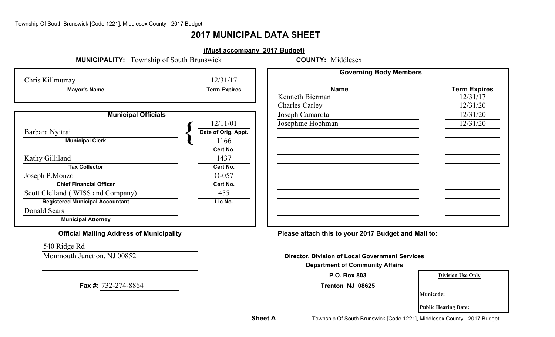# **2017 MUNICIPAL DATA SHEET**

| <b>MUNICIPALITY:</b> Township of South Brunswick | (Must accompany 2017 Budget) | <b>COUNTY: Middlesex</b>      |                     |
|--------------------------------------------------|------------------------------|-------------------------------|---------------------|
| Chris Killmurray                                 | 12/31/17                     | <b>Governing Body Members</b> |                     |
| <b>Mayor's Name</b>                              | <b>Term Expires</b>          | <b>Name</b>                   | <b>Term Expires</b> |
|                                                  |                              | Kenneth Bierman               | 12/31/17            |
|                                                  |                              | <b>Charles Carley</b>         | 12/31/20            |
| <b>Municipal Officials</b>                       |                              | Joseph Camarota               | 12/31/20            |
|                                                  | 12/11/01                     | Josephine Hochman             | 12/31/20            |
| Barbara Nyitrai                                  | Date of Orig. Appt.          |                               |                     |
| <b>Municipal Clerk</b>                           | 1166                         |                               |                     |
|                                                  | Cert No.                     |                               |                     |
| Kathy Gilliland                                  | 1437                         |                               |                     |
| <b>Tax Collector</b>                             | Cert No.                     |                               |                     |
| Joseph P.Monzo                                   | O-057                        |                               |                     |
| <b>Chief Financial Officer</b>                   | Cert No.                     |                               |                     |
| Scott Clelland (WISS and Company)                | 455                          |                               |                     |
| <b>Registered Municipal Accountant</b>           | Lic No.                      |                               |                     |
| Donald Sears                                     |                              |                               |                     |
| <b>Municipal Attorney</b>                        |                              |                               |                     |

**Official Mailing Address of Municipality Please attach this to your 2017 Budget and Mail to:**

**Monmouth Junction, NJ 00852 Director, Division of Local Government Services** 

**Department of Community Affairs**

**P.O. Box 803**

**Trenton NJ 08625**

| 3    | <b>Division Use Only</b> |
|------|--------------------------|
| 3625 |                          |

**Municode: \_\_\_\_\_\_\_\_\_\_\_\_\_\_\_\_**

**Public Hearing Date: \_\_\_\_\_\_\_\_\_\_\_**

540 Ridge Rd

**Fax #:** 732-274-8864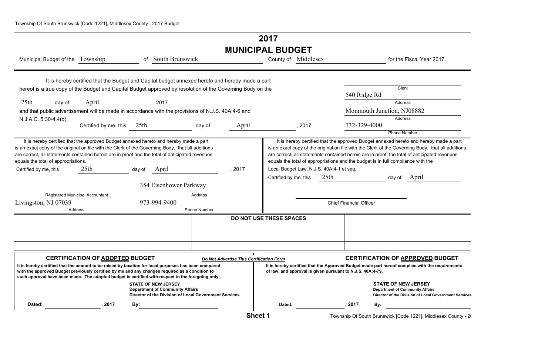# **2017 MUNICIPAL BUDGET**

|                                     |         |                                                                                                                                                                                                                                                                                               |        |                                                                                                                               |                     |                                          | MUNIUM AL DUDUL I       |                                                            |                                |                                                                                                                                                                                                                                                                                                                                                                                |
|-------------------------------------|---------|-----------------------------------------------------------------------------------------------------------------------------------------------------------------------------------------------------------------------------------------------------------------------------------------------|--------|-------------------------------------------------------------------------------------------------------------------------------|---------------------|------------------------------------------|-------------------------|------------------------------------------------------------|--------------------------------|--------------------------------------------------------------------------------------------------------------------------------------------------------------------------------------------------------------------------------------------------------------------------------------------------------------------------------------------------------------------------------|
|                                     |         | Municipal Budget of the Township                                                                                                                                                                                                                                                              |        | of South Brunswick                                                                                                            |                     |                                          |                         | , County of Middlesex                                      |                                | for the Fiscal Year 2017.                                                                                                                                                                                                                                                                                                                                                      |
|                                     |         | It is hereby certified that the Budget and Capital budget annexed hereto and hereby made a part                                                                                                                                                                                               |        |                                                                                                                               |                     |                                          |                         |                                                            |                                |                                                                                                                                                                                                                                                                                                                                                                                |
|                                     |         | hereof is a true copy of the Budget and Capital Budget approved by resolution of the Governing Body on the                                                                                                                                                                                    |        |                                                                                                                               |                     |                                          |                         |                                                            |                                | <b>Clerk</b>                                                                                                                                                                                                                                                                                                                                                                   |
|                                     |         |                                                                                                                                                                                                                                                                                               |        |                                                                                                                               |                     |                                          |                         |                                                            | 540 Ridge Rd                   |                                                                                                                                                                                                                                                                                                                                                                                |
| 25 <sub>th</sub>                    | day of  | April                                                                                                                                                                                                                                                                                         |        | , 2017                                                                                                                        |                     |                                          |                         |                                                            |                                | Address                                                                                                                                                                                                                                                                                                                                                                        |
|                                     |         | and that public advertisement will be made in accordance with the provisions of N.J.S. 40A:4-6 and                                                                                                                                                                                            |        |                                                                                                                               |                     |                                          |                         |                                                            |                                | Monmouth Junction, NJ08882                                                                                                                                                                                                                                                                                                                                                     |
| N.J.A.C. 5:30-4.4(d).               |         |                                                                                                                                                                                                                                                                                               |        |                                                                                                                               |                     |                                          |                         |                                                            |                                | Address                                                                                                                                                                                                                                                                                                                                                                        |
|                                     |         | Certified by me, this 25th                                                                                                                                                                                                                                                                    |        |                                                                                                                               | day of              | April                                    |                         | , 2017                                                     | 732-329-4000                   |                                                                                                                                                                                                                                                                                                                                                                                |
|                                     |         |                                                                                                                                                                                                                                                                                               |        |                                                                                                                               |                     |                                          |                         |                                                            |                                | <b>Phone Number</b>                                                                                                                                                                                                                                                                                                                                                            |
| equals the total of appropriations. |         | It is hereby certified that the approved Budget annexed hereto and hereby made a part<br>is an exact copy of the original on file with the Clerk of the Governing Body, that all additions<br>are correct, all statements contained herein are in proof and the total of anticipated revenues |        |                                                                                                                               |                     |                                          |                         |                                                            |                                | It is hereby certified that the approved Budget annexed hereto and hereby made a part<br>is an exact copy of the original on file with the Clerk of the Governing Body, that all additions<br>are correct, all statements contained herein are in proof, the total of anticipated revenues<br>equals the total of appropriations and the budget is in full compliance with the |
| Certified by me, this               |         | 25 <sup>th</sup>                                                                                                                                                                                                                                                                              | day of | April                                                                                                                         |                     | , 2017                                   |                         | Local Budget Law, N.J.S. 40A:4-1 et seq.                   |                                |                                                                                                                                                                                                                                                                                                                                                                                |
|                                     |         |                                                                                                                                                                                                                                                                                               |        |                                                                                                                               |                     |                                          | Certified by me, this   | 25 <sup>th</sup>                                           |                                | April<br>day of                                                                                                                                                                                                                                                                                                                                                                |
|                                     |         |                                                                                                                                                                                                                                                                                               |        | 354 Eisenhower Parkway                                                                                                        |                     |                                          |                         |                                                            |                                |                                                                                                                                                                                                                                                                                                                                                                                |
|                                     |         | Registered Municipal Accountant                                                                                                                                                                                                                                                               |        |                                                                                                                               | Address             |                                          |                         |                                                            |                                |                                                                                                                                                                                                                                                                                                                                                                                |
| Livingston, NJ 07039                |         |                                                                                                                                                                                                                                                                                               |        | 973-994-9400                                                                                                                  |                     |                                          |                         |                                                            | <b>Chief Financial Officer</b> |                                                                                                                                                                                                                                                                                                                                                                                |
|                                     | Address |                                                                                                                                                                                                                                                                                               |        |                                                                                                                               | <b>Phone Number</b> |                                          |                         |                                                            |                                |                                                                                                                                                                                                                                                                                                                                                                                |
|                                     |         |                                                                                                                                                                                                                                                                                               |        |                                                                                                                               |                     |                                          | DO NOT USE THESE SPACES |                                                            |                                |                                                                                                                                                                                                                                                                                                                                                                                |
|                                     |         |                                                                                                                                                                                                                                                                                               |        |                                                                                                                               |                     |                                          |                         |                                                            |                                |                                                                                                                                                                                                                                                                                                                                                                                |
|                                     |         |                                                                                                                                                                                                                                                                                               |        |                                                                                                                               |                     |                                          |                         |                                                            |                                |                                                                                                                                                                                                                                                                                                                                                                                |
|                                     |         |                                                                                                                                                                                                                                                                                               |        |                                                                                                                               |                     |                                          |                         |                                                            |                                |                                                                                                                                                                                                                                                                                                                                                                                |
|                                     |         |                                                                                                                                                                                                                                                                                               |        |                                                                                                                               |                     |                                          |                         |                                                            |                                |                                                                                                                                                                                                                                                                                                                                                                                |
|                                     |         | <b>CERTIFICATION OF ADOPTED BUDGET</b><br>It is hereby certified that the amount to be raised by taxation for local purposes has been compared                                                                                                                                                |        |                                                                                                                               |                     | Do Not Advertise This Certification Form |                         |                                                            |                                | <b>CERTIFICATION OF APPROVED BUDGET</b><br>It is hereby certified that the Approved Budget made part hereof complies with the requirements                                                                                                                                                                                                                                     |
|                                     |         | with the approved Budget previously certified by me and any changes required as a condition to<br>such approval have been made. The adopted budget is certified with respect to the foregoing only.                                                                                           |        |                                                                                                                               |                     |                                          |                         | of law, and approval is given pursuant to N.J.S. 40A:4-79. |                                |                                                                                                                                                                                                                                                                                                                                                                                |
|                                     |         |                                                                                                                                                                                                                                                                                               |        | <b>STATE OF NEW JERSEY</b><br><b>Department of Community Affairs</b><br>Director of the Division of Local Government Services |                     |                                          |                         |                                                            |                                | <b>STATE OF NEW JERSEY</b><br><b>Department of Community Affairs</b><br>Director of the Division of Local Government Services                                                                                                                                                                                                                                                  |
| Dated:                              |         | 2017                                                                                                                                                                                                                                                                                          | By:    |                                                                                                                               |                     |                                          | Dated:                  |                                                            | , 2017                         | By:                                                                                                                                                                                                                                                                                                                                                                            |
|                                     |         |                                                                                                                                                                                                                                                                                               |        |                                                                                                                               |                     |                                          |                         |                                                            |                                |                                                                                                                                                                                                                                                                                                                                                                                |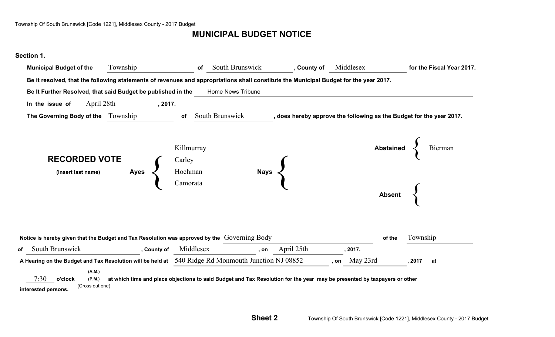# **MUNICIPAL BUDGET NOTICE**

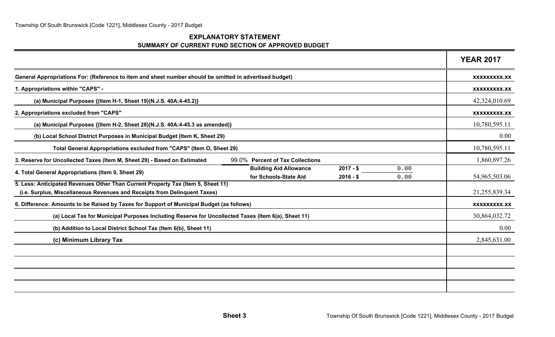### **EXPLANATORY STATEMENT SUMMARY OF CURRENT FUND SECTION OF APPROVED BUDGET**

|                                                                                                                                                          | <b>YEAR 2017</b>    |
|----------------------------------------------------------------------------------------------------------------------------------------------------------|---------------------|
| General Appropriations For: (Reference to item and sheet number should be omitted in advertised budget)                                                  | XXXXXXXXX.XX        |
| 1. Appropriations within "CAPS" -                                                                                                                        | XXXXXXXXX.XX        |
| (a) Municipal Purposes {(Item H-1, Sheet 19)(N.J.S. 40A:4-45.2)}                                                                                         | 42,324,010.69       |
| 2. Appropriations excluded from "CAPS"                                                                                                                   | XXXXXXXXX.XX        |
| (a) Municipal Purposes {(Item H-2, Sheet 28)(N.J.S. 40A:4-45.3 as amended)}                                                                              | 10,780,595.11       |
| (b) Local School District Purposes in Municipal Budget (Item K, Sheet 29)                                                                                | 0.00                |
| Total General Appropriations excluded from "CAPS" (Item O, Sheet 29)                                                                                     | 10,780,595.11       |
| 3. Reserve for Uncollected Taxes (Item M, Sheet 29) - Based on Estimated<br>99.0% Percent of Tax Collections                                             | 1,860,897.26        |
| $2017 - $$<br><b>Building Aid Allowance</b><br>0.00<br>4. Total General Appropriations (Item 9, Sheet 29)<br>for Schools-State Aid<br>$2016 - $$<br>0.00 | 54,965,503.06       |
| 5. Less: Anticipated Revenues Other Than Current Property Tax (Item 5, Sheet 11)                                                                         |                     |
| (i.e. Surplus, Miscellaneous Revenues and Receipts from Delinquent Taxes)                                                                                | 21,255,839.34       |
| 6. Difference: Amounts to be Raised by Taxes for Support of Municipal Budget (as follows)                                                                | <b>XXXXXXXXX.XX</b> |
| (a) Local Tax for Municipal Purposes Including Reserve for Uncollected Taxes (Item 6(a), Sheet 11)                                                       | 30,864,032.72       |
| (b) Addition to Local District School Tax (Item 6(b), Sheet 11)                                                                                          | 0.00                |
| (c) Minimum Library Tax                                                                                                                                  | 2,845,631.00        |
|                                                                                                                                                          |                     |
|                                                                                                                                                          |                     |
|                                                                                                                                                          |                     |
|                                                                                                                                                          |                     |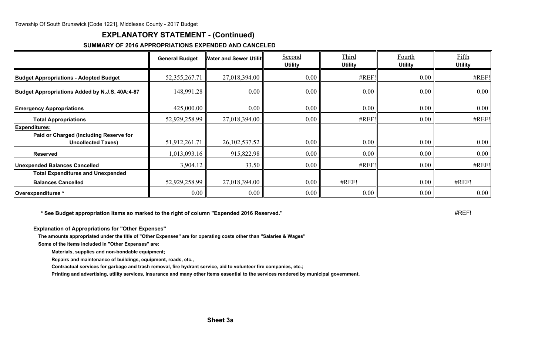## **EXPLANATORY STATEMENT - (Continued)**

#### **SUMMARY OF 2016 APPROPRIATIONS EXPENDED AND CANCELED**

|                                                                                      | <b>General Budget</b> | <b>Nater and Sewer Utilit</b> | Second<br><b>Utility</b> | Third<br><b>Utility</b> | Fourth<br><b>Utility</b> | Fifth<br><b>Utility</b> |
|--------------------------------------------------------------------------------------|-----------------------|-------------------------------|--------------------------|-------------------------|--------------------------|-------------------------|
| <b>Budget Appropriations - Adopted Budget</b>                                        | 52, 355, 267. 71      | 27,018,394.00                 | 0.00                     | #REF!                   | 0.00                     | #REF!                   |
| Budget Appropriations Added by N.J.S. 40A:4-87                                       | 148,991.28            | 0.00                          | $0.00\,$                 | 0.00                    | $0.00\,$                 | $0.00\,$                |
| <b>Emergency Appropriations</b>                                                      | 425,000.00            | $0.00\,$                      | 0.00                     | 0.00                    | $0.00\,$                 | 0.00                    |
| <b>Total Appropriations</b>                                                          | 52,929,258.99         | 27,018,394.00                 | $0.00\,$                 | #REF!                   | 0.00                     | #REF!                   |
| Expenditures:<br>Paid or Charged (Including Reserve for<br><b>Uncollected Taxes)</b> | 51,912,261.71         | 26, 102, 537.52               | 0.00                     | 0.00                    | 0.00                     | 0.00                    |
| <b>Reserved</b>                                                                      | 1,013,093.16          | 915,822.98                    | $0.00\,$                 | $0.00\degree$           | 0.00                     | 0.00                    |
| <b>Unexpended Balances Cancelled</b>                                                 | 3,904.12              | 33.50                         | $0.00\,$                 | #REF!                   | $0.00\,$                 | #REF!                   |
| <b>Total Expenditures and Unexpended</b><br><b>Balances Cancelled</b>                | 52,929,258.99         | 27,018,394.00                 | $0.00\,$                 | #REF!                   | 0.00                     | #REF!                   |
| Overexpenditures *                                                                   | 0.00                  | 0.00                          | 0.00                     | $0.00\parallel$         | $0.00\,$                 | 0.00                    |

**\* See Budget appropriation Items so marked to the right of column "Expended 2016 Reserved." <b>#REF!** 

**Explanation of Appropriations for "Other Expenses"**

**The amounts appropriated under the title of "Other Expenses" are for operating costs other than "Salaries & Wages"**

**Some of the items included in "Other Expenses" are:**

**Materials, supplies and non-bondable equipment;**

**Repairs and maintenance of buildings, equipment, roads, etc.,**

**Contractual services for garbage and trash removal, fire hydrant service, aid to volunteer fire companies, etc.;**

**Printing and advertising, utility services, Insurance and many other items essential to the services rendered by municipal government.**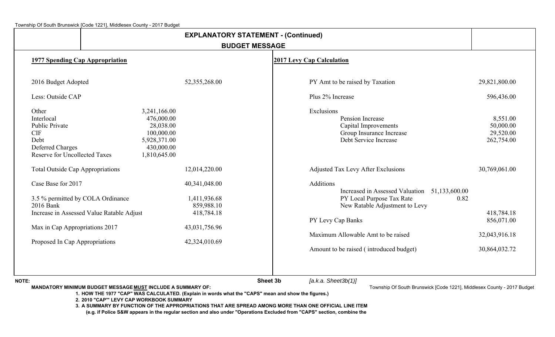|                                                                                                                                |                                                                                                     | <b>EXPLANATORY STATEMENT - (Continued)</b>  |                       |                                                                                                                                   |                                                  |
|--------------------------------------------------------------------------------------------------------------------------------|-----------------------------------------------------------------------------------------------------|---------------------------------------------|-----------------------|-----------------------------------------------------------------------------------------------------------------------------------|--------------------------------------------------|
|                                                                                                                                |                                                                                                     |                                             | <b>BUDGET MESSAGE</b> |                                                                                                                                   |                                                  |
| <b>1977 Spending Cap Appropriation</b>                                                                                         |                                                                                                     |                                             |                       | <b>2017 Levy Cap Calculation</b>                                                                                                  |                                                  |
| 2016 Budget Adopted                                                                                                            |                                                                                                     | 52,355,268.00                               |                       | PY Amt to be raised by Taxation                                                                                                   | 29,821,800.00                                    |
| Less: Outside CAP                                                                                                              |                                                                                                     |                                             |                       | Plus 2% Increase                                                                                                                  | 596,436.00                                       |
| Other<br>Interlocal<br><b>Public Private</b><br><b>CIF</b><br>Debt<br>Deferred Charges<br><b>Reserve for Uncollected Taxes</b> | 3,241,166.00<br>476,000.00<br>28,038.00<br>100,000.00<br>5,928,371.00<br>430,000.00<br>1,810,645.00 |                                             |                       | Exclusions<br>Pension Increase<br>Capital Improvements<br>Group Insurance Increase<br>Debt Service Increase                       | 8,551.00<br>50,000.00<br>29,520.00<br>262,754.00 |
| <b>Total Outside Cap Appropriations</b>                                                                                        |                                                                                                     | 12,014,220.00                               |                       | <b>Adjusted Tax Levy After Exclusions</b>                                                                                         | 30,769,061.00                                    |
| Case Base for 2017<br>3.5 % permitted by COLA Ordinance<br>2016 Bank                                                           |                                                                                                     | 40,341,048.00<br>1,411,936.68<br>859,988.10 |                       | Additions<br>Increased in Assessed Valuation 51,133,600.00<br>PY Local Purpose Tax Rate<br>0.82<br>New Ratable Adjustment to Levy |                                                  |
|                                                                                                                                | Increase in Assessed Value Ratable Adjust                                                           | 418,784.18                                  |                       | PY Levy Cap Banks                                                                                                                 | 418,784.18<br>856,071.00                         |
| Max in Cap Appropriations 2017<br>Proposed In Cap Appropriations                                                               |                                                                                                     | 43,031,756.96<br>42,324,010.69              |                       | Maximum Allowable Amt to be raised                                                                                                | 32,043,916.18                                    |
|                                                                                                                                |                                                                                                     |                                             |                       | Amount to be raised (introduced budget)                                                                                           | 30,864,032.72                                    |
| <b>NOTE:</b>                                                                                                                   |                                                                                                     |                                             | Sheet 3b              | [a.k.a. Sheet3b(1)]                                                                                                               |                                                  |

**MANDATORY MINIMUM BUDGET MESSAGE MUST INCLUDE A SUMMARY OF:**

Township Of South Brunswick [Code 1221], Middlesex County - 2017 Budget

**1. HOW THE 1977 "CAP" WAS CALCULATED. (Explain in words what the "CAPS" mean and show the figures.)**

**2. 2010 "CAP'" LEVY CAP WORKBOOK SUMMARY**

**3. A SUMMARY BY FUNCTION OF THE APPROPRIATIONS THAT ARE SPREAD AMONG MORE THAN ONE OFFICIAL LINE ITEM**

**(e.g. if Police S&W appears in the regular section and also under "Operations Excluded from "CAPS" section, combine the**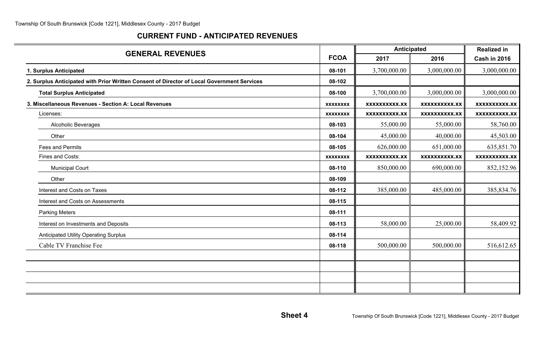## **CURRENT FUND - ANTICIPATED REVENUES**

|                                                                                            |                 | Anticipated          |                      | <b>Realized in</b>   |
|--------------------------------------------------------------------------------------------|-----------------|----------------------|----------------------|----------------------|
| <b>GENERAL REVENUES</b>                                                                    | <b>FCOA</b>     | 2017                 | 2016                 | <b>Cash in 2016</b>  |
| 1. Surplus Anticipated                                                                     | 08-101          | 3,700,000.00         | 3,000,000.00         | 3,000,000.00         |
| 2. Surplus Anticipated with Prior Written Consent of Director of Local Government Services | 08-102          |                      |                      |                      |
| <b>Total Surplus Anticipated</b>                                                           | 08-100          | 3,700,000.00         | 3,000,000.00         | 3,000,000.00         |
| 3. Miscellaneous Revenues - Section A: Local Revenues                                      | <b>XXXXXXXX</b> | <b>XXXXXXXXXX.XX</b> | <b>XXXXXXXXXX.XX</b> | <b>XXXXXXXXXX.XX</b> |
| Licenses:                                                                                  | <b>XXXXXXXX</b> | <b>XXXXXXXXXX.XX</b> | <b>XXXXXXXXXX.XX</b> | <b>XXXXXXXXXX.XX</b> |
| <b>Alcoholic Beverages</b>                                                                 | 08-103          | 55,000.00            | 55,000.00            | 58,760.00            |
| Other                                                                                      | 08-104          | 45,000.00            | 40,000.00            | 45,503.00            |
| <b>Fees and Permits</b>                                                                    | 08-105          | 626,000.00           | 651,000.00           | 635,851.70           |
| Fines and Costs:                                                                           | <b>XXXXXXXX</b> | <b>XXXXXXXXXX.XX</b> | <b>XXXXXXXXXX.XX</b> | <b>XXXXXXXXX.XX</b>  |
| <b>Municipal Court</b>                                                                     | 08-110          | 850,000.00           | 690,000.00           | 852,152.96           |
| Other                                                                                      | 08-109          |                      |                      |                      |
| Interest and Costs on Taxes                                                                | 08-112          | 385,000.00           | 485,000.00           | 385,834.76           |
| Interest and Costs on Assessments                                                          | 08-115          |                      |                      |                      |
| <b>Parking Meters</b>                                                                      | 08-111          |                      |                      |                      |
| Interest on Investments and Deposits                                                       | 08-113          | 58,000.00            | 25,000.00            | 58,409.92            |
| <b>Anticipated Utility Operating Surplus</b>                                               | 08-114          |                      |                      |                      |
| Cable TV Franchise Fee                                                                     | 08-118          | 500,000.00           | 500,000.00           | 516,612.65           |
|                                                                                            |                 |                      |                      |                      |
|                                                                                            |                 |                      |                      |                      |
|                                                                                            |                 |                      |                      |                      |
|                                                                                            |                 |                      |                      |                      |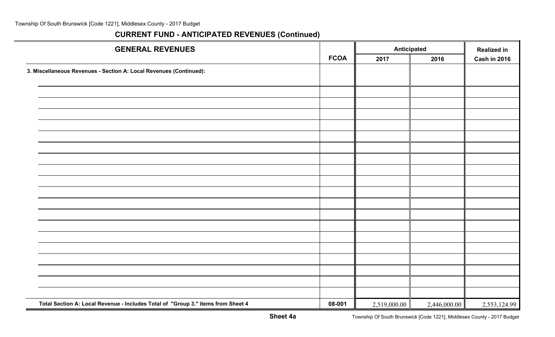| <b>GENERAL REVENUES</b>                                                          |             |              | <b>Anticipated</b> |                     |  |
|----------------------------------------------------------------------------------|-------------|--------------|--------------------|---------------------|--|
|                                                                                  | <b>FCOA</b> | 2017         | 2016               | <b>Cash in 2016</b> |  |
| 3. Miscellaneous Revenues - Section A: Local Revenues (Continued):               |             |              |                    |                     |  |
|                                                                                  |             |              |                    |                     |  |
|                                                                                  |             |              |                    |                     |  |
|                                                                                  |             |              |                    |                     |  |
|                                                                                  |             |              |                    |                     |  |
|                                                                                  |             |              |                    |                     |  |
|                                                                                  |             |              |                    |                     |  |
|                                                                                  |             |              |                    |                     |  |
|                                                                                  |             |              |                    |                     |  |
|                                                                                  |             |              |                    |                     |  |
|                                                                                  |             |              |                    |                     |  |
|                                                                                  |             |              |                    |                     |  |
|                                                                                  |             |              |                    |                     |  |
|                                                                                  |             |              |                    |                     |  |
|                                                                                  |             |              |                    |                     |  |
|                                                                                  |             |              |                    |                     |  |
|                                                                                  |             |              |                    |                     |  |
|                                                                                  |             |              |                    |                     |  |
|                                                                                  |             |              |                    |                     |  |
|                                                                                  |             |              |                    |                     |  |
|                                                                                  |             |              |                    |                     |  |
| Total Section A: Local Revenue - Includes Total of "Group 3." items from Sheet 4 | 08-001      | 2,519,000.00 | 2,446,000.00       | 2,553,124.99        |  |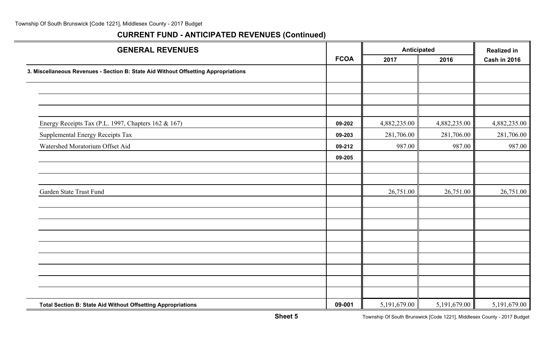| <b>GENERAL REVENUES</b>                                                            |             | <b>Anticipated</b> |              | <b>Realized in</b>  |
|------------------------------------------------------------------------------------|-------------|--------------------|--------------|---------------------|
|                                                                                    | <b>FCOA</b> | 2017               | 2016         | <b>Cash in 2016</b> |
| 3. Miscellaneous Revenues - Section B: State Aid Without Offsetting Appropriations |             |                    |              |                     |
|                                                                                    |             |                    |              |                     |
|                                                                                    |             |                    |              |                     |
| Energy Receipts Tax (P.L. 1997, Chapters 162 & 167)                                | 09-202      | 4,882,235.00       | 4,882,235.00 | 4,882,235.00        |
| Supplemental Energy Receipts Tax                                                   | 09-203      | 281,706.00         | 281,706.00   | 281,706.00          |
| Watershed Moratorium Offset Aid                                                    | 09-212      | 987.00             | 987.00       | 987.00              |
|                                                                                    | 09-205      |                    |              |                     |
|                                                                                    |             |                    |              |                     |
| Garden State Trust Fund                                                            |             | 26,751.00          | 26,751.00    | 26,751.00           |
|                                                                                    |             |                    |              |                     |
|                                                                                    |             |                    |              |                     |
|                                                                                    |             |                    |              |                     |
|                                                                                    |             |                    |              |                     |
|                                                                                    |             |                    |              |                     |
|                                                                                    |             |                    |              |                     |
| Total Section B: State Aid Without Offsetting Appropriations                       | 09-001      | 5, 191, 679.00     | 5,191,679.00 | 5,191,679.00        |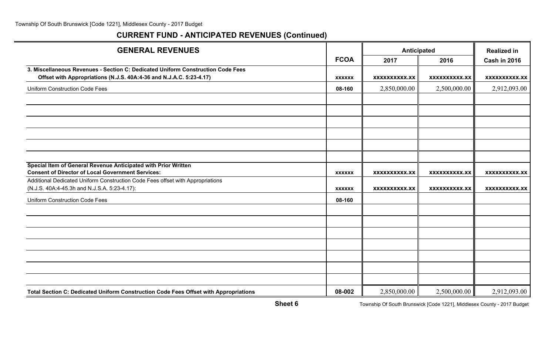# **CURRENT FUND - ANTICIPATED REVENUES (Continued)**

| <b>GENERAL REVENUES</b>                                                              |               | Anticipated          |                      | <b>Realized in</b>   |  |
|--------------------------------------------------------------------------------------|---------------|----------------------|----------------------|----------------------|--|
|                                                                                      | <b>FCOA</b>   | 2017                 | 2016                 | <b>Cash in 2016</b>  |  |
| 3. Miscellaneous Revenues - Section C: Dedicated Uniform Construction Code Fees      |               |                      |                      |                      |  |
| Offset with Appropriations (N.J.S. 40A:4-36 and N.J.A.C. 5:23-4.17)                  | <b>XXXXXX</b> | <b>XXXXXXXXXX.XX</b> | <b>XXXXXXXXXX.XX</b> | <b>XXXXXXXXXX.XX</b> |  |
| Uniform Construction Code Fees                                                       | 08-160        | 2,850,000.00         | 2,500,000.00         | 2,912,093.00         |  |
|                                                                                      |               |                      |                      |                      |  |
|                                                                                      |               |                      |                      |                      |  |
|                                                                                      |               |                      |                      |                      |  |
|                                                                                      |               |                      |                      |                      |  |
|                                                                                      |               |                      |                      |                      |  |
|                                                                                      |               |                      |                      |                      |  |
| Special Item of General Revenue Anticipated with Prior Written                       |               |                      |                      |                      |  |
| <b>Consent of Director of Local Government Services:</b>                             | <b>XXXXXX</b> | <b>XXXXXXXXXX.XX</b> | <b>XXXXXXXXXX.XX</b> | <b>XXXXXXXXXX.XX</b> |  |
| Additional Dedicated Uniform Construction Code Fees offset with Appropriations       |               |                      |                      |                      |  |
| (N.J.S. 40A:4-45.3h and N.J.S.A. 5:23-4.17):                                         | <b>XXXXXX</b> | XXXXXXXXXX.XX        | XXXXXXXXXX.XX        | <b>XXXXXXXXXX.XX</b> |  |
| <b>Uniform Construction Code Fees</b>                                                | 08-160        |                      |                      |                      |  |
|                                                                                      |               |                      |                      |                      |  |
|                                                                                      |               |                      |                      |                      |  |
|                                                                                      |               |                      |                      |                      |  |
|                                                                                      |               |                      |                      |                      |  |
|                                                                                      |               |                      |                      |                      |  |
|                                                                                      |               |                      |                      |                      |  |
|                                                                                      |               |                      |                      |                      |  |
| Total Section C: Dedicated Uniform Construction Code Fees Offset with Appropriations | 08-002        | 2,850,000.00         | 2,500,000.00         | 2,912,093.00         |  |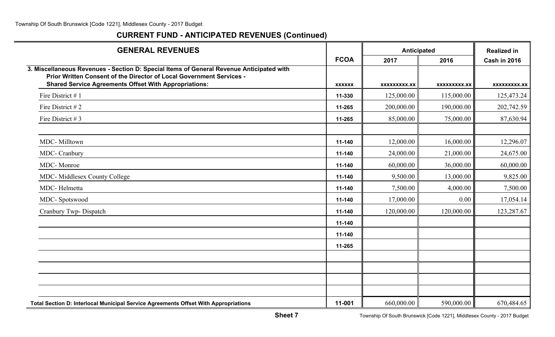| <b>GENERAL REVENUES</b>                                                                                                                                                                                                          |               |                     | Anticipated<br>2016<br><b>XXXXXXXXX.XX</b><br>115,000.00<br>190,000.00<br>75,000.00<br>16,000.00<br>21,000.00<br>36,000.00<br>13,000.00<br>4,000.00<br>0.00<br>120,000.00 | <b>Realized in</b>  |
|----------------------------------------------------------------------------------------------------------------------------------------------------------------------------------------------------------------------------------|---------------|---------------------|---------------------------------------------------------------------------------------------------------------------------------------------------------------------------|---------------------|
|                                                                                                                                                                                                                                  | <b>FCOA</b>   | 2017                |                                                                                                                                                                           | <b>Cash in 2016</b> |
| 3. Miscellaneous Revenues - Section D: Special Items of General Revenue Anticipated with<br>Prior Written Consent of the Director of Local Government Services -<br><b>Shared Service Agreements Offset With Appropriations:</b> | <b>XXXXXX</b> | <b>XXXXXXXXX.XX</b> |                                                                                                                                                                           | <b>XXXXXXXXX.XX</b> |
| Fire District #1                                                                                                                                                                                                                 | 11-330        | 125,000.00          |                                                                                                                                                                           | 125,473.24          |
| Fire District #2                                                                                                                                                                                                                 | 11-265        | 200,000.00          |                                                                                                                                                                           | 202,742.59          |
| Fire District #3                                                                                                                                                                                                                 | 11-265        | 85,000.00           |                                                                                                                                                                           | 87,630.94           |
| MDC-Milltown                                                                                                                                                                                                                     | 11-140        | 12,000.00           |                                                                                                                                                                           | 12,296.07           |
| MDC- Cranbury                                                                                                                                                                                                                    | 11-140        | 24,000.00           |                                                                                                                                                                           | 24,675.00           |
| <b>MDC-Monroe</b>                                                                                                                                                                                                                | 11-140        | 60,000.00           |                                                                                                                                                                           | 60,000.00           |
| <b>MDC-</b> Middlesex County College                                                                                                                                                                                             | 11-140        | 9,500.00            |                                                                                                                                                                           | 9,825.00            |
| MDC-Helmetta                                                                                                                                                                                                                     | 11-140        | 7,500.00            |                                                                                                                                                                           | 7,500.00            |
| MDC-Spotswood                                                                                                                                                                                                                    | 11-140        | 17,000.00           |                                                                                                                                                                           | 17,054.14           |
| Cranbury Twp- Dispatch                                                                                                                                                                                                           | 11-140        | 120,000.00          |                                                                                                                                                                           | 123,287.67          |
|                                                                                                                                                                                                                                  | 11-140        |                     |                                                                                                                                                                           |                     |
|                                                                                                                                                                                                                                  | 11-140        |                     |                                                                                                                                                                           |                     |
|                                                                                                                                                                                                                                  | 11-265        |                     |                                                                                                                                                                           |                     |
|                                                                                                                                                                                                                                  |               |                     |                                                                                                                                                                           |                     |
|                                                                                                                                                                                                                                  |               |                     |                                                                                                                                                                           |                     |
|                                                                                                                                                                                                                                  |               |                     |                                                                                                                                                                           |                     |
| Total Section D: Interlocal Municipal Service Agreements Offset With Appropriations                                                                                                                                              | 11-001        | 660,000.00          | 590,000.00                                                                                                                                                                | 670,484.65          |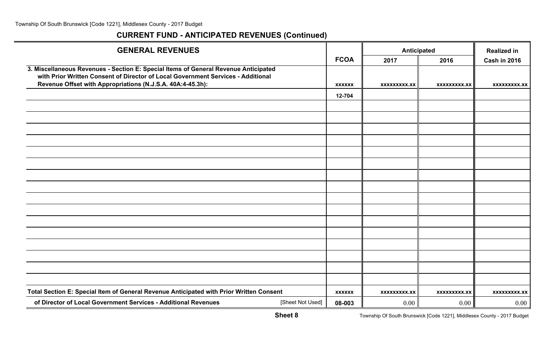| <b>GENERAL REVENUES</b>                                                                                                                                                 |                  |               | Anticipated         | <b>Realized in</b>  |                     |
|-------------------------------------------------------------------------------------------------------------------------------------------------------------------------|------------------|---------------|---------------------|---------------------|---------------------|
|                                                                                                                                                                         |                  | <b>FCOA</b>   | 2017                | 2016                | <b>Cash in 2016</b> |
| 3. Miscellaneous Revenues - Section E: Special Items of General Revenue Anticipated<br>with Prior Written Consent of Director of Local Government Services - Additional |                  |               |                     |                     |                     |
| Revenue Offset with Appropriations (N.J.S.A. 40A:4-45.3h):                                                                                                              |                  | <b>XXXXXX</b> | XXXXXXXXX.XX        | XXXXXXXXX.XX        | XXXXXXXXX.XX        |
|                                                                                                                                                                         |                  | 12-704        |                     |                     |                     |
|                                                                                                                                                                         |                  |               |                     |                     |                     |
|                                                                                                                                                                         |                  |               |                     |                     |                     |
|                                                                                                                                                                         |                  |               |                     |                     |                     |
|                                                                                                                                                                         |                  |               |                     |                     |                     |
|                                                                                                                                                                         |                  |               |                     |                     |                     |
|                                                                                                                                                                         |                  |               |                     |                     |                     |
|                                                                                                                                                                         |                  |               |                     |                     |                     |
|                                                                                                                                                                         |                  |               |                     |                     |                     |
|                                                                                                                                                                         |                  |               |                     |                     |                     |
|                                                                                                                                                                         |                  |               |                     |                     |                     |
|                                                                                                                                                                         |                  |               |                     |                     |                     |
|                                                                                                                                                                         |                  |               |                     |                     |                     |
|                                                                                                                                                                         |                  |               |                     |                     |                     |
|                                                                                                                                                                         |                  |               |                     |                     |                     |
|                                                                                                                                                                         |                  |               |                     |                     |                     |
|                                                                                                                                                                         |                  |               |                     |                     |                     |
| Total Section E: Special Item of General Revenue Anticipated with Prior Written Consent                                                                                 |                  | <b>XXXXXX</b> | <b>XXXXXXXXX.XX</b> | <b>XXXXXXXXX.XX</b> | <b>XXXXXXXXX.XX</b> |
| of Director of Local Government Services - Additional Revenues                                                                                                          | [Sheet Not Used] | 08-003        | 0.00                | 0.00                | 0.00                |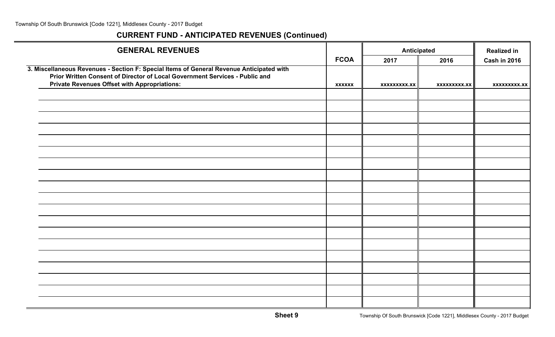| <b>GENERAL REVENUES</b>                                                                                                                                                                                                        |               | <b>Anticipated</b>  | <b>Realized in</b>  |                     |
|--------------------------------------------------------------------------------------------------------------------------------------------------------------------------------------------------------------------------------|---------------|---------------------|---------------------|---------------------|
|                                                                                                                                                                                                                                | <b>FCOA</b>   | 2017                | 2016                | <b>Cash in 2016</b> |
| 3. Miscellaneous Revenues - Section F: Special Items of General Revenue Anticipated with<br>Prior Written Consent of Director of Local Government Services - Public and<br><b>Private Revenues Offset with Appropriations:</b> | <b>XXXXXX</b> | <b>XXXXXXXXX.XX</b> | <b>XXXXXXXXX.XX</b> | <b>XXXXXXXXX.XX</b> |
|                                                                                                                                                                                                                                |               |                     |                     |                     |
|                                                                                                                                                                                                                                |               |                     |                     |                     |
|                                                                                                                                                                                                                                |               |                     |                     |                     |
|                                                                                                                                                                                                                                |               |                     |                     |                     |
|                                                                                                                                                                                                                                |               |                     |                     |                     |
|                                                                                                                                                                                                                                |               |                     |                     |                     |
|                                                                                                                                                                                                                                |               |                     |                     |                     |
|                                                                                                                                                                                                                                |               |                     |                     |                     |
|                                                                                                                                                                                                                                |               |                     |                     |                     |
|                                                                                                                                                                                                                                |               |                     |                     |                     |
|                                                                                                                                                                                                                                |               |                     |                     |                     |
|                                                                                                                                                                                                                                |               |                     |                     |                     |
|                                                                                                                                                                                                                                |               |                     |                     |                     |
|                                                                                                                                                                                                                                |               |                     |                     |                     |
|                                                                                                                                                                                                                                |               |                     |                     |                     |
|                                                                                                                                                                                                                                |               |                     |                     |                     |
|                                                                                                                                                                                                                                |               |                     |                     |                     |
|                                                                                                                                                                                                                                |               |                     |                     |                     |
|                                                                                                                                                                                                                                |               |                     |                     |                     |
|                                                                                                                                                                                                                                |               |                     |                     |                     |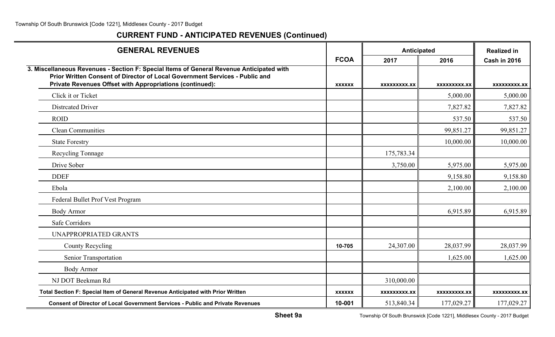| <b>GENERAL REVENUES</b>                                                                                                                                                                                                             |               | Anticipated         | <b>Realized in</b> |                     |
|-------------------------------------------------------------------------------------------------------------------------------------------------------------------------------------------------------------------------------------|---------------|---------------------|--------------------|---------------------|
|                                                                                                                                                                                                                                     | <b>FCOA</b>   | 2017                | 2016               | <b>Cash in 2016</b> |
| 3. Miscellaneous Revenues - Section F: Special Items of General Revenue Anticipated with<br>Prior Written Consent of Director of Local Government Services - Public and<br>Private Revenues Offset with Appropriations (continued): | <b>XXXXXX</b> | XXXXXXXXX.XX        | XXXXXXXXX.XX       | XXXXXXXXX.XX        |
| Click it or Ticket                                                                                                                                                                                                                  |               |                     | 5,000.00           | 5,000.00            |
| <b>Distrcated Driver</b>                                                                                                                                                                                                            |               |                     | 7,827.82           | 7,827.82            |
| <b>ROID</b>                                                                                                                                                                                                                         |               |                     | 537.50             | 537.50              |
| <b>Clean Communities</b>                                                                                                                                                                                                            |               |                     | 99,851.27          | 99,851.27           |
| <b>State Forestry</b>                                                                                                                                                                                                               |               |                     | 10,000.00          | 10,000.00           |
| Recycling Tonnage                                                                                                                                                                                                                   |               | 175,783.34          |                    |                     |
| Drive Sober                                                                                                                                                                                                                         |               | 3,750.00            | 5,975.00           | 5,975.00            |
| <b>DDEF</b>                                                                                                                                                                                                                         |               |                     | 9,158.80           | 9,158.80            |
| Ebola                                                                                                                                                                                                                               |               |                     | 2,100.00           | 2,100.00            |
| Federal Bullet Prof Vest Program                                                                                                                                                                                                    |               |                     |                    |                     |
| <b>Body Armor</b>                                                                                                                                                                                                                   |               |                     | 6,915.89           | 6,915.89            |
| Safe Corridors                                                                                                                                                                                                                      |               |                     |                    |                     |
| <b>UNAPPROPRIATED GRANTS</b>                                                                                                                                                                                                        |               |                     |                    |                     |
| <b>County Recycling</b>                                                                                                                                                                                                             | 10-705        | 24,307.00           | 28,037.99          | 28,037.99           |
| Senior Transportation                                                                                                                                                                                                               |               |                     | 1,625.00           | 1,625.00            |
| <b>Body Armor</b>                                                                                                                                                                                                                   |               |                     |                    |                     |
| NJ DOT Beekman Rd                                                                                                                                                                                                                   |               | 310,000.00          |                    |                     |
| Total Section F: Special Item of General Revenue Anticipated with Prior Written                                                                                                                                                     | <b>XXXXXX</b> | <b>XXXXXXXXX.XX</b> | XXXXXXXXX.XX       | <b>XXXXXXXXX.XX</b> |
| <b>Consent of Director of Local Government Services - Public and Private Revenues</b>                                                                                                                                               | 10-001        | 513,840.34          | 177,029.27         | 177,029.27          |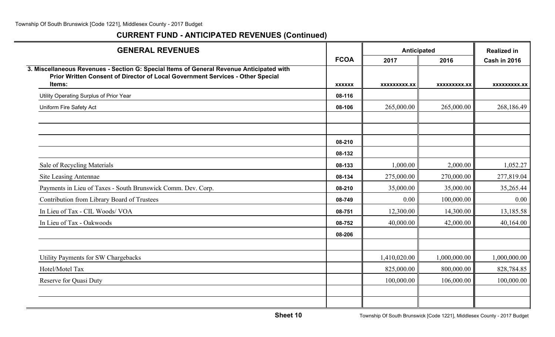| <b>GENERAL REVENUES</b>                                                                                                                                                              |                  | Anticipated  | <b>Realized in</b> |                     |
|--------------------------------------------------------------------------------------------------------------------------------------------------------------------------------------|------------------|--------------|--------------------|---------------------|
|                                                                                                                                                                                      | <b>FCOA</b>      | 2017         | 2016               | <b>Cash in 2016</b> |
| 3. Miscellaneous Revenues - Section G: Special Items of General Revenue Anticipated with<br>Prior Written Consent of Director of Local Government Services - Other Special<br>Items: | <b>XXXXXX</b>    | XXXXXXXXX.XX | XXXXXXXXX.XX       | XXXXXXXXX.XX        |
|                                                                                                                                                                                      |                  |              |                    |                     |
| Utility Operating Surplus of Prior Year                                                                                                                                              | 08-116           |              |                    |                     |
| Uniform Fire Safety Act                                                                                                                                                              | 08-106           | 265,000.00   | 265,000.00         | 268,186.49          |
|                                                                                                                                                                                      |                  |              |                    |                     |
|                                                                                                                                                                                      |                  |              |                    |                     |
|                                                                                                                                                                                      | 08-210<br>08-132 |              |                    |                     |
| Sale of Recycling Materials                                                                                                                                                          | 08-133           | 1,000.00     | 2,000.00           | 1,052.27            |
| Site Leasing Antennae                                                                                                                                                                | 08-134           | 275,000.00   | 270,000.00         | 277,819.04          |
| Payments in Lieu of Taxes - South Brunswick Comm. Dev. Corp.                                                                                                                         | 08-210           | 35,000.00    | 35,000.00          | 35,265.44           |
| Contribution from Library Board of Trustees                                                                                                                                          | 08-749           | 0.00         | 100,000.00         | 0.00                |
| In Lieu of Tax - CIL Woods/ VOA                                                                                                                                                      | 08-751           | 12,300.00    | 14,300.00          | 13,185.58           |
| In Lieu of Tax - Oakwoods                                                                                                                                                            | 08-752           | 40,000.00    | 42,000.00          | 40,164.00           |
|                                                                                                                                                                                      | 08-206           |              |                    |                     |
|                                                                                                                                                                                      |                  |              |                    |                     |
| Utility Payments for SW Chargebacks                                                                                                                                                  |                  | 1,410,020.00 | 1,000,000.00       | 1,000,000.00        |
| Hotel/Motel Tax                                                                                                                                                                      |                  | 825,000.00   | 800,000.00         | 828,784.85          |
| <b>Reserve for Quasi Duty</b>                                                                                                                                                        |                  | 100,000.00   | 106,000.00         | 100,000.00          |
|                                                                                                                                                                                      |                  |              |                    |                     |
|                                                                                                                                                                                      |                  |              |                    |                     |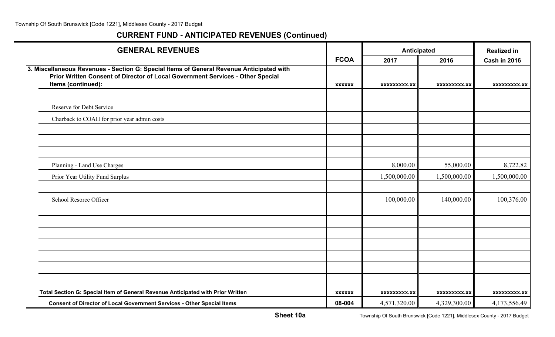| <b>GENERAL REVENUES</b>                                                                                                                                                                          |               | Anticipated         | <b>Realized in</b>  |                     |
|--------------------------------------------------------------------------------------------------------------------------------------------------------------------------------------------------|---------------|---------------------|---------------------|---------------------|
|                                                                                                                                                                                                  | <b>FCOA</b>   | 2017                | 2016                | <b>Cash in 2016</b> |
| 3. Miscellaneous Revenues - Section G: Special Items of General Revenue Anticipated with<br>Prior Written Consent of Director of Local Government Services - Other Special<br>Items (continued): | <b>XXXXXX</b> | XXXXXXXXX.XX        | XXXXXXXXX.XX        | XXXXXXXXX.XX        |
|                                                                                                                                                                                                  |               |                     |                     |                     |
| Reserve for Debt Service                                                                                                                                                                         |               |                     |                     |                     |
| Charback to COAH for prior year admin costs                                                                                                                                                      |               |                     |                     |                     |
|                                                                                                                                                                                                  |               |                     |                     |                     |
|                                                                                                                                                                                                  |               |                     |                     |                     |
|                                                                                                                                                                                                  |               |                     |                     |                     |
| Planning - Land Use Charges                                                                                                                                                                      |               | 8,000.00            | 55,000.00           | 8,722.82            |
| Prior Year Utility Fund Surplus                                                                                                                                                                  |               | 1,500,000.00        | 1,500,000.00        | 1,500,000.00        |
|                                                                                                                                                                                                  |               |                     |                     |                     |
| <b>School Resorce Officer</b>                                                                                                                                                                    |               | 100,000.00          | 140,000.00          | 100,376.00          |
|                                                                                                                                                                                                  |               |                     |                     |                     |
|                                                                                                                                                                                                  |               |                     |                     |                     |
|                                                                                                                                                                                                  |               |                     |                     |                     |
|                                                                                                                                                                                                  |               |                     |                     |                     |
|                                                                                                                                                                                                  |               |                     |                     |                     |
|                                                                                                                                                                                                  |               |                     |                     |                     |
|                                                                                                                                                                                                  |               |                     |                     |                     |
| Total Section G: Special Item of General Revenue Anticipated with Prior Written                                                                                                                  | <b>XXXXXX</b> | <b>XXXXXXXXX.XX</b> | <b>XXXXXXXXX.XX</b> | <b>XXXXXXXXX.XX</b> |
| <b>Consent of Director of Local Government Services - Other Special Items</b>                                                                                                                    | 08-004        | 4,571,320.00        | 4,329,300.00        | 4,173,556.49        |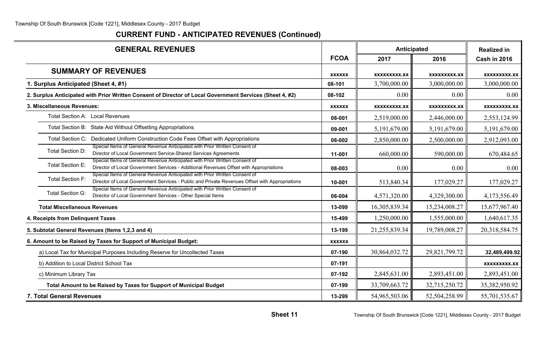| <b>GENERAL REVENUES</b>                                                                                                                                                                                 |               | <b>Anticipated</b>  |                     | <b>Realized in</b>  |
|---------------------------------------------------------------------------------------------------------------------------------------------------------------------------------------------------------|---------------|---------------------|---------------------|---------------------|
|                                                                                                                                                                                                         | <b>FCOA</b>   | 2017                | 2016                | <b>Cash in 2016</b> |
| <b>SUMMARY OF REVENUES</b>                                                                                                                                                                              | <b>XXXXXX</b> | <b>XXXXXXXXX.XX</b> | <b>XXXXXXXXX.XX</b> | <b>XXXXXXXXX.XX</b> |
| 1. Surplus Anticipated (Sheet 4, #1)                                                                                                                                                                    | 08-101        | 3,700,000.00        | 3,000,000.00        | 3,000,000.00        |
| 2. Surplus Anticipated with Prior Written Consent of Director of Local Government Services (Sheet 4, #2)                                                                                                | 08-102        | 0.00                | 0.00                | 0.00                |
| 3. Miscellaneous Revenues:                                                                                                                                                                              | <b>XXXXXX</b> | XXXXXXXXX.XX        | <b>XXXXXXXXX.XX</b> | <b>XXXXXXXXX.XX</b> |
| Total Section A: Local Revenues                                                                                                                                                                         | 08-001        | 2,519,000.00        | 2,446,000.00        | 2,553,124.99        |
| Total Section B: State Aid Without Offsetting Appropriations                                                                                                                                            | 09-001        | 5,191,679.00        | 5,191,679.00        | 5,191,679.00        |
| Total Section C: Dedicated Uniform Construction Code Fees Offset with Appropriations                                                                                                                    | 08-002        | 2,850,000.00        | 2,500,000.00        | 2,912,093.00        |
| Special Items of General Revenue Anticipated with Prior Written Consent of<br>Total Section D:<br>Director of Local Government Service-Shared Services Agreements                                       | 11-001        | 660,000.00          | 590,000.00          | 670,484.65          |
| Special Items of General Revenue Anticipated with Prior Written Consent of<br>Total Section E:<br>Director of Local Government Services - Additional Revenues Offset with Appropriations                | 08-003        | 0.00                | 0.00                | 0.00                |
| Special Items of General Revenue Anticipated with Prior Written Consent of<br><b>Total Section F:</b><br>Director of Local Government Services - Public and Private Revenues Offset with Appropriations | 10-001        | 513,840.34          | 177,029.27          | 177,029.27          |
| Special Items of General Revenue Anticipated with Prior Written Consent of<br><b>Total Section G:</b><br>Director of Local Government Services - Other Special Items                                    | 08-004        | 4,571,320.00        | 4,329,300.00        | 4,173,556.49        |
| <b>Total Miscellaneous Revenues</b>                                                                                                                                                                     | 13-099        | 16,305,839.34       | 15,234,008.27       | 15,677,967.40       |
| 4. Receipts from Delinquent Taxes                                                                                                                                                                       | 15-499        | 1,250,000.00        | 1,555,000.00        | 1,640,617.35        |
| 5. Subtotal General Revenues (Items 1,2,3 and 4)                                                                                                                                                        | 13-199        | 21,255,839.34       | 19,789,008.27       | 20,318,584.75       |
| 6. Amount to be Raised by Taxes for Support of Municipal Budget:                                                                                                                                        | <b>XXXXXX</b> |                     |                     |                     |
| a) Local Tax for Municipal Purposes Including Reserve for Uncollected Taxes                                                                                                                             | 07-190        | 30,864,032.72       | 29,821,799.72       | 32,489,499.92       |
| b) Addition to Local District School Tax                                                                                                                                                                | 07-191        |                     |                     | <b>XXXXXXXXX.XX</b> |
| c) Minimum Library Tax                                                                                                                                                                                  | 07-192        | 2,845,631.00        | 2,893,451.00        | 2,893,451.00        |
| Total Amount to be Raised by Taxes for Support of Municipal Budget                                                                                                                                      | 07-199        | 33,709,663.72       | 32,715,250.72       | 35,382,950.92       |
| 7. Total General Revenues                                                                                                                                                                               | 13-299        | 54,965,503.06       | 52,504,258.99       | 55,701,535.67       |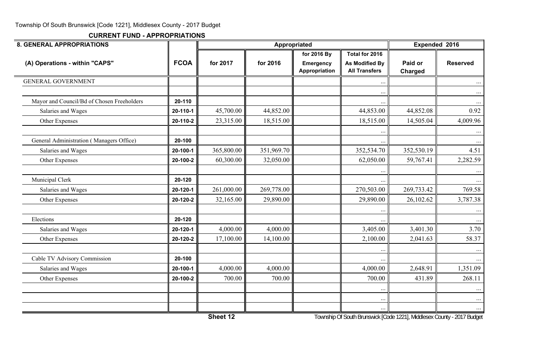| <b>8. GENERAL APPROPRIATIONS</b>           |             |            | <b>Appropriated</b> | Expended 2016                   |                                         |            |                 |
|--------------------------------------------|-------------|------------|---------------------|---------------------------------|-----------------------------------------|------------|-----------------|
| (A) Operations - within "CAPS"             | <b>FCOA</b> | for 2017   | for 2016            | for 2016 By<br><b>Emergency</b> | Total for 2016<br><b>As Modified By</b> | Paid or    | <b>Reserved</b> |
|                                            |             |            |                     | Appropriation                   | <b>All Transfers</b>                    | Charged    |                 |
| <b>GENERAL GOVERNMENT</b>                  |             |            |                     |                                 |                                         |            |                 |
|                                            |             |            |                     |                                 | $\ddotsc$                               |            | $\ddotsc$       |
| Mayor and Council/Bd of Chosen Freeholders | 20-110      |            |                     |                                 |                                         |            |                 |
| Salaries and Wages                         | 20-110-1    | 45,700.00  | 44,852.00           |                                 | 44,853.00                               | 44,852.08  | 0.92            |
| Other Expenses                             | 20-110-2    | 23,315.00  | 18,515.00           |                                 | 18,515.00                               | 14,505.04  | 4,009.96        |
|                                            |             |            |                     |                                 |                                         |            |                 |
| General Administration (Managers Office)   | 20-100      |            |                     |                                 |                                         |            |                 |
| Salaries and Wages                         | 20-100-1    | 365,800.00 | 351,969.70          |                                 | 352,534.70                              | 352,530.19 | 4.51            |
| Other Expenses                             | 20-100-2    | 60,300.00  | 32,050.00           |                                 | 62,050.00                               | 59,767.41  | 2,282.59        |
|                                            |             |            |                     |                                 |                                         |            |                 |
| Municipal Clerk                            | 20-120      |            |                     |                                 |                                         |            |                 |
| Salaries and Wages                         | 20-120-1    | 261,000.00 | 269,778.00          |                                 | 270,503.00                              | 269,733.42 | 769.58          |
| Other Expenses                             | 20-120-2    | 32,165.00  | 29,890.00           |                                 | 29,890.00                               | 26,102.62  | 3,787.38        |
|                                            |             |            |                     |                                 |                                         |            |                 |
| Elections                                  | 20-120      |            |                     |                                 |                                         |            |                 |
| Salaries and Wages                         | 20-120-1    | 4,000.00   | 4,000.00            |                                 | 3,405.00                                | 3,401.30   | 3.70            |
| Other Expenses                             | 20-120-2    | 17,100.00  | 14,100.00           |                                 | 2,100.00                                | 2,041.63   | 58.37           |
|                                            |             |            |                     |                                 | $\ddots$                                |            | $\ldots$        |
| Cable TV Advisory Commission               | 20-100      |            |                     |                                 |                                         |            |                 |
| Salaries and Wages                         | 20-100-1    | 4,000.00   | 4,000.00            |                                 | 4,000.00                                | 2,648.91   | 1,351.09        |
| Other Expenses                             | 20-100-2    | 700.00     | 700.00              |                                 | 700.00                                  | 431.89     | 268.11          |
|                                            |             |            |                     |                                 | $\ddotsc$                               |            | $\ddotsc$       |
|                                            |             |            |                     |                                 | $\ddots$                                |            | $\ddots$        |
|                                            |             |            |                     |                                 | $\ddots$                                |            | $\ddotsc$       |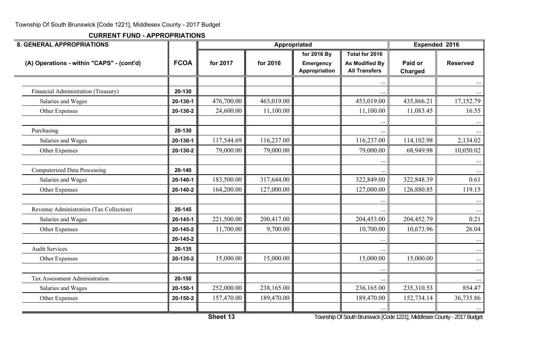**CURRENT FUND - APPROPRIATIONS**

| <b>8. GENERAL APPROPRIATIONS</b>          |             | Appropriated |            |                                                  |                                                                 | Expended 2016             |                 |
|-------------------------------------------|-------------|--------------|------------|--------------------------------------------------|-----------------------------------------------------------------|---------------------------|-----------------|
| (A) Operations - within "CAPS" - (cont'd) | <b>FCOA</b> | for 2017     | for 2016   | for 2016 By<br><b>Emergency</b><br>Appropriation | Total for 2016<br><b>As Modified By</b><br><b>All Transfers</b> | Paid or<br><b>Charged</b> | <b>Reserved</b> |
|                                           |             |              |            |                                                  |                                                                 |                           |                 |
| Financial Administration (Treasury)       | 20-130      |              |            |                                                  |                                                                 |                           |                 |
| Salaries and Wages                        | 20-130-1    | 476,700.00   | 463,019.00 |                                                  | 453,019.00                                                      | 435,866.21                | 17,152.79       |
| Other Expenses                            | 20-130-2    | 24,600.00    | 11,100.00  |                                                  | 11,100.00                                                       | 11,083.45                 | 16.55           |
| Purchasing                                | 20-130      |              |            |                                                  |                                                                 |                           |                 |
| Salaries and Wages                        | 20-130-1    | 117,544.69   | 116,237.00 |                                                  | 116,237.00                                                      | 114,102.98                | 2,134.02        |
| Other Expenses                            | 20-130-2    | 79,000.00    | 79,000.00  |                                                  | 79,000.00                                                       | 68,949.98                 | 10,050.02       |
| <b>Computerized Data Processing</b>       | 20-140      |              |            |                                                  |                                                                 |                           |                 |
| Salaries and Wages                        | 20-140-1    | 183,500.00   | 317,644.00 |                                                  | 322,849.00                                                      | 322,848.39                | 0.61            |
| Other Expenses                            | 20-140-2    | 164,200.00   | 127,000.00 |                                                  | 127,000.00                                                      | 126,880.85                | 119.15          |
| Revenue Administration (Tax Collection)   | 20-145      |              |            |                                                  |                                                                 |                           | $\cdots$        |
| Salaries and Wages                        | 20-145-1    | 221,500.00   | 200,417.00 |                                                  | 204,453.00                                                      | 204,452.79                | 0.21            |
| Other Expenses                            | 20-145-2    | 11,700.00    | 9,700.00   |                                                  | 10,700.00                                                       | 10,673.96                 | 26.04           |
|                                           | 20-145-2    |              |            |                                                  |                                                                 |                           |                 |
| <b>Audit Services</b>                     | 20-135      |              |            |                                                  |                                                                 |                           | $\ddots$        |
| Other Expenses                            | 20-135-2    | 15,000.00    | 15,000.00  |                                                  | 15,000.00                                                       | 15,000.00                 | $\cdots$        |
| Tax Assessment Administration             | 20-150      |              |            |                                                  | $\ddotsc$                                                       |                           | $\ldots$        |
| Salaries and Wages                        | 20-150-1    | 252,000.00   | 238,165.00 |                                                  | 236,165.00                                                      | 235,310.53                | 854.47          |
| Other Expenses                            | 20-150-2    | 157,470.00   | 189,470.00 |                                                  | 189,470.00                                                      | 152,734.14                | 36,735.86       |
|                                           |             | 71.147       |            |                                                  |                                                                 | $A \cap A \cap A$         |                 |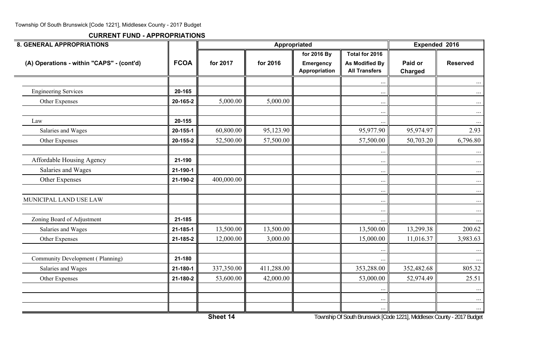| <b>8. GENERAL APPROPRIATIONS</b>          |             |            | Appropriated | Expended 2016                     |                                               |                    |                      |
|-------------------------------------------|-------------|------------|--------------|-----------------------------------|-----------------------------------------------|--------------------|----------------------|
|                                           |             |            |              | for 2016 By                       | Total for 2016                                |                    |                      |
| (A) Operations - within "CAPS" - (cont'd) | <b>FCOA</b> | for 2017   | for 2016     | <b>Emergency</b><br>Appropriation | <b>As Modified By</b><br><b>All Transfers</b> | Paid or<br>Charged | <b>Reserved</b>      |
|                                           |             |            |              |                                   | $\ddots$                                      |                    |                      |
| <b>Engineering Services</b>               | 20-165      |            |              |                                   | $\cdots$                                      |                    | $\ldots$             |
| Other Expenses                            | 20-165-2    | 5,000.00   | 5,000.00     |                                   | $\ldots$                                      |                    | $\ldots$             |
| Law                                       | 20-155      |            |              |                                   | $\ddots$<br>$\ddotsc$                         |                    | $\ldots$<br>$\cdots$ |
| Salaries and Wages                        | 20-155-1    | 60,800.00  | 95,123.90    |                                   | 95,977.90                                     | 95,974.97          | 2.93                 |
| Other Expenses                            | 20-155-2    | 52,500.00  | 57,500.00    |                                   | 57,500.00                                     | 50,703.20          | 6,796.80             |
|                                           |             |            |              |                                   | $\ddotsc$                                     |                    | $\ldots$             |
| Affordable Housing Agency                 | 21-190      |            |              |                                   | $\ldots$                                      |                    | $\ldots$             |
| Salaries and Wages                        | 21-190-1    |            |              |                                   | $\ddots$                                      |                    | $\ldots$             |
| Other Expenses                            | 21-190-2    | 400,000.00 |              |                                   | $\cdots$                                      |                    | $\ldots$             |
| MUNICIPAL LAND USE LAW                    |             |            |              |                                   | $\ldots$<br>$\ddots$                          |                    | $\ldots$<br>$\ldots$ |
|                                           |             |            |              |                                   | $\cdots$                                      |                    | $\dots$              |
| Zoning Board of Adjustment                | 21-185      |            |              |                                   |                                               |                    | $\cdots$             |
| Salaries and Wages                        | 21-185-1    | 13,500.00  | 13,500.00    |                                   | 13,500.00                                     | 13,299.38          | 200.62               |
| Other Expenses                            | 21-185-2    | 12,000.00  | 3,000.00     |                                   | 15,000.00                                     | 11,016.37          | 3,983.63             |
| Community Development (Planning)          | 21-180      |            |              |                                   |                                               |                    | $\cdots$             |
| Salaries and Wages                        | 21-180-1    | 337,350.00 | 411,288.00   |                                   | $\ddots$<br>353,288.00                        | 352,482.68         | $\cdots$<br>805.32   |
|                                           | 21-180-2    | 53,600.00  | 42,000.00    |                                   | 53,000.00                                     | 52,974.49          | 25.51                |
| Other Expenses                            |             |            |              |                                   |                                               |                    |                      |
|                                           |             |            |              |                                   | $\cdots$                                      |                    | $\dots$              |
|                                           |             |            |              |                                   | $\ddots$                                      |                    | $\cdots$             |
|                                           |             |            |              |                                   | $\ldots$                                      |                    | $\dots$              |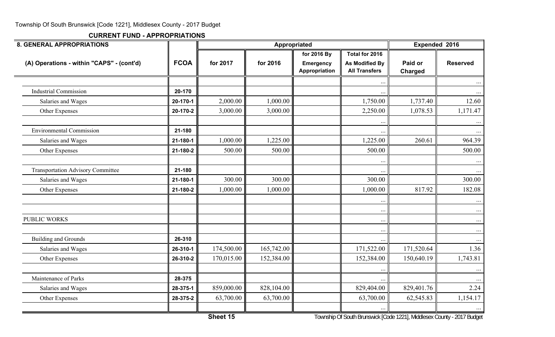**CURRENT FUND - APPROPRIATIONS**

| <b>8. GENERAL APPROPRIATIONS</b>          |             |                                              | Appropriated |                                   |                                               |                    | Expended 2016       |  |
|-------------------------------------------|-------------|----------------------------------------------|--------------|-----------------------------------|-----------------------------------------------|--------------------|---------------------|--|
|                                           |             |                                              |              | for 2016 By                       | Total for 2016                                |                    |                     |  |
| (A) Operations - within "CAPS" - (cont'd) | <b>FCOA</b> | for 2017                                     | for 2016     | <b>Emergency</b><br>Appropriation | <b>As Modified By</b><br><b>All Transfers</b> | Paid or<br>Charged | <b>Reserved</b>     |  |
|                                           |             |                                              |              |                                   | $\cdot$ .                                     |                    |                     |  |
| <b>Industrial Commission</b>              | 20-170      |                                              |              |                                   |                                               |                    |                     |  |
| Salaries and Wages                        | 20-170-1    | 2,000.00                                     | 1,000.00     |                                   | 1,750.00                                      | 1,737.40           | 12.60               |  |
| Other Expenses                            | 20-170-2    | 3,000.00                                     | 3,000.00     |                                   | 2,250.00                                      | 1,078.53           | 1,171.47            |  |
| <b>Environmental Commission</b>           | 21-180      |                                              |              |                                   | $\ddotsc$                                     |                    |                     |  |
| Salaries and Wages                        | 21-180-1    | 1,000.00                                     | 1,225.00     |                                   | 1,225.00                                      | 260.61             | 964.39              |  |
| Other Expenses                            | 21-180-2    | 500.00                                       | 500.00       |                                   | 500.00                                        |                    | 500.00              |  |
| <b>Transportation Advisory Committee</b>  | 21-180      |                                              |              |                                   | $\ddots$<br>$\ddotsc$                         |                    | $\dots$<br>$\cdots$ |  |
| Salaries and Wages                        | 21-180-1    | 300.00                                       | 300.00       |                                   | 300.00                                        |                    | 300.00              |  |
| Other Expenses                            | 21-180-2    | 1,000.00                                     | 1,000.00     |                                   | 1,000.00                                      | 817.92             | 182.08              |  |
|                                           |             |                                              |              |                                   | $\ddotsc$                                     |                    | $\cdots$            |  |
| PUBLIC WORKS                              |             |                                              |              |                                   | $\ddotsc$<br>$\ddots$                         |                    | $\ldots$            |  |
|                                           |             |                                              |              |                                   | $\ddotsc$                                     |                    | $\ldots$            |  |
| <b>Building and Grounds</b>               | 26-310      |                                              |              |                                   |                                               |                    |                     |  |
| Salaries and Wages                        | 26-310-1    | 174,500.00                                   | 165,742.00   |                                   | 171,522.00                                    | 171,520.64         | 1.36                |  |
| Other Expenses                            | 26-310-2    | 170,015.00                                   | 152,384.00   |                                   | 152,384.00                                    | 150,640.19         | 1,743.81            |  |
| Maintenance of Parks                      | 28-375      |                                              |              |                                   | $\ldots$                                      |                    | $\ddots$            |  |
| Salaries and Wages                        | 28-375-1    | 859,000.00                                   | 828,104.00   |                                   | 829,404.00                                    | 829,401.76         | 2.24                |  |
| Other Expenses                            | 28-375-2    | 63,700.00                                    | 63,700.00    |                                   | 63,700.00                                     | 62,545.83          | 1,154.17            |  |
|                                           |             | $\overline{a}$ $\overline{a}$ $\overline{a}$ |              |                                   |                                               |                    | $\dots$             |  |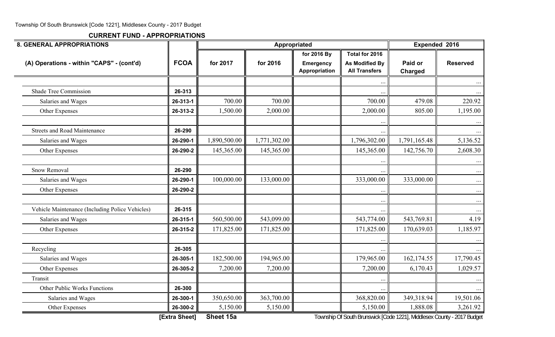| <b>8. GENERAL APPROPRIATIONS</b>                                                                      |             |              | Appropriated | Expended 2016                     |                                        |                    |                     |
|-------------------------------------------------------------------------------------------------------|-------------|--------------|--------------|-----------------------------------|----------------------------------------|--------------------|---------------------|
|                                                                                                       |             |              |              | for 2016 By                       | Total for 2016                         |                    |                     |
| (A) Operations - within "CAPS" - (cont'd)                                                             | <b>FCOA</b> | for 2017     | for 2016     | <b>Emergency</b><br>Appropriation | As Modified By<br><b>All Transfers</b> | Paid or<br>Charged | <b>Reserved</b>     |
|                                                                                                       |             |              |              |                                   |                                        |                    |                     |
| <b>Shade Tree Commission</b>                                                                          | 26-313      |              |              |                                   |                                        |                    |                     |
| Salaries and Wages                                                                                    | 26-313-1    | 700.00       | 700.00       |                                   | 700.00                                 | 479.08             | 220.92              |
| Other Expenses                                                                                        | 26-313-2    | 1,500.00     | 2,000.00     |                                   | 2,000.00                               | 805.00             | 1,195.00            |
| <b>Streets and Road Maintenance</b>                                                                   | 26-290      |              |              |                                   |                                        |                    | $\dots$             |
| Salaries and Wages                                                                                    | 26-290-1    | 1,890,500.00 | 1,771,302.00 |                                   | 1,796,302.00                           | 1,791,165.48       | 5,136.52            |
| Other Expenses                                                                                        | 26-290-2    | 145,365.00   | 145,365.00   |                                   | 145,365.00                             | 142,756.70         | 2,608.30            |
| <b>Snow Removal</b>                                                                                   | 26-290      |              |              |                                   |                                        |                    | $\cdots$<br>$\dots$ |
| Salaries and Wages                                                                                    | 26-290-1    | 100,000.00   | 133,000.00   |                                   | 333,000.00                             | 333,000.00         | $\cdots$            |
| Other Expenses                                                                                        | 26-290-2    |              |              |                                   |                                        |                    | $\ldots$            |
|                                                                                                       |             |              |              |                                   |                                        |                    | $\cdots$            |
| Vehicle Maintenance (Including Police Vehicles)                                                       | 26-315      |              |              |                                   |                                        |                    |                     |
| Salaries and Wages                                                                                    | 26-315-1    | 560,500.00   | 543,099.00   |                                   | 543,774.00                             | 543,769.81         | 4.19                |
| Other Expenses                                                                                        | 26-315-2    | 171,825.00   | 171,825.00   |                                   | 171,825.00                             | 170,639.03         | 1,185.97            |
| Recycling                                                                                             | 26-305      |              |              |                                   |                                        |                    | $\ldots$            |
| Salaries and Wages                                                                                    | 26-305-1    | 182,500.00   | 194,965.00   |                                   | 179,965.00                             | 162,174.55         | 17,790.45           |
| Other Expenses                                                                                        | 26-305-2    | 7,200.00     | 7,200.00     |                                   | 7,200.00                               | 6,170.43           | 1,029.57            |
| Transit                                                                                               |             |              |              |                                   |                                        |                    |                     |
| Other Public Works Functions                                                                          | 26-300      |              |              |                                   |                                        |                    |                     |
| Salaries and Wages                                                                                    | 26-300-1    | 350,650.00   | 363,700.00   |                                   | 368,820.00                             | 349,318.94         | 19,501.06           |
| Other Expenses                                                                                        | 26-300-2    | 5,150.00     | 5,150.00     |                                   | 5,150.00                               | 1,888.08           | 3,261.92            |
| Sheet 15a<br>[Extra Sheet]<br>Township Of South Brunswick [Code 1221], Middlesex County - 2017 Budget |             |              |              |                                   |                                        |                    |                     |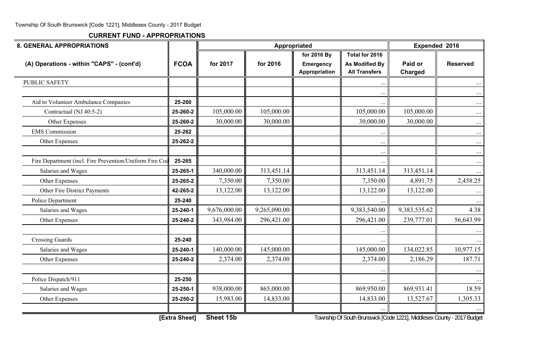**CURRENT FUND - APPROPRIATIONS**

| <b>8. GENERAL APPROPRIATIONS</b>                        |                      |              | Appropriated | Expended 2016              |                                                                      |                    |                 |
|---------------------------------------------------------|----------------------|--------------|--------------|----------------------------|----------------------------------------------------------------------|--------------------|-----------------|
|                                                         |                      |              |              | for 2016 By                | Total for 2016                                                       |                    |                 |
| (A) Operations - within "CAPS" - (cont'd)               | <b>FCOA</b>          | for 2017     | for 2016     | Emergency<br>Appropriation | <b>As Modified By</b><br><b>All Transfers</b>                        | Paid or<br>Charged | <b>Reserved</b> |
| <b>PUBLIC SAFETY</b>                                    |                      |              |              |                            |                                                                      |                    |                 |
|                                                         |                      |              |              |                            | $\ddots$                                                             |                    | $\cdots$        |
| Aid to Volunteer Ambulance Companies                    | 25-260               |              |              |                            | $\ddotsc$                                                            |                    | $\ldots$        |
| Contractual (NJ 40:5-2)                                 | 25-260-2             | 105,000.00   | 105,000.00   |                            | 105,000.00                                                           | 105,000.00         | $\ldots$        |
| Other Expenses                                          | 25-260-2             | 30,000.00    | 30,000.00    |                            | 30,000.00                                                            | 30,000.00          | $\ldots$        |
| <b>EMS</b> Commission                                   | 25-262               |              |              |                            | $\ddotsc$                                                            |                    | $\ldots$        |
| Other Expenses                                          | 25-262-2             |              |              |                            | $\ddotsc$                                                            |                    | $\ldots$        |
|                                                         |                      |              |              |                            | $\cdots$                                                             |                    | $\cdots$        |
| Fire Department (incl. Fire Prevention/Uniform Fire Coo | 25-265               |              |              |                            |                                                                      |                    | $\cdots$        |
| Salaries and Wages                                      | 25-265-1             | 340,000.00   | 313,451.14   |                            | 313,451.14                                                           | 313,451.14         |                 |
| Other Expenses                                          | 25-265-2             | 7,350.00     | 7,350.00     |                            | 7,350.00                                                             | 4,891.75           | 2,458.25        |
| Other Fire District Payments                            | 42-265-2             | 13,122.00    | 13,122.00    |                            | 13,122.00                                                            | 13,122.00          |                 |
| Police Department                                       | 25-240               |              |              |                            |                                                                      |                    | $\cdots$        |
| Salaries and Wages                                      | 25-240-1             | 9,676,000.00 | 9,265,090.00 |                            | 9,383,540.00                                                         | 9,383,535.62       | 4.38            |
| Other Expenses                                          | 25-240-2             | 343,984.00   | 296,421.00   |                            | 296,421.00                                                           | 239,777.01         | 56,643.99       |
|                                                         |                      |              |              |                            |                                                                      |                    | $\cdots$        |
| <b>Crossing Guards</b>                                  | 25-240               |              |              |                            |                                                                      |                    |                 |
| Salaries and Wages                                      | 25-240-1             | 140,000.00   | 145,000.00   |                            | 145,000.00                                                           | 134,022.85         | 10,977.15       |
| Other Expenses                                          | 25-240-2             | 2,374.00     | 2,374.00     |                            | 2,374.00                                                             | 2,186.29           | 187.71          |
|                                                         |                      |              |              |                            |                                                                      |                    |                 |
| Police Dispatch/911                                     | 25-250               |              |              |                            |                                                                      |                    |                 |
| Salaries and Wages                                      | 25-250-1             | 938,000.00   | 865,000.00   |                            | 869,950.00                                                           | 869,931.41         | 18.59           |
| Other Expenses                                          | 25-250-2             | 15,983.00    | 14,833.00    |                            | 14,833.00                                                            | 13,527.67          | 1,305.33        |
|                                                         |                      |              |              |                            |                                                                      |                    |                 |
|                                                         | <b>IEvira Chootl</b> | Shoot 15h    |              |                            | Township Of South Prunswick [Code 1991] Middlesox County 2017 Rudget |                    |                 |

**[Extra Sheet] Sheet 15b** Township Of South Brunswick [Code 1221], Middlesex County - 2017 Budget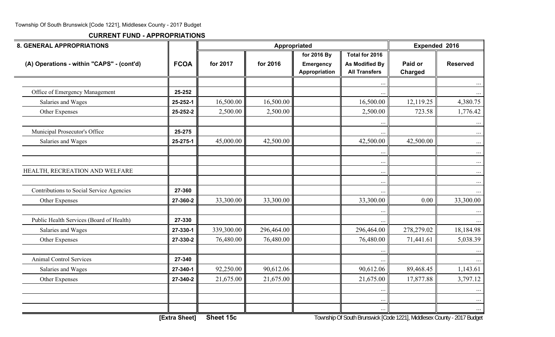| <b>8. GENERAL APPROPRIATIONS</b>          |                    |            | Appropriated | <b>Expended 2016</b>                             |                                                                 |                    |                       |
|-------------------------------------------|--------------------|------------|--------------|--------------------------------------------------|-----------------------------------------------------------------|--------------------|-----------------------|
| (A) Operations - within "CAPS" - (cont'd) | <b>FCOA</b>        | for 2017   | for 2016     | for 2016 By<br><b>Emergency</b><br>Appropriation | Total for 2016<br><b>As Modified By</b><br><b>All Transfers</b> | Paid or<br>Charged | <b>Reserved</b>       |
|                                           |                    |            |              |                                                  | $\ddots$                                                        |                    | $\cdots$              |
| Office of Emergency Management            | 25-252             |            |              |                                                  | $\ldots$                                                        |                    | $\cdots$              |
| Salaries and Wages                        | 25-252-1           | 16,500.00  | 16,500.00    |                                                  | 16,500.00                                                       | 12,119.25          | 4,380.75              |
| Other Expenses                            | 25-252-2           | 2,500.00   | 2,500.00     |                                                  | 2,500.00                                                        | 723.58             | 1,776.42              |
| Municipal Prosecutor's Office             | 25-275             |            |              |                                                  | $\ddotsc$                                                       |                    | $\ldots$<br>$\cdots$  |
| Salaries and Wages                        | 25-275-1           | 45,000.00  | 42,500.00    |                                                  | 42,500.00                                                       | 42,500.00          | $\ldots$              |
|                                           |                    |            |              |                                                  | $\ddotsc$<br>$\ldots$                                           |                    | $\cdots$<br>$\ldots$  |
| HEALTH, RECREATION AND WELFARE            |                    |            |              |                                                  | $\cdots$                                                        |                    | $\ldots$              |
| Contributions to Social Service Agencies  | 27-360             |            |              |                                                  | $\ddots$                                                        |                    | $\cdots$              |
| Other Expenses                            | 27-360-2           | 33,300.00  | 33,300.00    |                                                  | $\ddotsc$<br>33,300.00                                          | 0.00               | $\cdots$<br>33,300.00 |
| Public Health Services (Board of Health)  |                    |            |              |                                                  |                                                                 |                    |                       |
|                                           | 27-330<br>27-330-1 | 339,300.00 | 296,464.00   |                                                  | 296,464.00                                                      | 278,279.02         | 18,184.98             |
| Salaries and Wages                        |                    |            | 76,480.00    |                                                  |                                                                 |                    |                       |
| Other Expenses                            | 27-330-2           | 76,480.00  |              |                                                  | 76,480.00                                                       | 71,441.61          | 5,038.39              |
| <b>Animal Control Services</b>            | 27-340             |            |              |                                                  | $\ddotsc$<br>$\ldots$                                           |                    | $\ldots$              |
| Salaries and Wages                        | 27-340-1           | 92,250.00  | 90,612.06    |                                                  | 90,612.06                                                       | 89,468.45          | 1,143.61              |
| Other Expenses                            | 27-340-2           | 21,675.00  | 21,675.00    |                                                  | 21,675.00                                                       | 17,877.88          | 3,797.12              |
|                                           |                    |            |              |                                                  |                                                                 |                    | $\ldots$              |
|                                           |                    |            |              |                                                  | $\cdots$                                                        |                    |                       |
|                                           |                    |            |              |                                                  | $\ddotsc$                                                       |                    | $\cdots$              |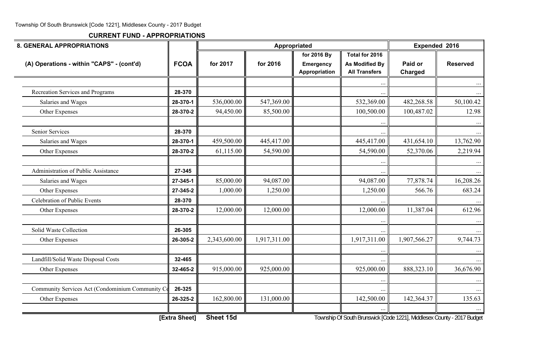**CURRENT FUND - APPROPRIATIONS**

| <b>8. GENERAL APPROPRIATIONS</b>                |                      |              | Appropriated |                                                  |                                                                       | Expended 2016      |                 |
|-------------------------------------------------|----------------------|--------------|--------------|--------------------------------------------------|-----------------------------------------------------------------------|--------------------|-----------------|
| (A) Operations - within "CAPS" - (cont'd)       | <b>FCOA</b>          | for 2017     | for 2016     | for 2016 By<br><b>Emergency</b><br>Appropriation | Total for 2016<br>As Modified By<br><b>All Transfers</b>              | Paid or<br>Charged | <b>Reserved</b> |
|                                                 |                      |              |              |                                                  | $\ddots$                                                              |                    | $\cdots$        |
| Recreation Services and Programs                | 28-370               |              |              |                                                  |                                                                       |                    |                 |
| Salaries and Wages                              | 28-370-1             | 536,000.00   | 547,369.00   |                                                  | 532,369.00                                                            | 482,268.58         | 50,100.42       |
| Other Expenses                                  | 28-370-2             | 94,450.00    | 85,500.00    |                                                  | 100,500.00                                                            | 100,487.02         | 12.98           |
| <b>Senior Services</b>                          | 28-370               |              |              |                                                  |                                                                       |                    |                 |
| Salaries and Wages                              | 28-370-1             | 459,500.00   | 445,417.00   |                                                  | 445,417.00                                                            | 431,654.10         | 13,762.90       |
| Other Expenses                                  | 28-370-2             | 61,115.00    | 54,590.00    |                                                  | 54,590.00                                                             | 52,370.06          | 2,219.94        |
| <b>Administration of Public Assistance</b>      | 27-345               |              |              |                                                  |                                                                       |                    | $\cdots$        |
| Salaries and Wages                              | 27-345-1             | 85,000.00    | 94,087.00    |                                                  | 94,087.00                                                             | 77,878.74          | 16,208.26       |
| Other Expenses                                  | 27-345-2             | 1,000.00     | 1,250.00     |                                                  | 1,250.00                                                              | 566.76             | 683.24          |
| <b>Celebration of Public Events</b>             | 28-370               |              |              |                                                  |                                                                       |                    |                 |
| Other Expenses                                  | 28-370-2             | 12,000.00    | 12,000.00    |                                                  | 12,000.00                                                             | 11,387.04          | 612.96          |
| Solid Waste Collection                          | 26-305               |              |              |                                                  |                                                                       |                    | $\cdots$        |
| Other Expenses                                  | 26-305-2             | 2,343,600.00 | 1,917,311.00 |                                                  | 1,917,311.00                                                          | 1,907,566.27       | 9,744.73        |
|                                                 |                      |              |              |                                                  |                                                                       |                    |                 |
| Landfill/Solid Waste Disposal Costs             | 32-465               |              |              |                                                  |                                                                       |                    |                 |
| Other Expenses                                  | 32-465-2             | 915,000.00   | 925,000.00   |                                                  | 925,000.00                                                            | 888,323.10         | 36,676.90       |
| Community Services Act (Condominium Community C | 26-325               |              |              |                                                  |                                                                       |                    | $\cdots$        |
| Other Expenses                                  | 26-325-2             | 162,800.00   | 131,000.00   |                                                  | 142,500.00                                                            | 142,364.37         | 135.63          |
|                                                 | <b>IEvtro Chootl</b> | Choot 15d    |              |                                                  | Township Of South Prunswick [Code 1221] Middlesov County, 2017 Pudget |                    |                 |

**[Extra Sheet] Sheet 15d** Township Of South Brunswick [Code 1221], Middlesex County - 2017 Budget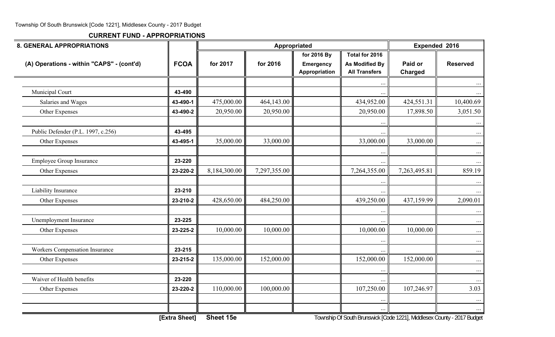| <b>8. GENERAL APPROPRIATIONS</b>          |               |              | Appropriated |                                   |                                                                         | Expended 2016      |                 |
|-------------------------------------------|---------------|--------------|--------------|-----------------------------------|-------------------------------------------------------------------------|--------------------|-----------------|
|                                           |               |              |              | for 2016 By                       | Total for 2016                                                          |                    |                 |
| (A) Operations - within "CAPS" - (cont'd) | <b>FCOA</b>   | for 2017     | for 2016     | <b>Emergency</b><br>Appropriation | <b>As Modified By</b><br><b>All Transfers</b>                           | Paid or<br>Charged | <b>Reserved</b> |
|                                           |               |              |              |                                   | $\ddotsc$                                                               |                    |                 |
| Municipal Court                           | 43-490        |              |              |                                   |                                                                         |                    |                 |
| Salaries and Wages                        | 43-490-1      | 475,000.00   | 464,143.00   |                                   | 434,952.00                                                              | 424,551.31         | 10,400.69       |
| Other Expenses                            | 43-490-2      | 20,950.00    | 20,950.00    |                                   | 20,950.00                                                               | 17,898.50          | 3,051.50        |
|                                           |               |              |              |                                   |                                                                         |                    | $\cdots$        |
| Public Defender (P.L. 1997, c.256)        | 43-495        |              |              |                                   |                                                                         |                    | $\dots$         |
| Other Expenses                            | 43-495-1      | 35,000.00    | 33,000.00    |                                   | 33,000.00                                                               | 33,000.00          | $\dots$         |
|                                           |               |              |              |                                   | $\cdots$                                                                |                    | $\dots$         |
| <b>Employee Group Insurance</b>           | 23-220        |              |              |                                   |                                                                         |                    |                 |
| Other Expenses                            | 23-220-2      | 8,184,300.00 | 7,297,355.00 |                                   | 7,264,355.00                                                            | 7,263,495.81       | 859.19          |
|                                           |               |              |              |                                   | $\ddotsc$                                                               |                    |                 |
| Liability Insurance                       | 23-210        |              |              |                                   |                                                                         |                    |                 |
| Other Expenses                            | 23-210-2      | 428,650.00   | 484,250.00   |                                   | 439,250.00                                                              | 437,159.99         | 2,090.01        |
|                                           |               |              |              |                                   | $\ddotsc$                                                               |                    | $\cdots$        |
| Unemployment Insurance                    | 23-225        |              |              |                                   |                                                                         |                    |                 |
| Other Expenses                            | 23-225-2      | 10,000.00    | 10,000.00    |                                   | 10,000.00                                                               | 10,000.00          | $\ldots$        |
|                                           |               |              |              |                                   |                                                                         |                    | $\dots$         |
| <b>Workers Compensation Insurance</b>     | 23-215        |              |              |                                   | $\ldots$                                                                |                    | $\dots$         |
| Other Expenses                            | 23-215-2      | 135,000.00   | 152,000.00   |                                   | 152,000.00                                                              | 152,000.00         | $\ldots$        |
|                                           |               |              |              |                                   |                                                                         |                    | $\cdots$        |
| Waiver of Health benefits                 | 23-220        |              |              |                                   | $\ldots$                                                                |                    | $\dots$         |
| Other Expenses                            | 23-220-2      | 110,000.00   | 100,000.00   |                                   | 107,250.00                                                              | 107,246.97         | 3.03            |
|                                           |               |              |              |                                   | $\ddots$                                                                |                    | $\dots$         |
|                                           | [Extra Sheet] | Sheet 15e    |              |                                   | Township Of South Brunswick [Code 1221], Middlesex County - 2017 Budget |                    |                 |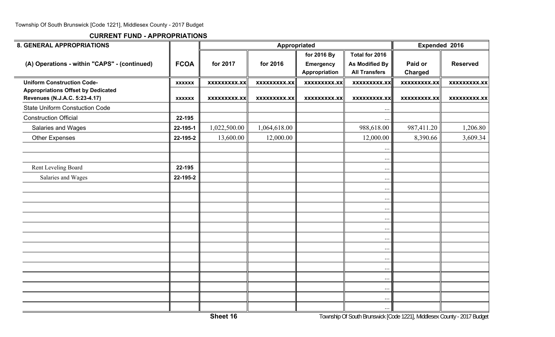| <b>8. GENERAL APPROPRIATIONS</b>                                           |               |                    | Appropriated        |                                                         |                                                                 | Expended 2016       |                     |
|----------------------------------------------------------------------------|---------------|--------------------|---------------------|---------------------------------------------------------|-----------------------------------------------------------------|---------------------|---------------------|
| (A) Operations - within "CAPS" - (continued)                               | <b>FCOA</b>   | for 2017           | for 2016            | for 2016 By<br><b>Emergency</b><br><b>Appropriation</b> | Total for 2016<br><b>As Modified By</b><br><b>All Transfers</b> | Paid or<br>Charged  | <b>Reserved</b>     |
| <b>Uniform Construction Code-</b>                                          | <b>XXXXXX</b> | <b>XXXXXXXX.XX</b> | <b>XXXXXXXXX.XX</b> | <b>XXXXXXXXX.XX</b>                                     | <b>XXXXXXXXX.XX</b>                                             | <b>XXXXXXXXX.XX</b> | <b>XXXXXXXXX.XX</b> |
| <b>Appropriations Offset by Dedicated</b><br>Revenues (N.J.A.C. 5:23-4.17) | <b>XXXXXX</b> | <b>XXXXXXXX.XX</b> | <b>XXXXXXXXX.XX</b> | <b>XXXXXXXXX.XX</b>                                     | <b>XXXXXXXXX.XX</b>                                             | <b>XXXXXXXXX.XX</b> | <b>XXXXXXXXX.XX</b> |
| <b>State Uniform Constuction Code</b>                                      |               |                    |                     |                                                         | $\ddotsc$                                                       |                     |                     |
| <b>Construction Official</b>                                               | 22-195        |                    |                     |                                                         |                                                                 |                     |                     |
| Salaries and Wages                                                         | 22-195-1      | 1,022,500.00       | 1,064,618.00        |                                                         | 988,618.00                                                      | 987,411.20          | 1,206.80            |
| <b>Other Expenses</b>                                                      | 22-195-2      | 13,600.00          | 12,000.00           |                                                         | 12,000.00                                                       | 8,390.66            | 3,609.34            |
|                                                                            |               |                    |                     |                                                         | $\ddotsc$                                                       |                     |                     |
|                                                                            |               |                    |                     |                                                         | $\ddots$                                                        |                     |                     |
| Rent Leveling Board                                                        | 22-195        |                    |                     |                                                         | $\ldots$                                                        |                     |                     |
| Salaries and Wages                                                         | 22-195-2      |                    |                     |                                                         | $\ldots$                                                        |                     |                     |
|                                                                            |               |                    |                     |                                                         | $\ldots$                                                        |                     |                     |
|                                                                            |               |                    |                     |                                                         | $\ddots$                                                        |                     |                     |
|                                                                            |               |                    |                     |                                                         | $\ldots$                                                        |                     |                     |
|                                                                            |               |                    |                     |                                                         | $\ldots$                                                        |                     |                     |
|                                                                            |               |                    |                     |                                                         | $\ddots$                                                        |                     |                     |
|                                                                            |               |                    |                     |                                                         | $\ddots$                                                        |                     |                     |
|                                                                            |               |                    |                     |                                                         | $\ldots$                                                        |                     |                     |
|                                                                            |               |                    |                     |                                                         | $\ddots$                                                        |                     |                     |
|                                                                            |               |                    |                     |                                                         | $\ddots$                                                        |                     |                     |
|                                                                            |               |                    |                     |                                                         | $\ddots$                                                        |                     |                     |
|                                                                            |               |                    |                     |                                                         | $\cdots$                                                        |                     |                     |
|                                                                            |               |                    |                     |                                                         | $\ddots$                                                        |                     |                     |
|                                                                            |               |                    |                     |                                                         | $\ldots$                                                        |                     |                     |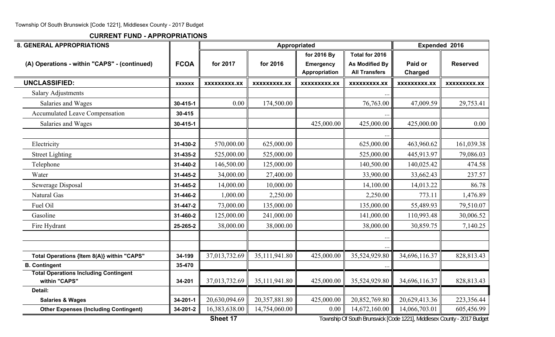**CURRENT FUND - APPROPRIATIONS**

| <b>8. GENERAL APPROPRIATIONS</b>                              |               |                     |                     | Appropriated                    |                                         | Expended 2016       |                     |  |
|---------------------------------------------------------------|---------------|---------------------|---------------------|---------------------------------|-----------------------------------------|---------------------|---------------------|--|
| (A) Operations - within "CAPS" - (continued)                  | <b>FCOA</b>   | for 2017            | for 2016            | for 2016 By<br><b>Emergency</b> | Total for 2016<br><b>As Modified By</b> | Paid or             | <b>Reserved</b>     |  |
|                                                               |               |                     |                     | Appropriation                   | <b>All Transfers</b>                    | <b>Charged</b>      |                     |  |
| <b>UNCLASSIFIED:</b>                                          | <b>XXXXXX</b> | <b>XXXXXXXXX.XX</b> | <b>XXXXXXXXX.XX</b> | <b>XXXXXXXXX.XX</b>             | <b>XXXXXXXXX.XX</b>                     | <b>XXXXXXXXX.XX</b> | <b>XXXXXXXXX.XX</b> |  |
| <b>Salary Adjustments</b>                                     |               |                     |                     |                                 |                                         |                     |                     |  |
| Salaries and Wages                                            | 30-415-1      | 0.00                | 174,500.00          |                                 | 76,763.00                               | 47,009.59           | 29,753.41           |  |
| <b>Accumulated Leave Compensation</b>                         | 30-415        |                     |                     |                                 |                                         |                     |                     |  |
| Salaries and Wages                                            | 30-415-1      |                     |                     | 425,000.00                      | 425,000.00                              | 425,000.00          | 0.00                |  |
|                                                               |               |                     |                     |                                 |                                         |                     |                     |  |
| Electricity                                                   | 31-430-2      | 570,000.00          | 625,000.00          |                                 | 625,000.00                              | 463,960.62          | 161,039.38          |  |
| <b>Street Lighting</b>                                        | 31-435-2      | 525,000.00          | 525,000.00          |                                 | 525,000.00                              | 445,913.97          | 79,086.03           |  |
| Telephone                                                     | 31-440-2      | 146,500.00          | 125,000.00          |                                 | 140,500.00                              | 140,025.42          | 474.58              |  |
| Water                                                         | 31-445-2      | 34,000.00           | 27,400.00           |                                 | 33,900.00                               | 33,662.43           | 237.57              |  |
| Sewerage Disposal                                             | 31-445-2      | 14,000.00           | 10,000.00           |                                 | 14,100.00                               | 14,013.22           | 86.78               |  |
| Natural Gas                                                   | 31-446-2      | 1,000.00            | 2,250.00            |                                 | 2,250.00                                | 773.11              | 1,476.89            |  |
| Fuel Oil                                                      | 31-447-2      | 73,000.00           | 135,000.00          |                                 | 135,000.00                              | 55,489.93           | 79,510.07           |  |
| Gasoline                                                      | 31-460-2      | 125,000.00          | 241,000.00          |                                 | 141,000.00                              | 110,993.48          | 30,006.52           |  |
| Fire Hydrant                                                  | 25-265-2      | 38,000.00           | 38,000.00           |                                 | 38,000.00                               | 30,859.75           | 7,140.25            |  |
|                                                               |               |                     |                     |                                 |                                         |                     |                     |  |
|                                                               |               |                     |                     |                                 |                                         |                     |                     |  |
| Total Operations {Item 8(A)} within "CAPS"                    | 34-199        | 37,013,732.69       | 35,111,941.80       | 425,000.00                      | 35,524,929.80                           | 34,696,116.37       | 828,813.43          |  |
| <b>B. Contingent</b>                                          | 35-470        |                     |                     |                                 |                                         |                     |                     |  |
| <b>Total Operations Including Contingent</b><br>within "CAPS" | 34-201        | 37,013,732.69       | 35,111,941.80       | 425,000.00                      | 35,524,929.80                           | 34,696,116.37       | 828,813.43          |  |
| Detail:                                                       |               |                     |                     |                                 |                                         |                     |                     |  |
| <b>Salaries &amp; Wages</b>                                   | 34-201-1      | 20,630,094.69       | 20,357,881.80       | 425,000.00                      | 20,852,769.80                           | 20,629,413.36       | 223,356.44          |  |
| <b>Other Expenses (Including Contingent)</b>                  | 34-201-2      | 16,383,638.00       | 14,754,060.00       | 0.00                            | 14,672,160.00                           | 14,066,703.01       | 605,456.99          |  |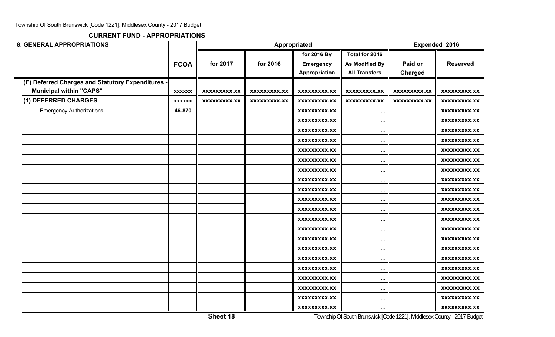| <b>8. GENERAL APPROPRIATIONS</b>                  |               |                     |                     | Appropriated        |                       |                     | Expended 2016       |
|---------------------------------------------------|---------------|---------------------|---------------------|---------------------|-----------------------|---------------------|---------------------|
|                                                   |               |                     |                     | for 2016 By         | Total for 2016        |                     |                     |
|                                                   | <b>FCOA</b>   | for 2017            | for 2016            | <b>Emergency</b>    | <b>As Modified By</b> | Paid or             | <b>Reserved</b>     |
|                                                   |               |                     |                     | Appropriation       | <b>All Transfers</b>  | <b>Charged</b>      |                     |
| (E) Deferred Charges and Statutory Expenditures - |               |                     |                     |                     |                       |                     |                     |
| <b>Municipal within "CAPS"</b>                    | <b>XXXXXX</b> | <b>XXXXXXXXX.XX</b> | <b>XXXXXXXXX.XX</b> | <b>XXXXXXXXX.XX</b> | <b>XXXXXXXXX.XX</b>   | <b>XXXXXXXXX.XX</b> | <b>XXXXXXXXX.XX</b> |
| (1) DEFERRED CHARGES                              | <b>XXXXXX</b> | XXXXXXXXX.XX        | XXXXXXXXX.XX        | XXXXXXXXX.XX        | XXXXXXXXX.XX          | <b>XXXXXXXXX.XX</b> | XXXXXXXXX.XX        |
| <b>Emergency Authorizations</b>                   | 46-870        |                     |                     | <b>XXXXXXXXX.XX</b> | $\ddotsc$             |                     | XXXXXXXX.XX         |
|                                                   |               |                     |                     | <b>XXXXXXXXX.XX</b> | $\ddotsc$             |                     | XXXXXXXXX.XX        |
|                                                   |               |                     |                     | XXXXXXXXX.XX        | $\ddotsc$             |                     | XXXXXXXXX.XX        |
|                                                   |               |                     |                     | <b>XXXXXXXXX.XX</b> | $\cdots$              |                     | XXXXXXXXX.XX        |
|                                                   |               |                     |                     | XXXXXXXXX.XX        | $\cdot \cdot \cdot$   |                     | XXXXXXXXX.XX        |
|                                                   |               |                     |                     | XXXXXXXXX.XX        | $\ddotsc$             |                     | XXXXXXXXX.XX        |
|                                                   |               |                     |                     | XXXXXXXXX.XX        | $\ddots$              |                     | XXXXXXXXX.XX        |
|                                                   |               |                     |                     | XXXXXXXXX.XX        | $\ddotsc$             |                     | XXXXXXXXX.XX        |
|                                                   |               |                     |                     | XXXXXXXXX.XX        | $\ddotsc$             |                     | XXXXXXXXX.XX        |
|                                                   |               |                     |                     | <b>XXXXXXXXX.XX</b> | $\cdots$              |                     | XXXXXXXXX.XX        |
|                                                   |               |                     |                     | XXXXXXXXX.XX        | $\ddotsc$             |                     | XXXXXXXXX.XX        |
|                                                   |               |                     |                     | <b>XXXXXXXXX.XX</b> | $\ddotsc$             |                     | XXXXXXXXX.XX        |
|                                                   |               |                     |                     | XXXXXXXXX.XX        | $\cdots$              |                     | XXXXXXXXX.XX        |
|                                                   |               |                     |                     | XXXXXXXXX.XX        | $\ddotsc$             |                     | XXXXXXXXX.XX        |
|                                                   |               |                     |                     | <b>XXXXXXXXX.XX</b> | $\ddotsc$             |                     | XXXXXXXXX.XX        |
|                                                   |               |                     |                     | XXXXXXXXX.XX        | $\cdots$              |                     | XXXXXXXXX.XX        |
|                                                   |               |                     |                     | <b>XXXXXXXXX.XX</b> | $\ddotsc$             |                     | XXXXXXXXX.XX        |
|                                                   |               |                     |                     | <b>XXXXXXXXX.XX</b> | $\cdots$              |                     | XXXXXXXXX.XX        |
|                                                   |               |                     |                     | XXXXXXXXX.XX        | $\cdots$              |                     | XXXXXXXXX.XX        |
|                                                   |               |                     |                     | <b>XXXXXXXXX.XX</b> | $\ddots$              |                     | <b>XXXXXXXXX.XX</b> |
|                                                   |               |                     |                     | <b>XXXXXXXXX.XX</b> | $\ddotsc$             |                     | XXXXXXXXX.XX        |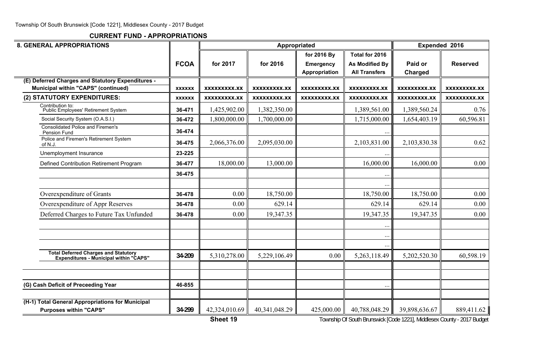**CURRENT FUND - APPROPRIATIONS**

| <b>8. GENERAL APPROPRIATIONS</b>                                                         |               |                     |                     | Appropriated                                     |                                                                 |                           | Expended 2016       |
|------------------------------------------------------------------------------------------|---------------|---------------------|---------------------|--------------------------------------------------|-----------------------------------------------------------------|---------------------------|---------------------|
|                                                                                          | <b>FCOA</b>   | for 2017            | for 2016            | for 2016 By<br><b>Emergency</b><br>Appropriation | Total for 2016<br><b>As Modified By</b><br><b>All Transfers</b> | Paid or<br><b>Charged</b> | <b>Reserved</b>     |
| (E) Deferred Charges and Statutory Expenditures -<br>Municipal within "CAPS" (continued) | <b>XXXXXX</b> | <b>XXXXXXXXX.XX</b> | <b>XXXXXXXXX.XX</b> | <b>XXXXXXXXX.XX</b>                              | XXXXXXXXX.XX                                                    | XXXXXXXX.XX               | <b>XXXXXXXXX.XX</b> |
| (2) STATUTORY EXPENDITURES:                                                              | <b>XXXXXX</b> | <b>XXXXXXXXX.XX</b> | <b>XXXXXXXXX.XX</b> | XXXXXXXXX.XX                                     | XXXXXXXXX.XX                                                    | XXXXXXXXX.XX              | <b>XXXXXXXXX.XX</b> |
| Contribution to:<br>Public Employees' Retirement System                                  | 36-471        | 1,425,902.00        | 1,382,350.00        |                                                  | 1,389,561.00                                                    | 1,389,560.24              | 0.76                |
| Social Security System (O.A.S.I.)                                                        | 36-472        | 1,800,000.00        | 1,700,000.00        |                                                  | 1,715,000.00                                                    | 1,654,403.19              | 60,596.81           |
| <b>Consolidated Police and Firemen's</b><br>Pension Fund                                 | 36-474        |                     |                     |                                                  |                                                                 |                           |                     |
| Police and Firemen's Retirement System<br>of N.J.                                        | 36-475        | 2,066,376.00        | 2,095,030.00        |                                                  | 2,103,831.00                                                    | 2,103,830.38              | 0.62                |
| Unemployment Insurance                                                                   | 23-225        |                     |                     |                                                  |                                                                 |                           |                     |
| Defined Contribution Retirement Program                                                  | 36-477        | 18,000.00           | 13,000.00           |                                                  | 16,000.00                                                       | 16,000.00                 | 0.00                |
|                                                                                          | 36-475        |                     |                     |                                                  |                                                                 |                           |                     |
|                                                                                          |               |                     |                     |                                                  |                                                                 |                           |                     |
| Overexpenditure of Grants                                                                | 36-478        | 0.00                | 18,750.00           |                                                  | 18,750.00                                                       | 18,750.00                 | 0.00                |
| Overexpenditure of Appr Reserves                                                         | 36-478        | 0.00                | 629.14              |                                                  | 629.14                                                          | 629.14                    | 0.00                |
| Deferred Charges to Future Tax Unfunded                                                  | 36-478        | 0.00                | 19,347.35           |                                                  | 19,347.35                                                       | 19,347.35                 | 0.00                |
|                                                                                          |               |                     |                     |                                                  | $\ddotsc$                                                       |                           |                     |
|                                                                                          |               |                     |                     |                                                  | $\ddots$                                                        |                           |                     |
|                                                                                          |               |                     |                     |                                                  |                                                                 |                           |                     |
| Total Deferred Charges and Statutory<br>Expenditures - Municipal within "CAPS"           | 34-209        | 5,310,278.00        | 5,229,106.49        | 0.00                                             | 5,263,118.49                                                    | 5,202,520.30              | 60,598.19           |
|                                                                                          |               |                     |                     |                                                  |                                                                 |                           |                     |
| (G) Cash Deficit of Preceeding Year                                                      | 46-855        |                     |                     |                                                  | $\ddotsc$                                                       |                           |                     |
|                                                                                          |               |                     |                     |                                                  |                                                                 |                           |                     |
| (H-1) Total General Appropriations for Municipal<br><b>Purposes within "CAPS"</b>        | 34-299        | 42,324,010.69       | 40,341,048.29       | 425,000.00                                       | 40,788,048.29                                                   | 39,898,636.67             | 889,411.62          |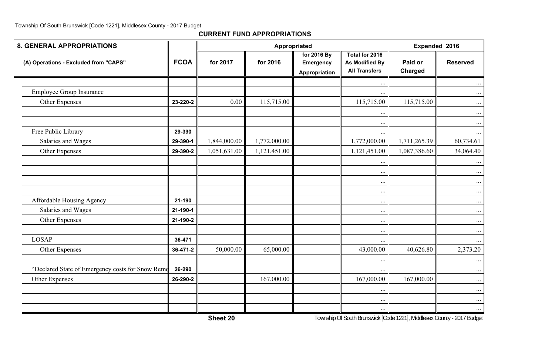| <b>8. GENERAL APPROPRIATIONS</b>                 |             |              |              | Appropriated                                     |                                                                 | Expended 2016      |                      |
|--------------------------------------------------|-------------|--------------|--------------|--------------------------------------------------|-----------------------------------------------------------------|--------------------|----------------------|
| (A) Operations - Excluded from "CAPS"            | <b>FCOA</b> | for 2017     | for 2016     | for 2016 By<br><b>Emergency</b><br>Appropriation | Total for 2016<br><b>As Modified By</b><br><b>All Transfers</b> | Paid or<br>Charged | <b>Reserved</b>      |
|                                                  |             |              |              |                                                  |                                                                 |                    | $\cdots$             |
| <b>Employee Group Insurance</b>                  |             |              |              |                                                  | $\cdots$                                                        |                    | $\cdots$             |
| Other Expenses                                   | 23-220-2    | 0.00         | 115,715.00   |                                                  | 115,715.00                                                      | 115,715.00         | $\cdots$             |
|                                                  |             |              |              |                                                  | $\ddotsc$                                                       |                    | $\cdots$             |
| Free Public Library                              | 29-390      |              |              |                                                  | $\ldots$<br>$\ldots$                                            |                    | $\cdots$<br>$\cdots$ |
| Salaries and Wages                               | 29-390-1    | 1,844,000.00 | 1,772,000.00 |                                                  | 1,772,000.00                                                    | 1,711,265.39       | 60,734.61            |
| Other Expenses                                   | 29-390-2    | 1,051,631.00 | 1,121,451.00 |                                                  | 1,121,451.00                                                    | 1,087,386.60       | 34,064.40            |
|                                                  |             |              |              |                                                  | $\ddots$                                                        |                    | $\ldots$             |
|                                                  |             |              |              |                                                  | $\ddots$                                                        |                    | $\cdots$             |
|                                                  |             |              |              |                                                  | $\ldots$                                                        |                    | $\cdots$             |
|                                                  |             |              |              |                                                  | $\cdots$                                                        |                    | $\cdots$             |
| Affordable Housing Agency                        | 21-190      |              |              |                                                  | $\ddots$                                                        |                    | $\ldots$             |
| Salaries and Wages                               | 21-190-1    |              |              |                                                  | $\cdots$                                                        |                    | $\ldots$             |
| Other Expenses                                   | 21-190-2    |              |              |                                                  | $\ddots$                                                        |                    | $\cdots$             |
|                                                  |             |              |              |                                                  | $\ldots$                                                        |                    | $\dots$              |
| <b>LOSAP</b>                                     | 36-471      |              |              |                                                  | $\ddots$                                                        |                    | $\dots$              |
| Other Expenses                                   | 36-471-2    | 50,000.00    | 65,000.00    |                                                  | 43,000.00                                                       | 40,626.80          | 2,373.20             |
|                                                  |             |              |              |                                                  | $\cdots$                                                        |                    | $\cdots$             |
| "Declared State of Emergency costs for Snow Remo | 26-290      |              |              |                                                  | $\ldots$                                                        |                    | $\cdots$             |
| Other Expenses                                   | 26-290-2    |              | 167,000.00   |                                                  | 167,000.00                                                      | 167,000.00         | $\dots$              |
|                                                  |             |              |              |                                                  | $\cdots$                                                        |                    | $\cdots$             |
|                                                  |             |              |              |                                                  | $\cdots$                                                        |                    | $\cdots$             |
|                                                  |             |              |              |                                                  | $\ldots$                                                        |                    | $\cdots$             |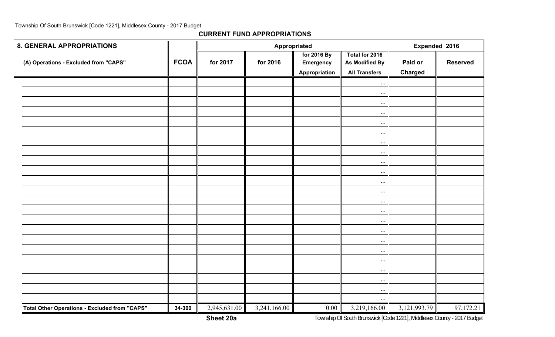**CURRENT FUND APPROPRIATIONS**

| <b>8. GENERAL APPROPRIATIONS</b>              |             |              | Appropriated | Expended 2016                             |                                                          |                           |                 |
|-----------------------------------------------|-------------|--------------|--------------|-------------------------------------------|----------------------------------------------------------|---------------------------|-----------------|
| (A) Operations - Excluded from "CAPS"         | <b>FCOA</b> | for 2017     | for 2016     | for 2016 By<br>Emergency<br>Appropriation | Total for 2016<br>As Modified By<br><b>All Transfers</b> | Paid or<br><b>Charged</b> | <b>Reserved</b> |
|                                               |             |              |              |                                           | $\ddots$                                                 |                           |                 |
|                                               |             |              |              |                                           | $\cdots$                                                 |                           |                 |
|                                               |             |              |              |                                           | $\ldots$                                                 |                           |                 |
|                                               |             |              |              |                                           | $\ldots$                                                 |                           |                 |
|                                               |             |              |              |                                           | $\cdots$                                                 |                           |                 |
|                                               |             |              |              |                                           | $\cdots$                                                 |                           |                 |
|                                               |             |              |              |                                           | $\cdots$                                                 |                           |                 |
|                                               |             |              |              |                                           | $\cdots$                                                 |                           |                 |
|                                               |             |              |              |                                           | $\cdots$                                                 |                           |                 |
|                                               |             |              |              |                                           | $\ddots$                                                 |                           |                 |
|                                               |             |              |              |                                           | $\ldots$                                                 |                           |                 |
|                                               |             |              |              |                                           | $\cdots$                                                 |                           |                 |
|                                               |             |              |              |                                           | $\cdot \cdot \cdot$                                      |                           |                 |
|                                               |             |              |              |                                           | $\cdots$                                                 |                           |                 |
|                                               |             |              |              |                                           | $\ldots$                                                 |                           |                 |
|                                               |             |              |              |                                           | $\cdots$                                                 |                           |                 |
|                                               |             |              |              |                                           | $\cdots$                                                 |                           |                 |
|                                               |             |              |              |                                           | $\ldots$                                                 |                           |                 |
|                                               |             |              |              |                                           | $\ldots$                                                 |                           |                 |
|                                               |             |              |              |                                           | $\cdots$                                                 |                           |                 |
|                                               |             |              |              |                                           | $\cdots$                                                 |                           |                 |
|                                               |             |              |              |                                           | $\ldots$                                                 |                           |                 |
|                                               |             |              |              |                                           |                                                          |                           |                 |
| Total Other Operations - Excluded from "CAPS" | 34-300      | 2,945,631.00 | 3,241,166.00 | 0.00                                      | 3,219,166.00                                             | 3, 121, 993. 79           | 97,172.21       |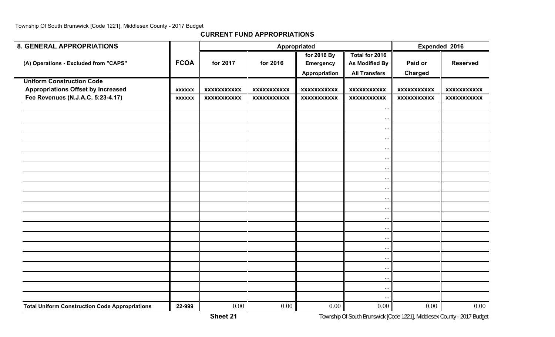| <b>8. GENERAL APPROPRIATIONS</b>                      |               |                    |                    | Appropriated       |                       |                    | Expended 2016      |
|-------------------------------------------------------|---------------|--------------------|--------------------|--------------------|-----------------------|--------------------|--------------------|
|                                                       |               |                    |                    | for 2016 By        | Total for 2016        |                    |                    |
| (A) Operations - Excluded from "CAPS"                 | <b>FCOA</b>   | for 2017           | for 2016           | <b>Emergency</b>   | <b>As Modified By</b> | Paid or            | <b>Reserved</b>    |
|                                                       |               |                    |                    | Appropriation      | <b>All Transfers</b>  | <b>Charged</b>     |                    |
| <b>Uniform Construction Code</b>                      |               |                    |                    |                    |                       |                    |                    |
| <b>Appropriations Offset by Increased</b>             | <b>XXXXXX</b> | <b>XXXXXXXXXXX</b> | <b>XXXXXXXXXXX</b> | <b>XXXXXXXXXXX</b> | <b>XXXXXXXXXXX</b>    | <b>XXXXXXXXXXX</b> | <b>XXXXXXXXXXX</b> |
| Fee Revenues (N.J.A.C. 5:23-4.17)                     | <b>XXXXXX</b> | <b>XXXXXXXXXXX</b> | <b>XXXXXXXXXXX</b> | <b>XXXXXXXXXXX</b> | <b>XXXXXXXXXXX</b>    | <b>XXXXXXXXXXX</b> | <b>XXXXXXXXXXX</b> |
|                                                       |               |                    |                    |                    | $\ddotsc$             |                    |                    |
|                                                       |               |                    |                    |                    | $\ldots$              |                    |                    |
|                                                       |               |                    |                    |                    | $\ldots$              |                    |                    |
|                                                       |               |                    |                    |                    | $\ddots$              |                    |                    |
|                                                       |               |                    |                    |                    | $\ddots$              |                    |                    |
|                                                       |               |                    |                    |                    | $\ddots$              |                    |                    |
|                                                       |               |                    |                    |                    | $\ldots$              |                    |                    |
|                                                       |               |                    |                    |                    | $\ddots$              |                    |                    |
|                                                       |               |                    |                    |                    | $\ddots$              |                    |                    |
|                                                       |               |                    |                    |                    | $\ddotsc$             |                    |                    |
|                                                       |               |                    |                    |                    | $\ldots$              |                    |                    |
|                                                       |               |                    |                    |                    | $\ldots$              |                    |                    |
|                                                       |               |                    |                    |                    | $\ldots$              |                    |                    |
|                                                       |               |                    |                    |                    | $\ddots$              |                    |                    |
|                                                       |               |                    |                    |                    | $\ldots$              |                    |                    |
|                                                       |               |                    |                    |                    | $\ddots$              |                    |                    |
|                                                       |               |                    |                    |                    | $\ddotsc$             |                    |                    |
|                                                       |               |                    |                    |                    | $\ddots$              |                    |                    |
|                                                       |               |                    |                    |                    | $\ddots$              |                    |                    |
|                                                       |               |                    |                    |                    |                       |                    |                    |
| <b>Total Uniform Construction Code Appropriations</b> | 22-999        | 0.00               | 0.00               | 0.00               | 0.00                  | 0.00               | 0.00               |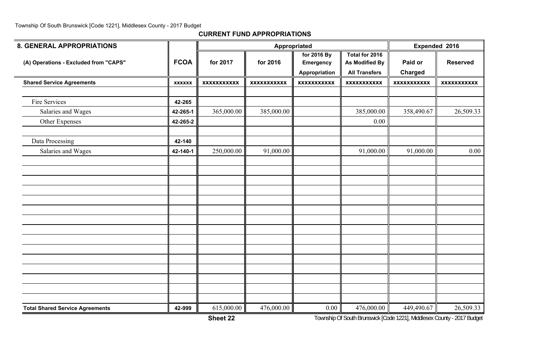| <b>8. GENERAL APPROPRIATIONS</b>       |               |                    | Appropriated       | Expended 2016      |                       |                    |                    |
|----------------------------------------|---------------|--------------------|--------------------|--------------------|-----------------------|--------------------|--------------------|
|                                        |               |                    |                    | for 2016 By        | Total for 2016        |                    |                    |
| (A) Operations - Excluded from "CAPS"  | <b>FCOA</b>   | for 2017           | for 2016           | <b>Emergency</b>   | <b>As Modified By</b> | Paid or            | <b>Reserved</b>    |
|                                        |               |                    |                    | Appropriation      | <b>All Transfers</b>  | <b>Charged</b>     |                    |
| <b>Shared Service Agreements</b>       | <b>XXXXXX</b> | <b>XXXXXXXXXXX</b> | <b>XXXXXXXXXXX</b> | <b>XXXXXXXXXXX</b> | <b>XXXXXXXXXXX</b>    | <b>XXXXXXXXXXX</b> | <b>XXXXXXXXXXX</b> |
|                                        |               |                    |                    |                    |                       |                    |                    |
| Fire Services                          | 42-265        |                    |                    |                    |                       |                    |                    |
| Salaries and Wages                     | 42-265-1      | 365,000.00         | 385,000.00         |                    | 385,000.00            | 358,490.67         | 26,509.33          |
| Other Expenses                         | 42-265-2      |                    |                    |                    | 0.00                  |                    |                    |
|                                        |               |                    |                    |                    |                       |                    |                    |
| Data Processing                        | 42-140        |                    |                    |                    |                       |                    |                    |
| Salaries and Wages                     | 42-140-1      | 250,000.00         | 91,000.00          |                    | 91,000.00             | 91,000.00          | 0.00               |
|                                        |               |                    |                    |                    |                       |                    |                    |
|                                        |               |                    |                    |                    |                       |                    |                    |
|                                        |               |                    |                    |                    |                       |                    |                    |
|                                        |               |                    |                    |                    |                       |                    |                    |
|                                        |               |                    |                    |                    |                       |                    |                    |
|                                        |               |                    |                    |                    |                       |                    |                    |
|                                        |               |                    |                    |                    |                       |                    |                    |
|                                        |               |                    |                    |                    |                       |                    |                    |
|                                        |               |                    |                    |                    |                       |                    |                    |
|                                        |               |                    |                    |                    |                       |                    |                    |
|                                        |               |                    |                    |                    |                       |                    |                    |
|                                        |               |                    |                    |                    |                       |                    |                    |
|                                        |               |                    |                    |                    |                       |                    |                    |
|                                        |               |                    |                    |                    |                       |                    |                    |
|                                        |               |                    |                    |                    |                       |                    |                    |
| <b>Total Shared Service Agreements</b> | 42-999        | 615,000.00         | 476,000.00         | 0.00               | 476,000.00            | 449,490.67         | 26,509.33          |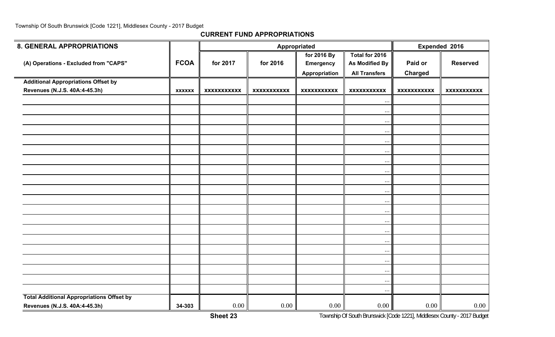| <b>8. GENERAL APPROPRIATIONS</b>                 |               |                    |                    | Appropriated         |                      | Expended 2016      |                    |
|--------------------------------------------------|---------------|--------------------|--------------------|----------------------|----------------------|--------------------|--------------------|
|                                                  |               |                    |                    | for 2016 By          | Total for 2016       |                    |                    |
| (A) Operations - Excluded from "CAPS"            | <b>FCOA</b>   | for 2017           | for 2016           | <b>Emergency</b>     | As Modified By       | Paid or            | <b>Reserved</b>    |
|                                                  |               |                    |                    | <b>Appropriation</b> | <b>All Transfers</b> | <b>Charged</b>     |                    |
| <b>Additional Appropriations Offset by</b>       |               |                    |                    |                      |                      |                    |                    |
| Revenues (N.J.S. 40A:4-45.3h)                    | <b>XXXXXX</b> | <b>XXXXXXXXXXX</b> | <b>XXXXXXXXXXX</b> | <b>XXXXXXXXXXX</b>   | <b>XXXXXXXXXXX</b>   | <b>XXXXXXXXXXX</b> | <b>XXXXXXXXXXX</b> |
|                                                  |               |                    |                    |                      | $\cdots$             |                    |                    |
|                                                  |               |                    |                    |                      | $\ddots$             |                    |                    |
|                                                  |               |                    |                    |                      | $\cdots$             |                    |                    |
|                                                  |               |                    |                    |                      | $\ldots$             |                    |                    |
|                                                  |               |                    |                    |                      | $\cdots$             |                    |                    |
|                                                  |               |                    |                    |                      | $\ldots$             |                    |                    |
|                                                  |               |                    |                    |                      | $\cdots$             |                    |                    |
|                                                  |               |                    |                    |                      | $\cdots$             |                    |                    |
|                                                  |               |                    |                    |                      | $\cdots$             |                    |                    |
|                                                  |               |                    |                    |                      | $\ddots$             |                    |                    |
|                                                  |               |                    |                    |                      | $\cdots$             |                    |                    |
|                                                  |               |                    |                    |                      | $\cdots$             |                    |                    |
|                                                  |               |                    |                    |                      | $\cdots$             |                    |                    |
|                                                  |               |                    |                    |                      | $\ddots$             |                    |                    |
|                                                  |               |                    |                    |                      | $\ldots$             |                    |                    |
|                                                  |               |                    |                    |                      | $\cdots$             |                    |                    |
|                                                  |               |                    |                    |                      | $\ldots$             |                    |                    |
|                                                  |               |                    |                    |                      |                      |                    |                    |
|                                                  |               |                    |                    |                      | $\ddots$             |                    |                    |
|                                                  |               |                    |                    |                      | $\ldots$             |                    |                    |
| <b>Total Additional Appropriations Offset by</b> |               |                    |                    |                      | $\ddotsc$            |                    |                    |
| Revenues (N.J.S. 40A:4-45.3h)                    | 34-303        | 0.00               | 0.00               | 0.00                 | 0.00                 | 0.00               | 0.00               |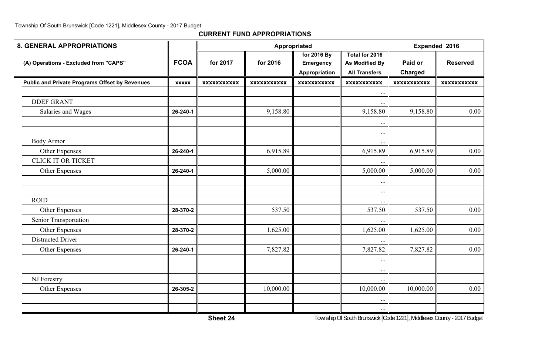| <b>8. GENERAL APPROPRIATIONS</b>                      |              |                    | Appropriated       |                    |                      | Expended 2016      |                    |  |
|-------------------------------------------------------|--------------|--------------------|--------------------|--------------------|----------------------|--------------------|--------------------|--|
|                                                       |              |                    |                    | for 2016 By        | Total for 2016       |                    |                    |  |
| (A) Operations - Excluded from "CAPS"                 | <b>FCOA</b>  | for 2017           | for 2016           | <b>Emergency</b>   | As Modified By       | Paid or            | <b>Reserved</b>    |  |
|                                                       |              |                    |                    | Appropriation      | <b>All Transfers</b> | <b>Charged</b>     |                    |  |
| <b>Public and Private Programs Offset by Revenues</b> | <b>XXXXX</b> | <b>XXXXXXXXXXX</b> | <b>XXXXXXXXXXX</b> | <b>XXXXXXXXXXX</b> | <b>XXXXXXXXXXX</b>   | <b>XXXXXXXXXXX</b> | <b>XXXXXXXXXXX</b> |  |
|                                                       |              |                    |                    |                    | $\cdots$             |                    |                    |  |
| <b>DDEF GRANT</b>                                     |              |                    |                    |                    |                      |                    |                    |  |
| Salaries and Wages                                    | 26-240-1     |                    | 9,158.80           |                    | 9,158.80             | 9,158.80           | 0.00               |  |
|                                                       |              |                    |                    |                    | $\ddots$             |                    |                    |  |
|                                                       |              |                    |                    |                    | $\cdots$             |                    |                    |  |
| <b>Body Armor</b>                                     |              |                    |                    |                    | $\ddotsc$            |                    |                    |  |
| Other Expenses                                        | 26-240-1     |                    | 6,915.89           |                    | 6,915.89             | 6,915.89           | 0.00               |  |
| <b>CLICK IT OR TICKET</b>                             |              |                    |                    |                    |                      |                    |                    |  |
| Other Expenses                                        | 26-240-1     |                    | 5,000.00           |                    | 5,000.00             | 5,000.00           | 0.00               |  |
|                                                       |              |                    |                    |                    | $\ddotsc$            |                    |                    |  |
|                                                       |              |                    |                    |                    | $\ldots$             |                    |                    |  |
| <b>ROID</b>                                           |              |                    |                    |                    |                      |                    |                    |  |
| Other Expenses                                        | 28-370-2     |                    | 537.50             |                    | 537.50               | 537.50             | 0.00               |  |
| Senior Transportation                                 |              |                    |                    |                    |                      |                    |                    |  |
| Other Expenses                                        | 28-370-2     |                    | 1,625.00           |                    | 1,625.00             | 1,625.00           | 0.00               |  |
| <b>Distracted Driver</b>                              |              |                    |                    |                    |                      |                    |                    |  |
| Other Expenses                                        | 26-240-1     |                    | 7,827.82           |                    | 7,827.82             | 7,827.82           | 0.00               |  |
|                                                       |              |                    |                    |                    | $\ddots$             |                    |                    |  |
|                                                       |              |                    |                    |                    | $\cdots$             |                    |                    |  |
| NJ Forestry                                           |              |                    |                    |                    |                      |                    |                    |  |
| Other Expenses                                        | 26-305-2     |                    | 10,000.00          |                    | 10,000.00            | 10,000.00          | 0.00               |  |
|                                                       |              |                    |                    |                    | $\ddotsc$            |                    |                    |  |
|                                                       |              |                    |                    |                    | $\ddotsc$            |                    |                    |  |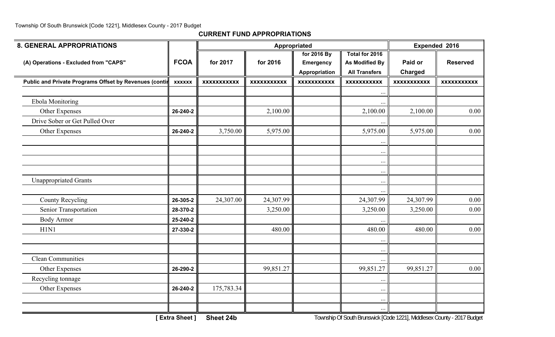| <b>8. GENERAL APPROPRIATIONS</b>                       |               |                    | Appropriated       |                    | Expended 2016         |                    |                    |
|--------------------------------------------------------|---------------|--------------------|--------------------|--------------------|-----------------------|--------------------|--------------------|
|                                                        |               |                    |                    | for 2016 By        | Total for 2016        |                    |                    |
| (A) Operations - Excluded from "CAPS"                  | <b>FCOA</b>   | for 2017           | for 2016           | <b>Emergency</b>   | <b>As Modified By</b> | Paid or            | <b>Reserved</b>    |
|                                                        |               |                    |                    | Appropriation      | <b>All Transfers</b>  | Charged            |                    |
| Public and Private Programs Offset by Revenues (contil | <b>XXXXXX</b> | <b>XXXXXXXXXXX</b> | <b>XXXXXXXXXXX</b> | <b>XXXXXXXXXXX</b> | <b>XXXXXXXXXXX</b>    | <b>XXXXXXXXXXX</b> | <b>XXXXXXXXXXX</b> |
|                                                        |               |                    |                    |                    | $\cdots$              |                    |                    |
| <b>Ebola Monitoring</b>                                |               |                    |                    |                    |                       |                    |                    |
| Other Expenses                                         | 26-240-2      |                    | 2,100.00           |                    | 2,100.00              | 2,100.00           | 0.00               |
| Drive Sober or Get Pulled Over                         |               |                    |                    |                    |                       |                    |                    |
| Other Expenses                                         | 26-240-2      | 3,750.00           | 5,975.00           |                    | 5,975.00              | 5,975.00           | 0.00               |
|                                                        |               |                    |                    |                    |                       |                    |                    |
|                                                        |               |                    |                    |                    | $\ddots$              |                    |                    |
|                                                        |               |                    |                    |                    | $\ddotsc$             |                    |                    |
|                                                        |               |                    |                    |                    | $\ddotsc$             |                    |                    |
| <b>Unappropriated Grants</b>                           |               |                    |                    |                    | $\ddotsc$             |                    |                    |
|                                                        |               |                    |                    |                    | $\ddotsc$             |                    |                    |
| <b>County Recycling</b>                                | 26-305-2      | 24,307.00          | 24,307.99          |                    | 24,307.99             | 24,307.99          | 0.00               |
| Senior Transportation                                  | 28-370-2      |                    | 3,250.00           |                    | 3,250.00              | 3,250.00           | 0.00               |
| <b>Body Armor</b>                                      | 25-240-2      |                    |                    |                    |                       |                    |                    |
| H1N1                                                   | 27-330-2      |                    | 480.00             |                    | 480.00                | 480.00             | 0.00               |
|                                                        |               |                    |                    |                    | $\bullet$ $\bullet$   |                    |                    |
|                                                        |               |                    |                    |                    | $\ddotsc$             |                    |                    |
| <b>Clean Communities</b>                               |               |                    |                    |                    |                       |                    |                    |
| Other Expenses                                         | 26-290-2      |                    | 99,851.27          |                    | 99,851.27             | 99,851.27          | 0.00               |
| Recycling tonnage                                      |               |                    |                    |                    |                       |                    |                    |
| Other Expenses                                         | 26-240-2      | 175,783.34         |                    |                    | $\ddots$              |                    |                    |
|                                                        |               |                    |                    |                    | $\cdots$              |                    |                    |
|                                                        |               |                    |                    |                    | $\ddotsc$             |                    |                    |
|                                                        |               |                    |                    |                    |                       |                    |                    |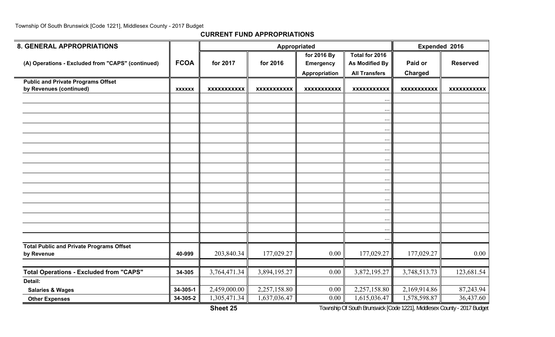#### **CURRENT FUND APPROPRIATIONS**

| <b>8. GENERAL APPROPRIATIONS</b>                              |               |                    |                           | Appropriated       |                       | Expended 2016      |                    |  |
|---------------------------------------------------------------|---------------|--------------------|---------------------------|--------------------|-----------------------|--------------------|--------------------|--|
|                                                               |               |                    |                           | for 2016 By        | Total for 2016        |                    |                    |  |
| (A) Operations - Excluded from "CAPS" (continued)             | <b>FCOA</b>   | for 2017           | for 2016                  | <b>Emergency</b>   | <b>As Modified By</b> | Paid or            | <b>Reserved</b>    |  |
|                                                               |               |                    |                           | Appropriation      | <b>All Transfers</b>  | <b>Charged</b>     |                    |  |
| <b>Public and Private Programs Offset</b>                     |               |                    |                           |                    |                       |                    |                    |  |
| by Revenues (continued)                                       | <b>XXXXXX</b> | <b>XXXXXXXXXXX</b> | <b>XXXXXXXXXXX</b>        | <b>XXXXXXXXXXX</b> | <b>XXXXXXXXXXX</b>    | <b>XXXXXXXXXXX</b> | <b>XXXXXXXXXXX</b> |  |
|                                                               |               |                    |                           |                    | $\cdot \cdot$         |                    |                    |  |
|                                                               |               |                    |                           |                    | $\ddotsc$             |                    |                    |  |
|                                                               |               |                    |                           |                    | $\ddotsc$             |                    |                    |  |
|                                                               |               |                    |                           |                    | $\ddots$              |                    |                    |  |
|                                                               |               |                    |                           |                    | $\ddotsc$             |                    |                    |  |
|                                                               |               |                    |                           |                    | $\ddotsc$             |                    |                    |  |
|                                                               |               |                    |                           |                    | $\ldots$              |                    |                    |  |
|                                                               |               |                    |                           |                    |                       |                    |                    |  |
|                                                               |               |                    |                           |                    | $\ldots$              |                    |                    |  |
|                                                               |               |                    |                           |                    | $\ddots$              |                    |                    |  |
|                                                               |               |                    |                           |                    | $\ddots$              |                    |                    |  |
|                                                               |               |                    |                           |                    | $\cdots$              |                    |                    |  |
|                                                               |               |                    |                           |                    | $\ddotsc$             |                    |                    |  |
|                                                               |               |                    |                           |                    | $\ddots$              |                    |                    |  |
|                                                               |               |                    |                           |                    | $\ddotsc$             |                    |                    |  |
|                                                               |               |                    |                           |                    | $\cdots$              |                    |                    |  |
| <b>Total Public and Private Programs Offset</b><br>by Revenue | 40-999        | 203,840.34         | 177,029.27                | 0.00               | 177,029.27            | 177,029.27         | 0.00               |  |
|                                                               |               |                    |                           |                    |                       |                    |                    |  |
| <b>Total Operations - Excluded from "CAPS"</b>                | 34-305        | 3,764,471.34       | 3,894,195.27              | 0.00               | 3,872,195.27          | 3,748,513.73       | 123,681.54         |  |
| Detail:                                                       |               |                    |                           |                    |                       |                    |                    |  |
| <b>Salaries &amp; Wages</b>                                   | 34-305-1      | 2,459,000.00       | 2,257,158.80              | 0.00               | 2,257,158.80          | 2,169,914.86       | 87,243.94          |  |
| <b>Other Expenses</b>                                         | 34-305-2      | 1,305,471.34       | $1,\overline{637,036.47}$ | 0.00               | 1,615,036.47          | 1,578,598.87       | 36,437.60          |  |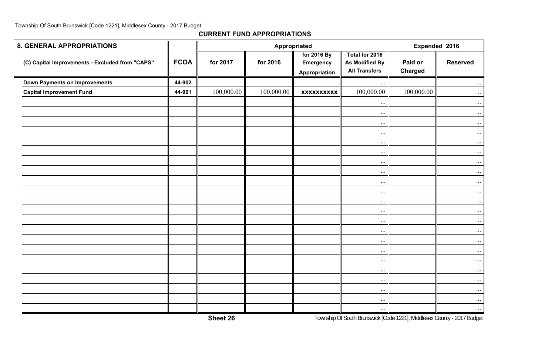| 8. GENERAL APPROPRIATIONS                       |             |            |            | Appropriated                                     |                                                                 | Expended 2016             |                 |  |
|-------------------------------------------------|-------------|------------|------------|--------------------------------------------------|-----------------------------------------------------------------|---------------------------|-----------------|--|
| (C) Capital Improvements - Excluded from "CAPS" | <b>FCOA</b> | for 2017   | for 2016   | for 2016 By<br><b>Emergency</b><br>Appropriation | Total for 2016<br><b>As Modified By</b><br><b>All Transfers</b> | Paid or<br><b>Charged</b> | <b>Reserved</b> |  |
| <b>Down Payments on Improvements</b>            | 44-902      |            |            |                                                  | $\ddots$                                                        |                           | $\cdots$        |  |
| <b>Capital Improvement Fund</b>                 | 44-901      | 100,000.00 | 100,000.00 | <b>XXXXXXXXXX</b>                                | 100,000.00                                                      | 100,000.00                | $\dots$         |  |
|                                                 |             |            |            |                                                  | $\ldots$                                                        |                           | $\dots$         |  |
|                                                 |             |            |            |                                                  | $\ddots$                                                        |                           | $\ldots$        |  |
|                                                 |             |            |            |                                                  | $\ddots$                                                        |                           | $\ldots$        |  |
|                                                 |             |            |            |                                                  | $\ldots$                                                        |                           | $\dots$ .       |  |
|                                                 |             |            |            |                                                  | $\ldots$                                                        |                           | $\cdots$        |  |
|                                                 |             |            |            |                                                  | $\cdot \cdot \cdot$                                             |                           | $\ldots$        |  |
|                                                 |             |            |            |                                                  | $\cdots$                                                        |                           | $\dots$ .       |  |
|                                                 |             |            |            |                                                  | $\cdots$                                                        |                           | $\cdots$        |  |
|                                                 |             |            |            |                                                  | $\ddots$                                                        |                           | $\ldots$        |  |
|                                                 |             |            |            |                                                  | $\cdots$                                                        |                           | $\dots$ .       |  |
|                                                 |             |            |            |                                                  | $\cdots$                                                        |                           | $\ldots$        |  |
|                                                 |             |            |            |                                                  | $\ldots$                                                        |                           | $\ldots$        |  |
|                                                 |             |            |            |                                                  | $\ldots$                                                        |                           | $\dots$         |  |
|                                                 |             |            |            |                                                  | $\cdots$                                                        |                           | $\ldots$        |  |
|                                                 |             |            |            |                                                  | .                                                               |                           | $\dots$         |  |
|                                                 |             |            |            |                                                  | $\ddotsc$                                                       |                           | $\cdots$        |  |
|                                                 |             |            |            |                                                  | $\ldots$                                                        |                           | $\cdots$        |  |
|                                                 |             |            |            |                                                  | $\ddots$                                                        |                           | $\ldots$        |  |
|                                                 |             |            |            |                                                  | $\ddots$                                                        |                           | $\ldots$        |  |
|                                                 |             |            |            |                                                  | $\cdot \cdot \cdot$                                             |                           | $\dots$         |  |
|                                                 |             |            |            |                                                  | $\ldots$                                                        |                           | $\ldots$        |  |
|                                                 |             |            |            |                                                  | $\ddotsc$                                                       |                           | $\dots$         |  |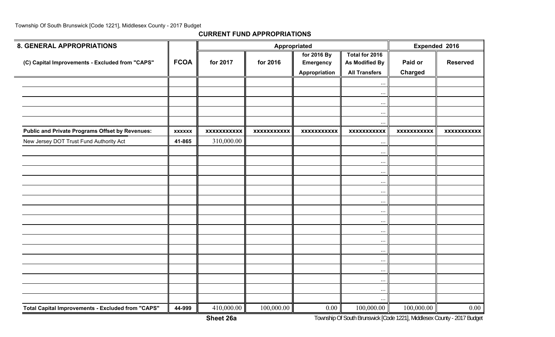**CURRENT FUND APPROPRIATIONS**

| <b>8. GENERAL APPROPRIATIONS</b>                       |               |                    |                    | <b>Appropriated</b>                              |                                                                 | Expended 2016             |                    |
|--------------------------------------------------------|---------------|--------------------|--------------------|--------------------------------------------------|-----------------------------------------------------------------|---------------------------|--------------------|
| (C) Capital Improvements - Excluded from "CAPS"        | <b>FCOA</b>   | for 2017           | for 2016           | for 2016 By<br><b>Emergency</b><br>Appropriation | Total for 2016<br><b>As Modified By</b><br><b>All Transfers</b> | Paid or<br><b>Charged</b> | <b>Reserved</b>    |
|                                                        |               |                    |                    |                                                  | $\ddotsc$                                                       |                           |                    |
|                                                        |               |                    |                    |                                                  | $\ddots$                                                        |                           |                    |
|                                                        |               |                    |                    |                                                  | $\cdots$                                                        |                           |                    |
|                                                        |               |                    |                    |                                                  | $\cdots$                                                        |                           |                    |
|                                                        |               |                    |                    |                                                  | $\ldots$                                                        |                           |                    |
| <b>Public and Private Programs Offset by Revenues:</b> | <b>XXXXXX</b> | <b>XXXXXXXXXXX</b> | <b>XXXXXXXXXXX</b> | <b>XXXXXXXXXXX</b>                               | <b>XXXXXXXXXXX</b>                                              | <b>XXXXXXXXXXX</b>        | <b>XXXXXXXXXXX</b> |
| New Jersey DOT Trust Fund Authority Act                | 41-865        | 310,000.00         |                    |                                                  | $\ddots$                                                        |                           |                    |
|                                                        |               |                    |                    |                                                  | $\ddotsc$                                                       |                           |                    |
|                                                        |               |                    |                    |                                                  | $\ldots$                                                        |                           |                    |
|                                                        |               |                    |                    |                                                  | $\ddotsc$                                                       |                           |                    |
|                                                        |               |                    |                    |                                                  | $\ddotsc$                                                       |                           |                    |
|                                                        |               |                    |                    |                                                  | $\cdots$                                                        |                           |                    |
|                                                        |               |                    |                    |                                                  | $\ddotsc$                                                       |                           |                    |
|                                                        |               |                    |                    |                                                  | $\ddots$                                                        |                           |                    |
|                                                        |               |                    |                    |                                                  | $\ddots$                                                        |                           |                    |
|                                                        |               |                    |                    |                                                  | $\ddotsc$                                                       |                           |                    |
|                                                        |               |                    |                    |                                                  | $\ddotsc$                                                       |                           |                    |
|                                                        |               |                    |                    |                                                  | $\ddots$                                                        |                           |                    |
|                                                        |               |                    |                    |                                                  | $\ddots$                                                        |                           |                    |
|                                                        |               |                    |                    |                                                  | $\ddotsc$                                                       |                           |                    |
|                                                        |               |                    |                    |                                                  | $\ddotsc$                                                       |                           |                    |
|                                                        |               |                    |                    |                                                  | $\ldots$                                                        |                           |                    |
|                                                        |               |                    |                    |                                                  |                                                                 |                           |                    |
| Total Capital Improvements - Excluded from "CAPS"      | 44-999        | 410,000.00         | 100,000.00         | 0.00                                             | 100,000.00                                                      | 100,000.00                | 0.00               |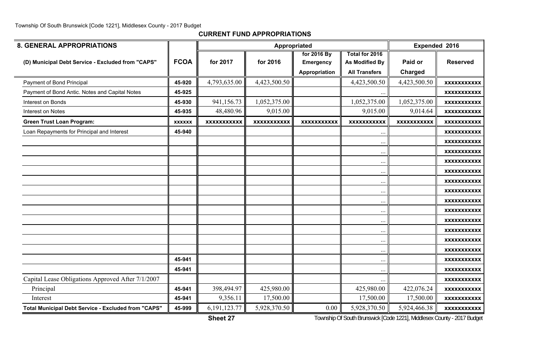**CURRENT FUND APPROPRIATIONS**

| <b>8. GENERAL APPROPRIATIONS</b>                           |               |                    | Appropriated       |                                                  |                                                                 | Expended 2016      |                    |
|------------------------------------------------------------|---------------|--------------------|--------------------|--------------------------------------------------|-----------------------------------------------------------------|--------------------|--------------------|
| (D) Municipal Debt Service - Excluded from "CAPS"          | <b>FCOA</b>   | for 2017           | for 2016           | for 2016 By<br><b>Emergency</b><br>Appropriation | Total for 2016<br><b>As Modified By</b><br><b>All Transfers</b> | Paid or<br>Charged | <b>Reserved</b>    |
| Payment of Bond Principal                                  | 45-920        | 4,793,635.00       | 4,423,500.50       |                                                  | 4,423,500.50                                                    | 4,423,500.50       | <b>XXXXXXXXXXX</b> |
| Payment of Bond Antic. Notes and Capital Notes             | 45-925        |                    |                    |                                                  | $\ddotsc$                                                       |                    | <b>XXXXXXXXXXX</b> |
| Interest on Bonds                                          | 45-930        | 941,156.73         | 1,052,375.00       |                                                  | 1,052,375.00                                                    | 1,052,375.00       | <b>XXXXXXXXXXX</b> |
| Interest on Notes                                          | 45-935        | 48,480.96          | 9,015.00           |                                                  | 9,015.00                                                        | 9,014.64           | <b>XXXXXXXXXXX</b> |
| <b>Green Trust Loan Program:</b>                           | <b>XXXXXX</b> | <b>XXXXXXXXXXX</b> | <b>XXXXXXXXXXX</b> | <b>XXXXXXXXXXX</b>                               | <b>XXXXXXXXXXX</b>                                              | <b>XXXXXXXXXXX</b> | <b>XXXXXXXXXXX</b> |
| Loan Repayments for Principal and Interest                 | 45-940        |                    |                    |                                                  | $\ddotsc$                                                       |                    | <b>XXXXXXXXXXX</b> |
|                                                            |               |                    |                    |                                                  | $\ddotsc$                                                       |                    | <b>XXXXXXXXXXX</b> |
|                                                            |               |                    |                    |                                                  | $\ddotsc$                                                       |                    | <b>XXXXXXXXXXX</b> |
|                                                            |               |                    |                    |                                                  | $\cdots$                                                        |                    | <b>XXXXXXXXXXX</b> |
|                                                            |               |                    |                    |                                                  | $\ddotsc$                                                       |                    | <b>XXXXXXXXXXX</b> |
|                                                            |               |                    |                    |                                                  | $\cdot$ .                                                       |                    | <b>XXXXXXXXXXX</b> |
|                                                            |               |                    |                    |                                                  | $\ddotsc$                                                       |                    | <b>XXXXXXXXXXX</b> |
|                                                            |               |                    |                    |                                                  | $\ddotsc$                                                       |                    | <b>XXXXXXXXXXX</b> |
|                                                            |               |                    |                    |                                                  | $\ddotsc$                                                       |                    | <b>XXXXXXXXXXX</b> |
|                                                            |               |                    |                    |                                                  | $\ddots$                                                        |                    | <b>XXXXXXXXXXX</b> |
|                                                            |               |                    |                    |                                                  | $\ddotsc$                                                       |                    | <b>XXXXXXXXXXX</b> |
|                                                            |               |                    |                    |                                                  | $\ddotsc$                                                       |                    | <b>XXXXXXXXXXX</b> |
|                                                            |               |                    |                    |                                                  | $\ddots$                                                        |                    | <b>XXXXXXXXXXX</b> |
|                                                            | 45-941        |                    |                    |                                                  | $\ddotsc$                                                       |                    | <b>XXXXXXXXXXX</b> |
|                                                            | 45-941        |                    |                    |                                                  | $\cdot$ .                                                       |                    | <b>XXXXXXXXXXX</b> |
| Capital Lease Obligations Approved After 7/1/2007          |               |                    |                    |                                                  |                                                                 |                    | <b>XXXXXXXXXXX</b> |
| Principal                                                  | 45-941        | 398,494.97         | 425,980.00         |                                                  | 425,980.00                                                      | 422,076.24         | <b>XXXXXXXXXXX</b> |
| Interest                                                   | 45-941        | 9,356.11           | 17,500.00          |                                                  | 17,500.00                                                       | 17,500.00          | <b>XXXXXXXXXXX</b> |
| <b>Total Municipal Debt Service - Excluded from "CAPS"</b> | 45-999        | 6, 191, 123. 77    | 5,928,370.50       | 0.00                                             | 5,928,370.50                                                    | 5,924,466.38       | <b>XXXXXXXXXXX</b> |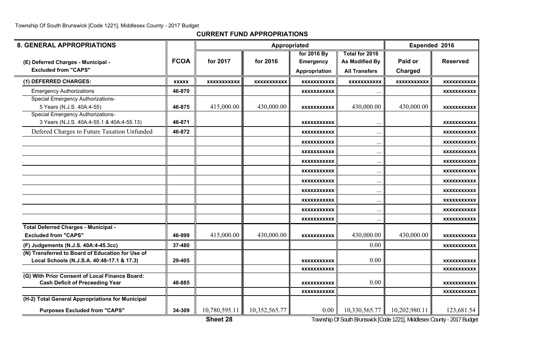#### **CURRENT FUND APPROPRIATIONS**

| <b>8. GENERAL APPROPRIATIONS</b>                                                               |              |                    | Appropriated       |                      |                       | Expended 2016      |                    |
|------------------------------------------------------------------------------------------------|--------------|--------------------|--------------------|----------------------|-----------------------|--------------------|--------------------|
|                                                                                                |              |                    |                    | for 2016 By          | Total for 2016        |                    |                    |
| (E) Deferred Charges - Municipal -                                                             | <b>FCOA</b>  | for 2017           | for 2016           | <b>Emergency</b>     | <b>As Modified By</b> | Paid or            | <b>Reserved</b>    |
| <b>Excluded from "CAPS"</b>                                                                    |              |                    |                    | <b>Appropriation</b> | <b>All Transfers</b>  | <b>Charged</b>     |                    |
| (1) DEFERRED CHARGES:                                                                          | <b>XXXXX</b> | <b>XXXXXXXXXXX</b> | <b>XXXXXXXXXXX</b> | <b>XXXXXXXXXXX</b>   | <b>XXXXXXXXXXX</b>    | <b>XXXXXXXXXXX</b> | <b>XXXXXXXXXXX</b> |
| <b>Emergency Authorizations</b>                                                                | 46-870       |                    |                    | <b>XXXXXXXXXXX</b>   | $\ddots$              |                    | XXXXXXXXXXX        |
| <b>Special Emergency Authorizations-</b>                                                       |              |                    |                    |                      |                       |                    |                    |
| 5 Years (N.J.S. 40A:4-55)                                                                      | 46-875       | 415,000.00         | 430,000.00         | <b>XXXXXXXXXXX</b>   | 430,000.00            | 430,000.00         | <b>XXXXXXXXXXX</b> |
| <b>Special Emergency Authorizations-</b><br>3 Years (N.J.S. 40A:4-55.1 & 40A:4-55.13)          | 46-871       |                    |                    | <b>XXXXXXXXXXX</b>   |                       |                    | XXXXXXXXXXX        |
| Defered Charges to Future Taxation Unfunded                                                    | 46-872       |                    |                    | <b>XXXXXXXXXXX</b>   | $\ddotsc$             |                    | <b>XXXXXXXXXXX</b> |
|                                                                                                |              |                    |                    | <b>XXXXXXXXXXX</b>   | $\ddotsc$             |                    | <b>XXXXXXXXXXX</b> |
|                                                                                                |              |                    |                    | <b>XXXXXXXXXXX</b>   | $\ddots$              |                    | XXXXXXXXXXX        |
|                                                                                                |              |                    |                    | <b>XXXXXXXXXXX</b>   | $\ddotsc$             |                    | XXXXXXXXXXX        |
|                                                                                                |              |                    |                    | <b>XXXXXXXXXXX</b>   | $\cdot$ .             |                    | <b>XXXXXXXXXXX</b> |
|                                                                                                |              |                    |                    | <b>XXXXXXXXXXX</b>   | $\ddots$              |                    | XXXXXXXXXXX        |
|                                                                                                |              |                    |                    | <b>XXXXXXXXXXX</b>   | $\ddotsc$             |                    | XXXXXXXXXXX        |
|                                                                                                |              |                    |                    | <b>XXXXXXXXXXX</b>   | $\cdots$              |                    | <b>XXXXXXXXXXX</b> |
|                                                                                                |              |                    |                    | <b>XXXXXXXXXXX</b>   | $\ddotsc$             |                    | <b>XXXXXXXXXXX</b> |
|                                                                                                |              |                    |                    | XXXXXXXXXXX          | $\ddotsc$             |                    | XXXXXXXXXXX        |
| Total Deferred Charges - Municipal -                                                           |              |                    |                    |                      |                       |                    |                    |
| <b>Excluded from "CAPS"</b>                                                                    | 46-999       | 415,000.00         | 430,000.00         | <b>XXXXXXXXXXX</b>   | 430,000.00            | 430,000.00         | <b>XXXXXXXXXXX</b> |
| (F) Judgements (N.J.S. 40A:4-45.3cc)                                                           | 37-480       |                    |                    |                      | 0.00                  |                    | <b>XXXXXXXXXXX</b> |
| (N) Transferred to Board of Education for Use of<br>Local Schools (N.J.S.A. 40:48-17.1 & 17.3) | 29-405       |                    |                    | XXXXXXXXXXX          | 0.00                  |                    | XXXXXXXXXXX        |
|                                                                                                |              |                    |                    | <b>XXXXXXXXXXX</b>   |                       |                    | <b>XXXXXXXXXXX</b> |
| (G) With Prior Consent of Local Finance Board:<br><b>Cash Deficit of Preceeding Year</b>       | 46-885       |                    |                    | <b>XXXXXXXXXXX</b>   | 0.00                  |                    | XXXXXXXXXXX        |
|                                                                                                |              |                    |                    | <b>XXXXXXXXXXX</b>   |                       |                    | <b>XXXXXXXXXXX</b> |
| (H-2) Total General Appropriations for Municipal                                               |              |                    |                    |                      |                       |                    |                    |
| <b>Purposes Excluded from "CAPS"</b>                                                           | 34-309       | 10,780,595.11      | 10,352,565.77      | 0.00                 | 10,330,565.77         | 10,202,980.11      | 123,681.54         |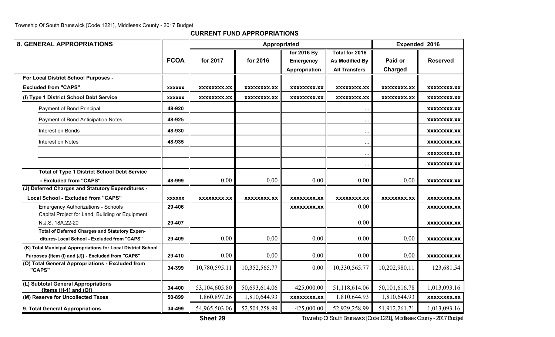**CURRENT FUND APPROPRIATIONS**

| <b>8. GENERAL APPROPRIATIONS</b>                                                              |               |               |               | Appropriated       |                       | Expended 2016      |                    |
|-----------------------------------------------------------------------------------------------|---------------|---------------|---------------|--------------------|-----------------------|--------------------|--------------------|
|                                                                                               |               |               |               | for 2016 By        | Total for 2016        |                    |                    |
|                                                                                               | <b>FCOA</b>   | for 2017      | for 2016      | <b>Emergency</b>   | <b>As Modified By</b> | Paid or            | <b>Reserved</b>    |
|                                                                                               |               |               |               | Appropriation      | <b>All Transfers</b>  | Charged            |                    |
| For Local District School Purposes -                                                          |               |               |               |                    |                       |                    |                    |
| <b>Excluded from "CAPS"</b>                                                                   | <b>XXXXXX</b> | XXXXXXXX.XX   | XXXXXXXX.XX   | XXXXXXXX.XX        | XXXXXXXX.XX           | <b>XXXXXXXX.XX</b> | XXXXXXXX.XX        |
| (I) Type 1 District School Debt Service                                                       | <b>XXXXXX</b> | XXXXXXXX.XX   | XXXXXXXX.XX   | XXXXXXXX.XX        | <b>XXXXXXXX.XX</b>    | <b>XXXXXXXX.XX</b> | XXXXXXXX.XX        |
| Payment of Bond Principal                                                                     | 48-920        |               |               |                    | $\ddotsc$             |                    | XXXXXXXX.XX        |
| Payment of Bond Anticipation Notes                                                            | 48-925        |               |               |                    | $\ddotsc$             |                    | XXXXXXXX.XX        |
| Interest on Bonds                                                                             | 48-930        |               |               |                    | $\ddotsc$             |                    | XXXXXXXX.XX        |
| Interest on Notes                                                                             | 48-935        |               |               |                    | $\ddots$              |                    | XXXXXXXX.XX        |
|                                                                                               |               |               |               |                    | $\ldots$              |                    | XXXXXXXX.XX        |
|                                                                                               |               |               |               |                    | $\bullet$ $\bullet$   |                    | XXXXXXXX.XX        |
| <b>Total of Type 1 District School Debt Service</b>                                           |               |               |               |                    |                       |                    |                    |
| - Excluded from "CAPS"                                                                        | 48-999        | 0.00          | 0.00          | 0.00               | 0.00                  | 0.00               | <b>XXXXXXXX.XX</b> |
| (J) Deferred Charges and Statutory Expenditures -                                             |               |               |               |                    |                       |                    |                    |
| <b>Local School - Excluded from "CAPS"</b>                                                    | <b>XXXXXX</b> | XXXXXXXX.XX   | XXXXXXXX.XX   | XXXXXXXX.XX        | <b>XXXXXXXX.XX</b>    | <b>XXXXXXXX.XX</b> | XXXXXXXX.XX        |
| <b>Emergency Authorizations - Schools</b>                                                     | 29-406        |               |               | <b>XXXXXXXX.XX</b> | 0.00                  |                    | XXXXXXXX.XX        |
| Capital Project for Land, Building or Equipment                                               |               |               |               |                    |                       |                    |                    |
| N.J.S. 18A:22-20                                                                              | 29-407        |               |               |                    | 0.00                  |                    | XXXXXXXX.XX        |
| Total of Deferred Charges and Statutory Expen-<br>ditures-Local School - Excluded from "CAPS" | 29-409        | 0.00          | 0.00          | 0.00               | 0.00                  | 0.00               | XXXXXXXX.XX        |
| (K) Total Municipal Appropriations for Local District School                                  |               |               |               |                    |                       |                    |                    |
| Purposes {Item (I) and (J)} - Excluded from "CAPS"                                            | 29-410        | 0.00          | 0.00          | 0.00               | 0.00                  | 0.00               | <b>XXXXXXXX.XX</b> |
| (O) Total General Appropriations - Excluded from<br>"CAPS"                                    | 34-399        | 10,780,595.11 | 10,352,565.77 | 0.00               | 10,330,565.77         | 10,202,980.11      | 123,681.54         |
|                                                                                               |               |               |               |                    |                       |                    |                    |
| (L) Subtotal General Appropriations<br>${Items (H-1) and (O)}$                                | 34-400        | 53,104,605.80 | 50,693,614.06 | 425,000.00         | 51,118,614.06         | 50, 101, 616.78    | 1,013,093.16       |
| (M) Reserve for Uncollected Taxes                                                             | 50-899        | 1,860,897.26  | 1,810,644.93  | <b>XXXXXXXX.XX</b> | 1,810,644.93          | 1,810,644.93       | <b>XXXXXXXX.XX</b> |
| 9. Total General Appropriations                                                               | 34-499        | 54,965,503.06 | 52,504,258.99 | 425,000.00         | 52,929,258.99         | 51,912,261.71      | 1,013,093.16       |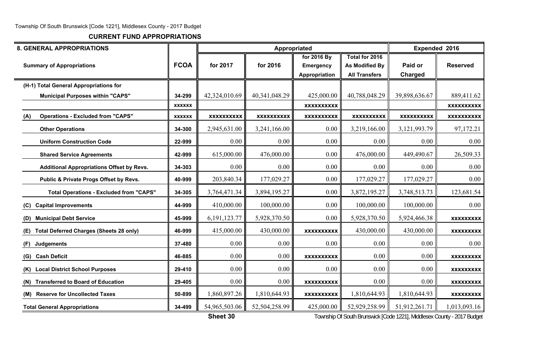**CURRENT FUND APPROPRIATIONS**

| <b>8. GENERAL APPROPRIATIONS</b>                      |               |                   |                   | Appropriated                                     |                                                          | <b>Expended 2016</b> |                   |
|-------------------------------------------------------|---------------|-------------------|-------------------|--------------------------------------------------|----------------------------------------------------------|----------------------|-------------------|
| <b>Summary of Appropriations</b>                      | <b>FCOA</b>   | for 2017          | for 2016          | for 2016 By<br><b>Emergency</b><br>Appropriation | Total for 2016<br>As Modified By<br><b>All Transfers</b> | Paid or<br>Charged   | <b>Reserved</b>   |
| (H-1) Total General Appropriations for                |               |                   |                   |                                                  |                                                          |                      |                   |
| <b>Municipal Purposes within "CAPS"</b>               | 34-299        | 42,324,010.69     | 40, 341, 048. 29  | 425,000.00                                       | 40,788,048.29                                            | 39,898,636.67        | 889,411.62        |
|                                                       | <b>XXXXXX</b> |                   |                   | <b>XXXXXXXXXX</b>                                |                                                          |                      | <b>XXXXXXXXXX</b> |
| <b>Operations - Excluded from "CAPS"</b><br>(A)       | <b>XXXXXX</b> | <b>XXXXXXXXXX</b> | <b>XXXXXXXXXX</b> | <b>XXXXXXXXXX</b>                                | <b>XXXXXXXXXX</b>                                        | <b>XXXXXXXXXX</b>    | <b>XXXXXXXXXX</b> |
| <b>Other Operations</b>                               | 34-300        | 2,945,631.00      | 3,241,166.00      | 0.00                                             | 3,219,166.00                                             | 3,121,993.79         | 97,172.21         |
| <b>Uniform Construction Code</b>                      | 22-999        | 0.00              | 0.00              | 0.00                                             | 0.00                                                     | 0.00                 | 0.00              |
| <b>Shared Service Agreements</b>                      | 42-999        | 615,000.00        | 476,000.00        | 0.00                                             | 476,000.00                                               | 449,490.67           | 26,509.33         |
| <b>Additional Appropriations Offset by Revs.</b>      | 34-303        | 0.00              | 0.00              | 0.00                                             | 0.00                                                     | 0.00                 | 0.00              |
| Public & Private Progs Offset by Revs.                | 40-999        | 203,840.34        | 177,029.27        | 0.00                                             | 177,029.27                                               | 177,029.27           | 0.00              |
| <b>Total Operations - Excluded from "CAPS"</b>        | 34-305        | 3,764,471.34      | 3,894,195.27      | 0.00                                             | 3,872,195.27                                             | 3,748,513.73         | 123,681.54        |
| <b>Capital Improvements</b><br>(C)                    | 44-999        | 410,000.00        | 100,000.00        | 0.00                                             | 100,000.00                                               | 100,000.00           | 0.00              |
| <b>Municipal Debt Service</b><br>(D)                  | 45-999        | 6, 191, 123. 77   | 5,928,370.50      | 0.00                                             | 5,928,370.50                                             | 5,924,466.38         | <b>XXXXXXXXX</b>  |
| <b>Total Deferred Charges (Sheets 28 only)</b><br>(E) | 46-999        | 415,000.00        | 430,000.00        | <b>XXXXXXXXXX</b>                                | 430,000.00                                               | 430,000.00           | <b>XXXXXXXXX</b>  |
| <b>Judgements</b><br>(F)                              | 37-480        | 0.00              | 0.00              | 0.00                                             | 0.00                                                     | 0.00                 | 0.00              |
| <b>Cash Deficit</b><br>(G)                            | 46-885        | 0.00              | 0.00              | <b>XXXXXXXXXX</b>                                | 0.00                                                     | 0.00                 | <b>XXXXXXXXX</b>  |
| (K) Local District School Purposes                    | 29-410        | 0.00              | 0.00              | 0.00                                             | 0.00                                                     | 0.00                 | <b>XXXXXXXXX</b>  |
| <b>Transferred to Board of Education</b><br>(N)       | 29-405        | 0.00              | 0.00              | <b>XXXXXXXXXX</b>                                | 0.00                                                     | 0.00                 | <b>XXXXXXXXX</b>  |
| (M) Reserve for Uncollected Taxes                     | 50-899        | 1,860,897.26      | 1,810,644.93      | <b>XXXXXXXXXX</b>                                | 1,810,644.93                                             | 1,810,644.93         | <b>XXXXXXXXX</b>  |
| <b>Total General Appropriations</b>                   | 34-499        | 54,965,503.06     | 52,504,258.99     | 425,000.00                                       | 52,929,258.99                                            | 51,912,261.71        | 1,013,093.16      |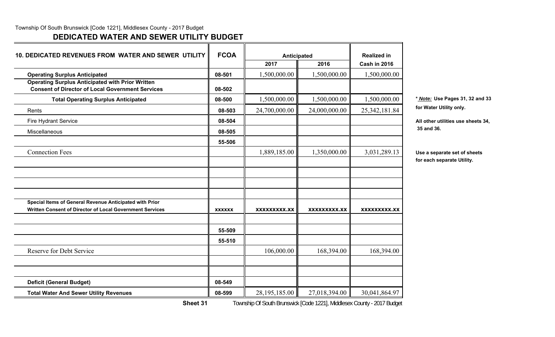## **DEDICATED WATER AND SEWER UTILITY BUDGET**

| <b>10. DEDICATED REVENUES FROM WATER AND SEWER UTILITY</b>                                                         | <b>FCOA</b>   | Anticipated         |               | <b>Realized in</b>  |                           |
|--------------------------------------------------------------------------------------------------------------------|---------------|---------------------|---------------|---------------------|---------------------------|
|                                                                                                                    |               | 2017                | 2016          | <b>Cash in 2016</b> |                           |
| <b>Operating Surplus Anticipated</b>                                                                               | 08-501        | 1,500,000.00        | 1,500,000.00  | 1,500,000.00        |                           |
| <b>Operating Surplus Anticipated with Prior Written</b><br><b>Consent of Director of Local Government Services</b> | 08-502        |                     |               |                     |                           |
| <b>Total Operating Surplus Anticipated</b>                                                                         | 08-500        | 1,500,000.00        | 1,500,000.00  | 1,500,000.00        | * Note: Us                |
| Rents                                                                                                              | 08-503        | 24,700,000.00       | 24,000,000.00 | 25, 342, 181.84     | for Water I               |
| Fire Hydrant Service                                                                                               | 08-504        |                     |               |                     | All other u               |
| Miscellaneous                                                                                                      | 08-505        |                     |               |                     | 35 and 36.                |
|                                                                                                                    | 55-506        |                     |               |                     |                           |
| <b>Connection Fees</b>                                                                                             |               | 1,889,185.00        | 1,350,000.00  | 3,031,289.13        | Use a sepa<br>for each se |
|                                                                                                                    |               |                     |               |                     |                           |
|                                                                                                                    |               |                     |               |                     |                           |
| Special Items of General Revenue Anticipated with Prior                                                            |               |                     |               |                     |                           |
| Written Consent of Director of Local Government Services                                                           | <b>XXXXXX</b> | <b>XXXXXXXXX.XX</b> | XXXXXXXXX.XX  | XXXXXXXXX.XX        |                           |
|                                                                                                                    | 55-509        |                     |               |                     |                           |
|                                                                                                                    | 55-510        |                     |               |                     |                           |
| Reserve for Debt Service                                                                                           |               | 106,000.00          | 168,394.00    | 168,394.00          |                           |
|                                                                                                                    |               |                     |               |                     |                           |
| <b>Deficit (General Budget)</b>                                                                                    | 08-549        |                     |               |                     |                           |
| <b>Total Water And Sewer Utility Revenues</b>                                                                      | 08-599        | 28,195,185.00       | 27,018,394.00 | 30,041,864.97       |                           |

**Total Operating Surplus Anticipated 08-500** 1,500,000.00 1,500,000.00 1,500,000.00 **\*** *Note:* **Use Pages 31, 32 and 33** for Water Utility only.

All other utilities use sheets 34,

**Use a separate set of sheets for each separate Utility.**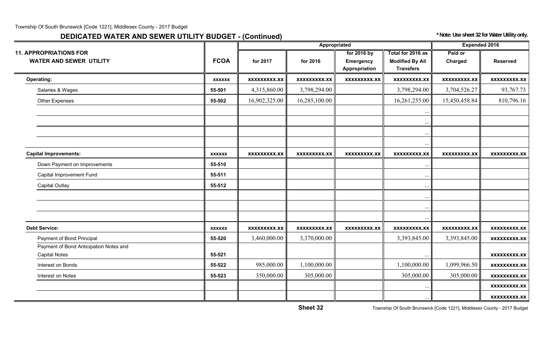# **DEDICATED WATER AND SEWER UTILITY BUDGET - (Continued)** *\* Note: Use sheet 32 for Water Utility only.*

|                                                                 |               |                     | Appropriated        |                                                  |                                                                 | <b>Expended 2016</b> |                     |
|-----------------------------------------------------------------|---------------|---------------------|---------------------|--------------------------------------------------|-----------------------------------------------------------------|----------------------|---------------------|
| <b>11. APPROPRIATIONS FOR</b><br><b>WATER AND SEWER UTILITY</b> | <b>FCOA</b>   | for 2017            | for 2016            | for 2016 by<br><b>Emergency</b><br>Appropriation | Total for 2016 as<br><b>Modified By All</b><br><b>Transfers</b> | Paid or<br>Charged   | <b>Reserved</b>     |
| <b>Operating:</b>                                               | <b>XXXXXX</b> | <b>XXXXXXXXX.XX</b> | <b>XXXXXXXXX.XX</b> | <b>XXXXXXXXX.XX</b>                              | <b>XXXXXXXXX.XX</b>                                             | <b>XXXXXXXXX.XX</b>  | <b>XXXXXXXXX.XX</b> |
| Salaries & Wages                                                | 55-501        | 4,315,860.00        | 3,798,294.00        |                                                  | 3,798,294.00                                                    | 3,704,526.27         | 93,767.73           |
| <b>Other Expenses</b>                                           | 55-502        | 16,902,325.00       | 16,285,100.00       |                                                  | 16,261,255.00                                                   | 15,450,458.84        | 810,796.16          |
|                                                                 |               |                     |                     |                                                  | $\ddots$<br>$\ddots$<br>$\cdots$                                |                      |                     |
| <b>Capital Improvements:</b>                                    | <b>XXXXXX</b> | <b>XXXXXXXXX.XX</b> | XXXXXXXXX.XX        | <b>XXXXXXXXX.XX</b>                              | <b>XXXXXXXXX.XX</b>                                             | <b>XXXXXXXXX.XX</b>  | xxxxxxxxx.xx        |
| Down Payment on Improvements                                    | 55-510        |                     |                     |                                                  |                                                                 |                      |                     |
| Capital Improvement Fund                                        | 55-511        |                     |                     |                                                  |                                                                 |                      |                     |
| <b>Capital Outlay</b>                                           | 55-512        |                     |                     |                                                  |                                                                 |                      |                     |
|                                                                 |               |                     |                     |                                                  |                                                                 |                      |                     |
|                                                                 |               |                     |                     |                                                  |                                                                 |                      |                     |
| <b>Debt Service:</b>                                            | <b>XXXXXX</b> | <b>XXXXXXXXX.XX</b> | <b>XXXXXXXXX.XX</b> | <b>XXXXXXXXX.XX</b>                              | <b>XXXXXXXXX.XX</b>                                             | <b>XXXXXXXXX.XX</b>  | <b>XXXXXXXXX.XX</b> |
| Payment of Bond Principal                                       | 55-520        | 3,460,000.00        | 3,370,000.00        |                                                  | 3,393,845.00                                                    | 3,393,845.00         | <b>XXXXXXXXX.XX</b> |
| Payment of Bond Anticipation Notes and<br><b>Capital Notes</b>  | 55-521        |                     |                     |                                                  |                                                                 |                      | <b>XXXXXXXXX.XX</b> |
| Interest on Bonds                                               | 55-522        | 985,000.00          | 1,100,000.00        |                                                  | 1,100,000.00                                                    | 1,099,966.50         | <b>XXXXXXXXX.XX</b> |
| Interest on Notes                                               | 55-523        | 350,000.00          | 305,000.00          |                                                  | 305,000.00                                                      | 305,000.00           | <b>XXXXXXXXX.XX</b> |
|                                                                 |               |                     |                     |                                                  |                                                                 |                      | <b>XXXXXXXXX.XX</b> |
|                                                                 |               |                     |                     |                                                  |                                                                 |                      | <b>XXXXXXXXX.XX</b> |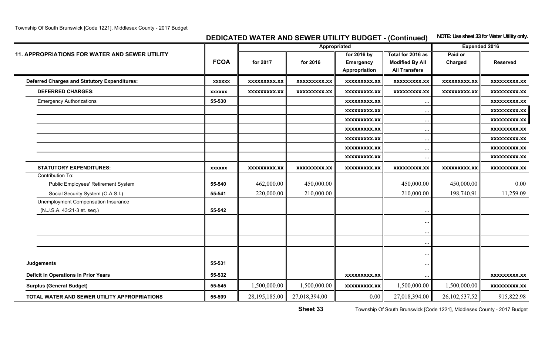**DEDICATED WATER AND SEWER UTILITY BUDGET - (Continued)** NOTE: Use sheet 33 for Water Utility only.

|                                                       |               |                     | Appropriated        |                     |                        | <b>Expended 2016</b> |                     |
|-------------------------------------------------------|---------------|---------------------|---------------------|---------------------|------------------------|----------------------|---------------------|
| <b>11. APPROPRIATIONS FOR WATER AND SEWER UTILITY</b> |               |                     |                     | for 2016 by         | Total for 2016 as      | Paid or              |                     |
|                                                       | <b>FCOA</b>   | for 2017            | for 2016            | <b>Emergency</b>    | <b>Modified By All</b> | Charged              | <b>Reserved</b>     |
|                                                       |               |                     |                     | Appropriation       | <b>All Transfers</b>   |                      |                     |
| <b>Deferred Charges and Statutory Expenditures:</b>   | <b>XXXXXX</b> | <b>XXXXXXXXX.XX</b> | <b>XXXXXXXXX.XX</b> | <b>XXXXXXXXX.XX</b> | <b>XXXXXXXXX.XX</b>    | <b>XXXXXXXXX.XX</b>  | <b>XXXXXXXXX.XX</b> |
| <b>DEFERRED CHARGES:</b>                              | <b>XXXXXX</b> | <b>XXXXXXXXX.XX</b> | <b>XXXXXXXXX.XX</b> | <b>XXXXXXXXX.XX</b> | <b>XXXXXXXXX.XX</b>    | <b>XXXXXXXXX.XX</b>  | <b>XXXXXXXXX.XX</b> |
| <b>Emergency Authorizations</b>                       | 55-530        |                     |                     | <b>XXXXXXXXX.XX</b> |                        |                      | <b>XXXXXXXXX.XX</b> |
|                                                       |               |                     |                     | <b>XXXXXXXXX.XX</b> | $\ddotsc$              |                      | XXXXXXXXX.XX        |
|                                                       |               |                     |                     | <b>XXXXXXXXX.XX</b> | $\cdots$               |                      | <b>XXXXXXXXX.XX</b> |
|                                                       |               |                     |                     | <b>XXXXXXXXX.XX</b> |                        |                      | <b>XXXXXXXXX.XX</b> |
|                                                       |               |                     |                     | <b>XXXXXXXXX.XX</b> | $\ddots$               |                      | <b>XXXXXXXXX.XX</b> |
|                                                       |               |                     |                     | <b>XXXXXXXXX.XX</b> | $\ddots$               |                      | <b>XXXXXXXXX.XX</b> |
|                                                       |               |                     |                     | <b>XXXXXXXXX.XX</b> |                        |                      | <b>XXXXXXXXX.XX</b> |
| <b>STATUTORY EXPENDITURES:</b>                        | <b>XXXXXX</b> | <b>XXXXXXXXX.XX</b> | <b>XXXXXXXXX.XX</b> | <b>XXXXXXXXX.XX</b> | <b>XXXXXXXXX.XX</b>    | <b>XXXXXXXXX.XX</b>  | <b>XXXXXXXXX.XX</b> |
| Contribution To:                                      |               |                     |                     |                     |                        |                      |                     |
| Public Employees' Retirement System                   | 55-540        | 462,000.00          | 450,000.00          |                     | 450,000.00             | 450,000.00           | $0.00\,$            |
| Social Security System (O.A.S.I.)                     | 55-541        | 220,000.00          | 210,000.00          |                     | 210,000.00             | 198,740.91           | 11,259.09           |
| Unemployment Compensation Insurance                   |               |                     |                     |                     |                        |                      |                     |
| (N.J.S.A. 43:21-3 et. seq.)                           | 55-542        |                     |                     |                     |                        |                      |                     |
|                                                       |               |                     |                     |                     | $\ddots$               |                      |                     |
|                                                       |               |                     |                     |                     |                        |                      |                     |
|                                                       |               |                     |                     |                     | $\ddotsc$              |                      |                     |
|                                                       |               |                     |                     |                     | $\ddots$               |                      |                     |
| <b>Judgements</b>                                     | 55-531        |                     |                     |                     | $\ddotsc$              |                      |                     |
| <b>Deficit in Operations in Prior Years</b>           | 55-532        |                     |                     | <b>XXXXXXXXX.XX</b> |                        |                      | <b>XXXXXXXXX.XX</b> |
| <b>Surplus (General Budget)</b>                       | 55-545        | 1,500,000.00        | 1,500,000.00        | <b>XXXXXXXXX.XX</b> | 1,500,000.00           | 1,500,000.00         | <b>XXXXXXXXX.XX</b> |
| TOTAL WATER AND SEWER UTILITY APPROPRIATIONS          | 55-599        | 28, 195, 185.00     | 27,018,394.00       | 0.00                | 27,018,394.00          | 26, 102, 537.52      | 915,822.98          |
|                                                       |               |                     |                     |                     |                        |                      |                     |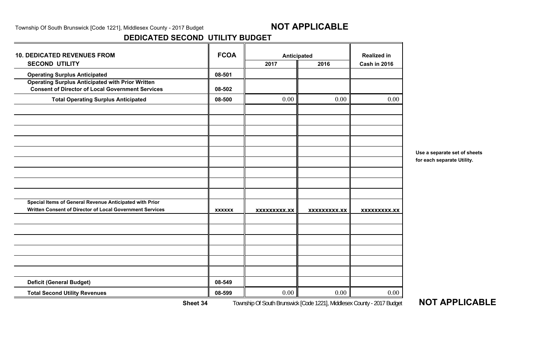## **DEDICATED SECOND UTILITY BUDGET**

| <b>10. DEDICATED REVENUES FROM</b>                                                                                 | <b>FCOA</b>   | Anticipated         |                     | <b>Realized in</b>  |
|--------------------------------------------------------------------------------------------------------------------|---------------|---------------------|---------------------|---------------------|
| <b>SECOND UTILITY</b>                                                                                              |               | 2017                | 2016                | <b>Cash in 2016</b> |
| <b>Operating Surplus Anticipated</b>                                                                               | 08-501        |                     |                     |                     |
| <b>Operating Surplus Anticipated with Prior Written</b><br><b>Consent of Director of Local Government Services</b> | 08-502        |                     |                     |                     |
| <b>Total Operating Surplus Anticipated</b>                                                                         | 08-500        | 0.00                | 0.00                | 0.00                |
|                                                                                                                    |               |                     |                     |                     |
|                                                                                                                    |               |                     |                     |                     |
|                                                                                                                    |               |                     |                     |                     |
| Special Items of General Revenue Anticipated with Prior                                                            |               |                     |                     |                     |
| Written Consent of Director of Local Government Services                                                           | <b>XXXXXX</b> | <b>XXXXXXXXX.XX</b> | <b>XXXXXXXXX.XX</b> | <b>XXXXXXXXX.XX</b> |
|                                                                                                                    |               |                     |                     |                     |
|                                                                                                                    |               |                     |                     |                     |
|                                                                                                                    |               |                     |                     |                     |
| <b>Deficit (General Budget)</b>                                                                                    | 08-549        |                     |                     |                     |
| <b>Total Second Utility Revenues</b>                                                                               | 08-599        | 0.00                | 0.00                | 0.00                |

**Use a separate set of sheets for each separate Utility.**

**Sheet 34**Township Of South Brunswick [Code 1221], Middlesex County - 2017 Budget **NOT APPLICABLE**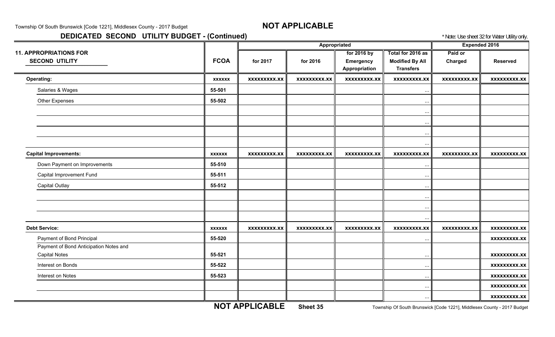## **DEDICATED SECOND UTILITY BUDGET - (Continued) Example 20 and Secure 20 and Secure 22 for Water Utility only.**

|                                        |               |                     |                     |                      |                        |                     | $\frac{1}{2}$       |
|----------------------------------------|---------------|---------------------|---------------------|----------------------|------------------------|---------------------|---------------------|
|                                        |               |                     | Appropriated        | <b>Expended 2016</b> |                        |                     |                     |
| <b>11. APPROPRIATIONS FOR</b>          |               |                     |                     | for 2016 by          | Total for 2016 as      | Paid or             |                     |
| <b>SECOND UTILITY</b>                  | <b>FCOA</b>   | for 2017            | for 2016            | <b>Emergency</b>     | <b>Modified By All</b> | Charged             | <b>Reserved</b>     |
|                                        |               |                     |                     | Appropriation        | <b>Transfers</b>       |                     |                     |
| <b>Operating:</b>                      | <b>XXXXXX</b> | <b>XXXXXXXXX.XX</b> | <b>XXXXXXXXX.XX</b> | <b>XXXXXXXXX.XX</b>  | <b>XXXXXXXXX.XX</b>    | <b>XXXXXXXXX.XX</b> | <b>XXXXXXXXX.XX</b> |
| Salaries & Wages                       | 55-501        |                     |                     |                      | $\cdots$               |                     |                     |
| Other Expenses                         | 55-502        |                     |                     |                      | $\cdots$               |                     |                     |
|                                        |               |                     |                     |                      | $\cdots$               |                     |                     |
|                                        |               |                     |                     |                      | $\cdots$               |                     |                     |
|                                        |               |                     |                     |                      | $\cdots$               |                     |                     |
|                                        |               |                     |                     |                      | $\ddots$               |                     |                     |
| <b>Capital Improvements:</b>           | <b>XXXXXX</b> | <b>XXXXXXXXX.XX</b> | <b>XXXXXXXXX.XX</b> | <b>XXXXXXXXX.XX</b>  | <b>XXXXXXXXX.XX</b>    | <b>XXXXXXXXX.XX</b> | xxxxxxxxx.xx        |
| Down Payment on Improvements           | 55-510        |                     |                     |                      | $\cdots$               |                     |                     |
| Capital Improvement Fund               | 55-511        |                     |                     |                      | $\ddots$               |                     |                     |
| <b>Capital Outlay</b>                  | 55-512        |                     |                     |                      | $\ddots$               |                     |                     |
|                                        |               |                     |                     |                      | $\cdots$               |                     |                     |
|                                        |               |                     |                     |                      | $\ddots$               |                     |                     |
|                                        |               |                     |                     |                      | $\cdots$               |                     |                     |
| <b>Debt Service:</b>                   | <b>XXXXXX</b> | <b>XXXXXXXXX.XX</b> | <b>XXXXXXXXX.XX</b> | <b>XXXXXXXXX.XX</b>  | <b>XXXXXXXXX.XX</b>    | <b>XXXXXXXXX.XX</b> | <b>XXXXXXXXX.XX</b> |
| Payment of Bond Principal              | 55-520        |                     |                     |                      | $\ldots$               |                     | <b>XXXXXXXXX.XX</b> |
| Payment of Bond Anticipation Notes and |               |                     |                     |                      |                        |                     |                     |
| <b>Capital Notes</b>                   | 55-521        |                     |                     |                      | $\cdots$               |                     | <b>XXXXXXXXX.XX</b> |
| Interest on Bonds                      | 55-522        |                     |                     |                      | $\cdots$               |                     | <b>XXXXXXXXX.XX</b> |
| Interest on Notes                      | 55-523        |                     |                     |                      | $\ddots$               |                     | <b>XXXXXXXXX.XX</b> |
|                                        |               |                     |                     |                      | $\cdots$               |                     | <b>XXXXXXXXX.XX</b> |
|                                        |               |                     |                     |                      |                        |                     |                     |

**NOT APPLICABLE**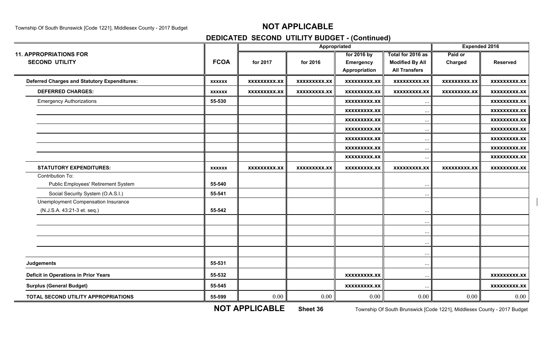## **DEDICATED SECOND UTILITY BUDGET - (Continued)**

|                                                     |               | Appropriated        |                     |                     |                        |                     |                     | <b>Expended 2016</b> |  |
|-----------------------------------------------------|---------------|---------------------|---------------------|---------------------|------------------------|---------------------|---------------------|----------------------|--|
| <b>11. APPROPRIATIONS FOR</b>                       |               |                     |                     | for 2016 by         | Total for 2016 as      | Paid or             |                     |                      |  |
| <b>SECOND UTILITY</b>                               | <b>FCOA</b>   | for 2017            | for 2016            | <b>Emergency</b>    | <b>Modified By All</b> | Charged             | <b>Reserved</b>     |                      |  |
|                                                     |               |                     |                     | Appropriation       | <b>All Transfers</b>   |                     |                     |                      |  |
| <b>Deferred Charges and Statutory Expenditures:</b> | <b>XXXXXX</b> | <b>XXXXXXXXX.XX</b> | xxxxxxxxx.xx        | <b>XXXXXXXXX.XX</b> | <b>XXXXXXXXX.XX</b>    | <b>XXXXXXXXX.XX</b> | <b>XXXXXXXXX.XX</b> |                      |  |
| <b>DEFERRED CHARGES:</b>                            | <b>XXXXXX</b> | <b>XXXXXXXXX.XX</b> | <b>XXXXXXXXX.XX</b> | <b>XXXXXXXXX.XX</b> | <b>XXXXXXXXX.XX</b>    | <b>XXXXXXXXX.XX</b> | <b>XXXXXXXXX.XX</b> |                      |  |
| <b>Emergency Authorizations</b>                     | 55-530        |                     |                     | <b>XXXXXXXXX.XX</b> | $\ddots$               |                     | <b>XXXXXXXXX.XX</b> |                      |  |
|                                                     |               |                     |                     | <b>XXXXXXXXX.XX</b> |                        |                     | <b>XXXXXXXXX.XX</b> |                      |  |
|                                                     |               |                     |                     | <b>XXXXXXXXX.XX</b> | $\ddotsc$              |                     | <b>XXXXXXXXX.XX</b> |                      |  |
|                                                     |               |                     |                     | XXXXXXXXX.XX        | $\cdots$               |                     | <b>XXXXXXXXX.XX</b> |                      |  |
|                                                     |               |                     |                     | <b>XXXXXXXXX.XX</b> | $\cdots$               |                     | <b>XXXXXXXX.XX</b>  |                      |  |
|                                                     |               |                     |                     | <b>XXXXXXXXX.XX</b> |                        |                     | <b>XXXXXXXXX.XX</b> |                      |  |
|                                                     |               |                     |                     | XXXXXXXXX.XX        | $\cdots$               |                     | <b>XXXXXXXXX.XX</b> |                      |  |
| <b>STATUTORY EXPENDITURES:</b>                      | <b>XXXXXX</b> | <b>XXXXXXXXX.XX</b> | <b>XXXXXXXXX.XX</b> | <b>XXXXXXXXX.XX</b> | <b>XXXXXXXXX.XX</b>    | XXXXXXXXX.XX        | XXXXXXXXX.XX        |                      |  |
| Contribution To:                                    |               |                     |                     |                     |                        |                     |                     |                      |  |
| Public Employees' Retirement System                 | 55-540        |                     |                     |                     |                        |                     |                     |                      |  |
| Social Security System (O.A.S.I.)                   | 55-541        |                     |                     |                     |                        |                     |                     |                      |  |
| Unemployment Compensation Insurance                 |               |                     |                     |                     |                        |                     |                     |                      |  |
| (N.J.S.A. 43:21-3 et. seq.)                         | 55-542        |                     |                     |                     |                        |                     |                     |                      |  |
|                                                     |               |                     |                     |                     | $\cdots$               |                     |                     |                      |  |
|                                                     |               |                     |                     |                     |                        |                     |                     |                      |  |
|                                                     |               |                     |                     |                     |                        |                     |                     |                      |  |
|                                                     |               |                     |                     |                     |                        |                     |                     |                      |  |
| <b>Judgements</b>                                   | 55-531        |                     |                     |                     |                        |                     |                     |                      |  |
| <b>Deficit in Operations in Prior Years</b>         | 55-532        |                     |                     | <b>XXXXXXXXX.XX</b> | $\cdots$               |                     | <b>XXXXXXXXX.XX</b> |                      |  |
| <b>Surplus (General Budget)</b>                     | 55-545        |                     |                     | <b>XXXXXXXXX.XX</b> |                        |                     | <b>XXXXXXXXX.XX</b> |                      |  |
| TOTAL SECOND UTILITY APPROPRIATIONS                 | 55-599        | 0.00                | 0.00                | 0.00                | 0.00                   | 0.00                | 0.00                |                      |  |

**NOT APPLICABLE**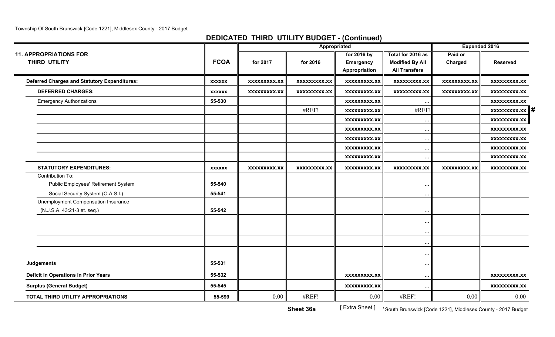## **DEDICATED THIRD UTILITY BUDGET - (Continued)**

|                                                                    |               |                     | Appropriated        |                                           |                                                                     |                     | <b>Expended 2016</b>           |
|--------------------------------------------------------------------|---------------|---------------------|---------------------|-------------------------------------------|---------------------------------------------------------------------|---------------------|--------------------------------|
| <b>11. APPROPRIATIONS FOR</b><br>THIRD UTILITY                     | <b>FCOA</b>   | for 2017            | for 2016            | for 2016 by<br>Emergency<br>Appropriation | Total for 2016 as<br><b>Modified By All</b><br><b>All Transfers</b> | Paid or<br>Charged  | <b>Reserved</b>                |
| <b>Deferred Charges and Statutory Expenditures:</b>                | <b>XXXXXX</b> | <b>XXXXXXXXX.XX</b> | <b>XXXXXXXXX.XX</b> | <b>XXXXXXXXX.XX</b>                       | <b>XXXXXXXXX.XX</b>                                                 | <b>XXXXXXXXX.XX</b> | <b>XXXXXXXXX.XX</b>            |
| <b>DEFERRED CHARGES:</b>                                           | <b>XXXXXX</b> | <b>XXXXXXXXX.XX</b> | <b>XXXXXXXXX.XX</b> | <b>XXXXXXXXX.XX</b>                       | <b>XXXXXXXXX.XX</b>                                                 | <b>XXXXXXXXX.XX</b> | XXXXXXXXX.XX                   |
| <b>Emergency Authorizations</b>                                    | 55-530        |                     |                     | <b>XXXXXXXXX.XX</b>                       |                                                                     |                     | <b>XXXXXXXXX.XX</b>            |
|                                                                    |               |                     | #REF!               | <b>XXXXXXXXX.XX</b>                       | #REF!                                                               |                     | $\overline{x}$ xxxxxxxx.xx   # |
|                                                                    |               |                     |                     | <b>XXXXXXXXX.XX</b>                       | $\ddotsc$                                                           |                     | <b>XXXXXXXXX.XX</b>            |
|                                                                    |               |                     |                     | <b>XXXXXXXXX.XX</b>                       | $\ddots$                                                            |                     | <b>XXXXXXXXX.XX</b>            |
|                                                                    |               |                     |                     | <b>XXXXXXXXX.XX</b>                       | $\ddotsc$                                                           |                     | <b>XXXXXXXXX.XX</b>            |
|                                                                    |               |                     |                     | <b>XXXXXXXXX.XX</b>                       | $\ddots$                                                            |                     | <b>XXXXXXXXX.XX</b>            |
|                                                                    |               |                     |                     | <b>XXXXXXXXX.XX</b>                       | $\ddotsc$                                                           |                     | <b>XXXXXXXXX.XX</b>            |
| <b>STATUTORY EXPENDITURES:</b>                                     | <b>XXXXXX</b> | XXXXXXXXX.XX        | XXXXXXXXX.XX        | XXXXXXXXX.XX                              | <b>XXXXXXXXX.XX</b>                                                 | XXXXXXXXX.XX        | XXXXXXXXX.XX                   |
| Contribution To:<br>Public Employees' Retirement System            | 55-540        |                     |                     |                                           | $\ddotsc$                                                           |                     |                                |
| Social Security System (O.A.S.I.)                                  | 55-541        |                     |                     |                                           | $\ddotsc$                                                           |                     |                                |
| Unemployment Compensation Insurance<br>(N.J.S.A. 43:21-3 et. seq.) | 55-542        |                     |                     |                                           | $\ddotsc$                                                           |                     |                                |
|                                                                    |               |                     |                     |                                           |                                                                     |                     |                                |
|                                                                    |               |                     |                     |                                           | $\ddotsc$                                                           |                     |                                |
|                                                                    |               |                     |                     |                                           | $\ddotsc$                                                           |                     |                                |
|                                                                    |               |                     |                     |                                           | $\ddotsc$                                                           |                     |                                |
| Judgements                                                         | 55-531        |                     |                     |                                           | $\cdots$                                                            |                     |                                |
| <b>Deficit in Operations in Prior Years</b>                        | 55-532        |                     |                     | <b>XXXXXXXXX.XX</b>                       | $\cdots$                                                            |                     | <b>XXXXXXXXX.XX</b>            |
| <b>Surplus (General Budget)</b>                                    | 55-545        |                     |                     | <b>XXXXXXXXX.XX</b>                       | $\cdots$                                                            |                     | <b>XXXXXXXXX.XX</b>            |
| TOTAL THIRD UTILITY APPROPRIATIONS                                 | 55-599        | 0.00                | #REF!               | 0.00                                      | #REF!                                                               | 0.00                | 0.00                           |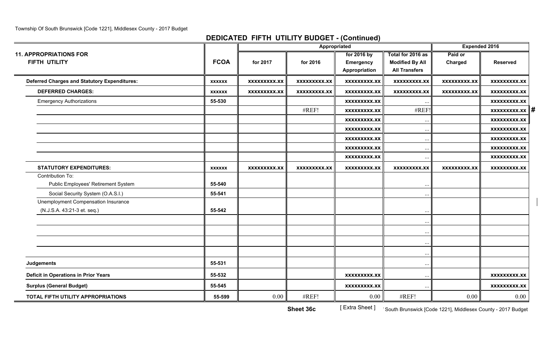## **DEDICATED FIFTH UTILITY BUDGET - (Continued)**

|                                                         |               | Appropriated        |                     |                                 |                                             | <b>Expended 2016</b> |                                |
|---------------------------------------------------------|---------------|---------------------|---------------------|---------------------------------|---------------------------------------------|----------------------|--------------------------------|
| <b>11. APPROPRIATIONS FOR</b><br>FIFTH UTILITY          | <b>FCOA</b>   | for 2017            | for 2016            | for 2016 by<br><b>Emergency</b> | Total for 2016 as<br><b>Modified By All</b> | Paid or<br>Charged   | <b>Reserved</b>                |
|                                                         |               |                     |                     | Appropriation                   | <b>All Transfers</b>                        |                      |                                |
| <b>Deferred Charges and Statutory Expenditures:</b>     | <b>XXXXXX</b> | <b>XXXXXXXXX.XX</b> | <b>XXXXXXXXX.XX</b> | <b>XXXXXXXXX.XX</b>             | <b>XXXXXXXXX.XX</b>                         | <b>XXXXXXXXX.XX</b>  | <b>XXXXXXXXX.XX</b>            |
| <b>DEFERRED CHARGES:</b>                                | <b>XXXXXX</b> | <b>XXXXXXXXX.XX</b> | <b>XXXXXXXXX.XX</b> | <b>XXXXXXXXX.XX</b>             | <b>XXXXXXXX.XX</b>                          | <b>XXXXXXXXX.XX</b>  | XXXXXXXXX.XX                   |
| <b>Emergency Authorizations</b>                         | 55-530        |                     |                     | <b>XXXXXXXXX.XX</b>             |                                             |                      | XXXXXXXXX.XX                   |
|                                                         |               |                     | #REF!               | XXXXXXXXX.XX                    | #REF!                                       |                      | $\overline{x}$ xxxxxxxx.xx   # |
|                                                         |               |                     |                     | <b>XXXXXXXXX.XX</b>             | $\ddotsc$                                   |                      | <b>XXXXXXXXX.XX</b>            |
|                                                         |               |                     |                     | <b>XXXXXXXXX.XX</b>             | $\cdots$                                    |                      | <b>XXXXXXXXX.XX</b>            |
|                                                         |               |                     |                     | <b>XXXXXXXXX.XX</b>             | $\cdots$                                    |                      | <b>XXXXXXXXX.XX</b>            |
|                                                         |               |                     |                     | <b>XXXXXXXXX.XX</b>             | $\ddots$                                    |                      | <b>XXXXXXXXX.XX</b>            |
|                                                         |               |                     |                     | <b>XXXXXXXXX.XX</b>             | $\cdots$                                    |                      | <b>XXXXXXXXX.XX</b>            |
| <b>STATUTORY EXPENDITURES:</b>                          | <b>XXXXXX</b> | <b>XXXXXXXXX.XX</b> | <b>XXXXXXXXX.XX</b> | <b>XXXXXXXXX.XX</b>             | <b>XXXXXXXXX.XX</b>                         | <b>XXXXXXXXX.XX</b>  | <b>XXXXXXXXX.XX</b>            |
| Contribution To:<br>Public Employees' Retirement System | 55-540        |                     |                     |                                 | $\ddotsc$                                   |                      |                                |
| Social Security System (O.A.S.I.)                       | 55-541        |                     |                     |                                 | $\ddotsc$                                   |                      |                                |
| Unemployment Compensation Insurance                     |               |                     |                     |                                 |                                             |                      |                                |
| (N.J.S.A. 43:21-3 et. seq.)                             | 55-542        |                     |                     |                                 | $\ddotsc$                                   |                      |                                |
|                                                         |               |                     |                     |                                 | $\ddotsc$                                   |                      |                                |
|                                                         |               |                     |                     |                                 | $\cdots$<br>$\ddotsc$                       |                      |                                |
|                                                         |               |                     |                     |                                 | $\ddots$                                    |                      |                                |
| <b>Judgements</b>                                       | 55-531        |                     |                     |                                 | $\ddotsc$                                   |                      |                                |
| <b>Deficit in Operations in Prior Years</b>             | 55-532        |                     |                     | <b>XXXXXXXXX.XX</b>             | $\cdots$                                    |                      | <b>XXXXXXXXX.XX</b>            |
| <b>Surplus (General Budget)</b>                         | 55-545        |                     |                     | <b>XXXXXXXXX.XX</b>             | $\ddots$                                    |                      | <b>XXXXXXXXX.XX</b>            |
| TOTAL FIFTH UTILITY APPROPRIATIONS                      | 55-599        | 0.00                | #REF!               | 0.00                            | #REF!                                       | 0.00                 | 0.00                           |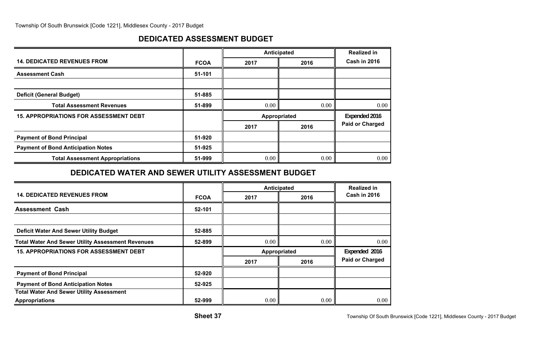## **DEDICATED ASSESSMENT BUDGET**

|                                               |             | Anticipated | <b>Realized in</b> |                        |
|-----------------------------------------------|-------------|-------------|--------------------|------------------------|
| <b>14. DEDICATED REVENUES FROM</b>            | <b>FCOA</b> | 2017        | 2016               | Cash in 2016           |
| <b>Assessment Cash</b>                        | 51-101      |             |                    |                        |
|                                               |             |             |                    |                        |
| <b>Deficit (General Budget)</b>               | 51-885      |             |                    |                        |
| <b>Total Assessment Revenues</b>              | 51-899      | 0.00        | 0.00               | 0.00                   |
| <b>15. APPROPRIATIONS FOR ASSESSMENT DEBT</b> |             |             | Appropriated       | Expended 2016          |
|                                               |             | 2017        | 2016               | <b>Paid or Charged</b> |
| <b>Payment of Bond Principal</b>              | 51-920      |             |                    |                        |
| <b>Payment of Bond Anticipation Notes</b>     | 51-925      |             |                    |                        |
| <b>Total Assessment Appropriations</b>        | 51-999      | 0.00        | 0.00               | 0.00                   |

## **DEDICATED WATER AND SEWER UTILITY ASSESSMENT BUDGET**

|                                                          |             | Anticipated  |      | <b>Realized in</b>     |
|----------------------------------------------------------|-------------|--------------|------|------------------------|
| <b>14. DEDICATED REVENUES FROM</b>                       | <b>FCOA</b> | 2017         | 2016 | <b>Cash in 2016</b>    |
| <b>Assessment Cash</b>                                   | 52-101      |              |      |                        |
|                                                          |             |              |      |                        |
| <b>Deficit Water And Sewer Utility Budget</b>            | 52-885      |              |      |                        |
| <b>Total Water And Sewer Utility Assessment Revenues</b> | 52-899      | 0.00         | 0.00 | 0.00                   |
| <b>15. APPROPRIATIONS FOR ASSESSMENT DEBT</b>            |             | Appropriated |      | Expended 2016          |
|                                                          |             | 2017         | 2016 | <b>Paid or Charged</b> |
| <b>Payment of Bond Principal</b>                         | 52-920      |              |      |                        |
| <b>Payment of Bond Anticipation Notes</b>                | 52-925      |              |      |                        |
| <b>Total Water And Sewer Utility Assessment</b>          |             |              |      |                        |
| <b>Appropriations</b>                                    | 52-999      | 0.00         | 0.00 | 0.00                   |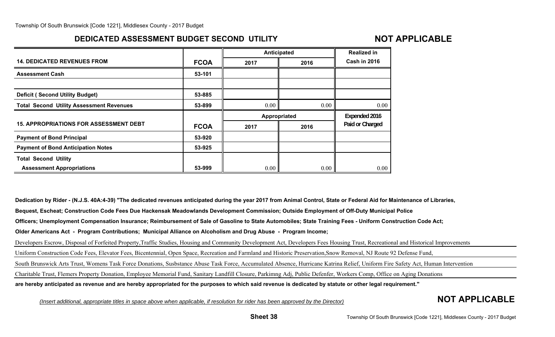# **DEDICATED ASSESSMENT BUDGET SECOND UTILITY**

# **NOT APPLICABLE**

|                                                 |             | Anticipated  | <b>Realized in</b> |                     |
|-------------------------------------------------|-------------|--------------|--------------------|---------------------|
| <b>14. DEDICATED REVENUES FROM</b>              | <b>FCOA</b> | 2017         | 2016               | <b>Cash in 2016</b> |
| <b>Assessment Cash</b>                          | 53-101      |              |                    |                     |
|                                                 |             |              |                    |                     |
| <b>Deficit (Second Utility Budget)</b>          | 53-885      |              |                    |                     |
| <b>Total Second Utility Assessment Revenues</b> | 53-899      | 0.00         | 0.00               | 0.00                |
|                                                 |             | Appropriated |                    | Expended 2016       |
| <b>15. APPROPRIATIONS FOR ASSESSMENT DEBT</b>   | <b>FCOA</b> |              |                    | Paid or Charged     |
|                                                 |             | 2017         | 2016               |                     |
| <b>Payment of Bond Principal</b>                | 53-920      |              |                    |                     |
| <b>Payment of Bond Anticipation Notes</b>       | 53-925      |              |                    |                     |
| <b>Total Second Utility</b>                     |             |              |                    |                     |

**Dedication by Rider - (N.J.S. 40A:4-39) "The dedicated revenues anticipated during the year 2017 from Animal Control, State or Federal Aid for Maintenance of Libraries, Bequest, Escheat; Construction Code Fees Due Hackensak Meadowlands Development Commission; Outside Employment of Off-Duty Municipal Police Officers; Unemployment Compensation Insurance; Reimbursement of Sale of Gasoline to State Automobiles; State Training Fees - Uniform Construction Code Act; Older Americans Act - Program Contributions; Municipal Alliance on Alcoholism and Drug Abuse - Program Income;** Developers Escrow, Disposal of Forfeited Property,Traffic Studies, Housing and Community Development Act, Developers Fees Housing Trust, Recreational and Historical Improvements Uniform Construction Code Fees, Elevator Fees, Bicentennial, Open Space, Recreation and Farmland and Historic Preservation,Snow Removal, NJ Route 92 Defense Fund, South Brunswick Arts Trust, Womens Task Force Donations, Susbstance Abuse Task Force, Accumulated Absence, Hurricane Katrina Relief, Uniform Fire Safety Act, Human Intervention Charitable Trust, Flemers Property Donation, Employee Memorial Fund, Sanitary Landfill Closure, Parkimng Adj, Public Defenfer, Workers Comp, Office on Aging Donations **are hereby anticipated as revenue and are hereby appropriated for the purposes to which said revenue is dedicated by statute or other legal requirement."**

*(Insert additional, appropriate titles in space above when applicable, if resolution for rider has been approved by the Director)* **NOT APPLICABLE**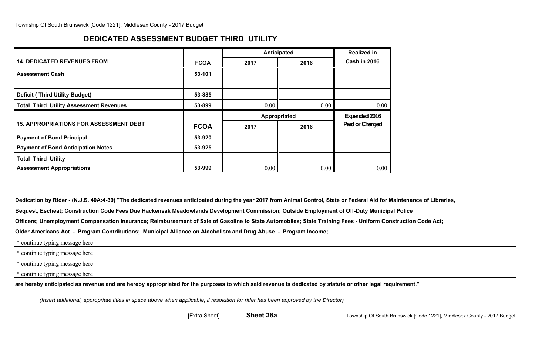# **DEDICATED ASSESSMENT BUDGET THIRD UTILITY**

|                                                |             | Anticipated  |      | <b>Realized in</b> |
|------------------------------------------------|-------------|--------------|------|--------------------|
| <b>14. DEDICATED REVENUES FROM</b>             | <b>FCOA</b> | 2017         | 2016 | Cash in 2016       |
| <b>Assessment Cash</b>                         | 53-101      |              |      |                    |
|                                                |             |              |      |                    |
| <b>Deficit (Third Utility Budget)</b>          | 53-885      |              |      |                    |
| <b>Total Third Utility Assessment Revenues</b> | 53-899      | 0.00         | 0.00 | 0.00               |
|                                                |             |              |      |                    |
|                                                |             | Appropriated |      | Expended 2016      |
| <b>15. APPROPRIATIONS FOR ASSESSMENT DEBT</b>  | <b>FCOA</b> | 2017         | 2016 | Paid or Charged    |
| <b>Payment of Bond Principal</b>               | 53-920      |              |      |                    |
| <b>Payment of Bond Anticipation Notes</b>      | 53-925      |              |      |                    |
| <b>Total Third Utility</b>                     |             |              |      |                    |

**Dedication by Rider - (N.J.S. 40A:4-39) "The dedicated revenues anticipated during the year 2017 from Animal Control, State or Federal Aid for Maintenance of Libraries,**

**Bequest, Escheat; Construction Code Fees Due Hackensak Meadowlands Development Commission; Outside Employment of Off-Duty Municipal Police**

**Officers; Unemployment Compensation Insurance; Reimbursement of Sale of Gasoline to State Automobiles; State Training Fees - Uniform Construction Code Act;**

**Older Americans Act - Program Contributions; Municipal Alliance on Alcoholism and Drug Abuse - Program Income;**

\* continue typing message here

\* continue typing message here

\* continue typing message here

\* continue typing message here

**are hereby anticipated as revenue and are hereby appropriated for the purposes to which said revenue is dedicated by statute or other legal requirement."**

*(Insert additional, appropriate titles in space above when applicable, if resolution for rider has been approved by the Director)*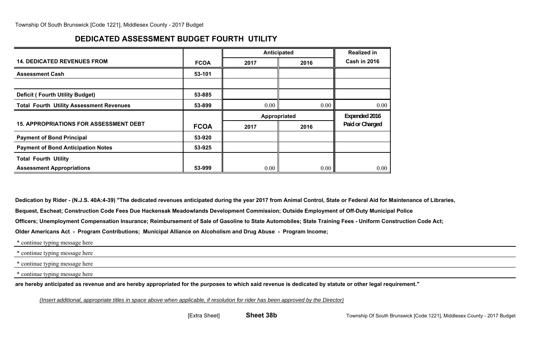## **DEDICATED ASSESSMENT BUDGET FOURTH UTILITY**

|                                                 |             | Anticipated  |      | <b>Realized in</b> |
|-------------------------------------------------|-------------|--------------|------|--------------------|
| <b>14. DEDICATED REVENUES FROM</b>              | <b>FCOA</b> | 2017         | 2016 | Cash in 2016       |
| <b>Assessment Cash</b>                          | 53-101      |              |      |                    |
|                                                 |             |              |      |                    |
| <b>Deficit (Fourth Utility Budget)</b>          | 53-885      |              |      |                    |
| <b>Total Fourth Utility Assessment Revenues</b> | 53-899      | 0.00         | 0.00 | 0.00               |
|                                                 |             |              |      |                    |
|                                                 |             | Appropriated |      | Expended 2016      |
| <b>15. APPROPRIATIONS FOR ASSESSMENT DEBT</b>   | <b>FCOA</b> | 2017         | 2016 | Paid or Charged    |
| <b>Payment of Bond Principal</b>                | 53-920      |              |      |                    |
| <b>Payment of Bond Anticipation Notes</b>       | 53-925      |              |      |                    |
| <b>Total Fourth Utility</b>                     |             |              |      |                    |

**Dedication by Rider - (N.J.S. 40A:4-39) "The dedicated revenues anticipated during the year 2017 from Animal Control, State or Federal Aid for Maintenance of Libraries,**

**Bequest, Escheat; Construction Code Fees Due Hackensak Meadowlands Development Commission; Outside Employment of Off-Duty Municipal Police**

**Officers; Unemployment Compensation Insurance; Reimbursement of Sale of Gasoline to State Automobiles; State Training Fees - Uniform Construction Code Act;**

**Older Americans Act - Program Contributions; Municipal Alliance on Alcoholism and Drug Abuse - Program Income;**

\* continue typing message here

\* continue typing message here

\* continue typing message here

\* continue typing message here

**are hereby anticipated as revenue and are hereby appropriated for the purposes to which said revenue is dedicated by statute or other legal requirement."**

*(Insert additional, appropriate titles in space above when applicable, if resolution for rider has been approved by the Director)*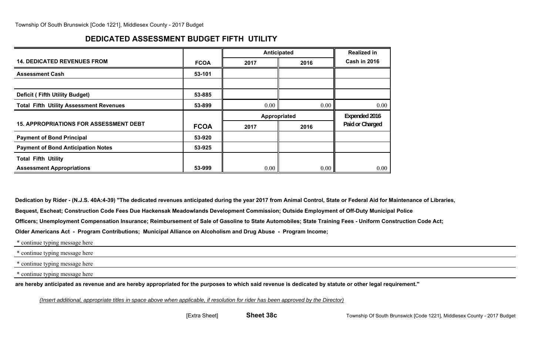# **DEDICATED ASSESSMENT BUDGET FIFTH UTILITY**

|                                                |             | Anticipated |              | <b>Realized in</b>  |
|------------------------------------------------|-------------|-------------|--------------|---------------------|
| <b>14. DEDICATED REVENUES FROM</b>             | <b>FCOA</b> | 2017        | 2016         | <b>Cash in 2016</b> |
| <b>Assessment Cash</b>                         | 53-101      |             |              |                     |
|                                                |             |             |              |                     |
| <b>Deficit (Fifth Utility Budget)</b>          | 53-885      |             |              |                     |
| <b>Total Fifth Utility Assessment Revenues</b> | 53-899      | 0.00        | 0.00         | 0.00                |
|                                                |             |             |              |                     |
|                                                |             |             | Appropriated | Expended 2016       |
| <b>15. APPROPRIATIONS FOR ASSESSMENT DEBT</b>  | <b>FCOA</b> | 2017        | 2016         | Paid or Charged     |
| <b>Payment of Bond Principal</b>               | 53-920      |             |              |                     |
| <b>Payment of Bond Anticipation Notes</b>      | 53-925      |             |              |                     |
| <b>Total Fifth Utility</b>                     |             |             |              |                     |

**Dedication by Rider - (N.J.S. 40A:4-39) "The dedicated revenues anticipated during the year 2017 from Animal Control, State or Federal Aid for Maintenance of Libraries,**

**Bequest, Escheat; Construction Code Fees Due Hackensak Meadowlands Development Commission; Outside Employment of Off-Duty Municipal Police**

**Officers; Unemployment Compensation Insurance; Reimbursement of Sale of Gasoline to State Automobiles; State Training Fees - Uniform Construction Code Act;**

**Older Americans Act - Program Contributions; Municipal Alliance on Alcoholism and Drug Abuse - Program Income;**

\* continue typing message here

\* continue typing message here

\* continue typing message here

\* continue typing message here

**are hereby anticipated as revenue and are hereby appropriated for the purposes to which said revenue is dedicated by statute or other legal requirement."**

*(Insert additional, appropriate titles in space above when applicable, if resolution for rider has been approved by the Director)*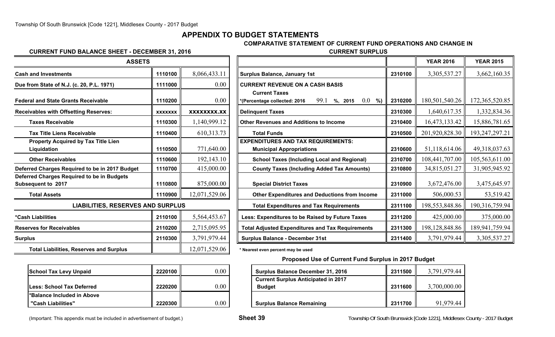## **APPENDIX TO BUDGET STATEMENTS**

### **COMPARATIVE STATEMENT OF CURRENT FUND OPERATIONS AND CHANGE IN**

#### **CURRENT FUND BALANCE SHEET - DECEMBER 31, 2016 CURRENT SURPLUS**

| <b>ASSETS</b>                                                    |                |               |                                                                              |
|------------------------------------------------------------------|----------------|---------------|------------------------------------------------------------------------------|
| <b>Cash and Investments</b>                                      | 1110100        | 8,066,433.11  | <b>Surplus Balance, January 1st</b>                                          |
| Due from State of N.J. (c. 20, P.L. 1971)                        | 1111000        | 0.00          | <b>CURRENT REVENUE ON A CASH BASIS</b>                                       |
| <b>Federal and State Grants Receivable</b>                       | 1110200        | 0.00          | <b>Current Taxes</b><br>99.1<br>*(Percentage collected: 2016<br>$%$ , 201    |
| <b>Receivables with Offsetting Reserves:</b>                     | <b>XXXXXXX</b> | XXXXXXXX.XX   | <b>Delinquent Taxes</b>                                                      |
| <b>Taxes Receivable</b>                                          | 1110300        | 1,140,999.12  | <b>Other Revenues and Additions to Income</b>                                |
| <b>Tax Title Liens Receivable</b>                                | 1110400        | 610,313.73    | <b>Total Funds</b>                                                           |
| <b>Property Acquired by Tax Title Lien</b><br>Liquidation        | 1110500        | 771,640.00    | <b>EXPENDITURES AND TAX REQUIREMENTS:</b><br><b>Municipal Appropriations</b> |
| <b>Other Receivables</b>                                         | 1110600        | 192,143.10    | <b>School Taxes (Including Local and Reg</b>                                 |
| Deferred Charges Required to be in 2017 Budget                   | 1110700        | 415,000.00    | <b>County Taxes (Including Added Tax Am</b>                                  |
| Deferred Charges Required to be in Budgets<br>Subsequent to 2017 | 1110800        | 875,000.00    | <b>Special District Taxes</b>                                                |
| <b>Total Assets</b>                                              | 1110900        | 12,071,529.06 | <b>Other Expenditures and Deductions fro</b>                                 |
| <b>LIABILITIES, RESERVES AND SURPLUS</b>                         |                |               | <b>Total Expenditures and Tax Requiremer</b>                                 |
| *Cash Liabilities                                                | 2110100        | 5,564,453.67  | Less: Expenditures to be Raised by Future                                    |
| <b>Reserves for Receivables</b>                                  | 2110200        | 2,715,095.95  | <b>Total Adjusted Expenditures and Tax Requi</b>                             |
| <b>Surplus</b>                                                   | 2110300        | 3,791,979.44  | <b>Surplus Balance - December 31st</b>                                       |
| <b>Total Liabilities, Reserves and Surplus</b>                   |                | 12,071,529.06 | * Nearest even percent may be used                                           |

| <b>School Tax Levy Unpaid</b>     | 2220100 |  |
|-----------------------------------|---------|--|
| <b>ILess: School Tax Deferred</b> | 2220200 |  |
| l*Balance Included in Above       |         |  |
| "Cash Liabilities"                | 2220300 |  |

| <b>ASSETS</b>                                  |                |                                                |                                                                    |                | <b>YEAR 2016</b> | <b>YEAR 2015</b> |
|------------------------------------------------|----------------|------------------------------------------------|--------------------------------------------------------------------|----------------|------------------|------------------|
| <b>Cash and Investments</b>                    | 1110100        | 8,066,433.11                                   | <b>Surplus Balance, January 1st</b>                                | 2310100        | 3,305,537.27     | 3,662,160.35     |
| Due from State of N.J. (c. 20, P.L. 1971)      | 1111000        | 0.00                                           | <b>CURRENT REVENUE ON A CASH BASIS</b>                             |                |                  |                  |
|                                                |                |                                                | <b>Current Taxes</b>                                               |                |                  |                  |
| <b>Federal and State Grants Receivable</b>     | 1110200        | 0.00                                           | $0.0\,$<br>99.1<br>%<br>$%$ , 2015<br>*(Percentage collected: 2016 | 2310200        | 180,501,540.26   | 172,365,520.85   |
| <b>Receivables with Offsetting Reserves:</b>   | <b>XXXXXXX</b> | XXXXXXXX.XX                                    | <b>Delinquent Taxes</b>                                            | 2310300        | 1,640,617.35     | 1,332,834.36     |
| <b>Taxes Receivable</b>                        | 1110300        | 1,140,999.12                                   | <b>Other Revenues and Additions to Income</b>                      | 2310400        | 16,473,133.42    | 15,886,781.65    |
| <b>Tax Title Liens Receivable</b>              | 1110400        | 610,313.73                                     | <b>Total Funds</b>                                                 | 2310500        | 201,920,828.30   | 193,247,297.21   |
| <b>Property Acquired by Tax Title Lien</b>     |                |                                                | <b>EXPENDITURES AND TAX REQUIREMENTS:</b>                          |                |                  |                  |
| Liquidation                                    | 1110500        | 771,640.00                                     | <b>Municipal Appropriations</b>                                    | 2310600        | 51,118,614.06    | 49,318,037.63    |
| <b>Other Receivables</b>                       | 1110600        | 192,143.10                                     | <b>School Taxes (Including Local and Regional)</b>                 | 2310700        | 108,441,707.00   | 105,563,611.00   |
| Deferred Charges Required to be in 2017 Budget | 1110700        | 415,000.00                                     | <b>County Taxes (Including Added Tax Amounts)</b>                  | 2310800        | 34,815,051.27    | 31,905,945.92    |
| Deferred Charges Required to be in Budgets     | 1110800        |                                                |                                                                    | 2310900        | 3,672,476.00     | 3,475,645.97     |
| <b>Subsequent to 2017</b>                      |                | 875,000.00                                     | <b>Special District Taxes</b>                                      |                |                  |                  |
| <b>Total Assets</b>                            | 1110900        | 12,071,529.06                                  | <b>Other Expenditures and Deductions from Income</b>               | 2311000        | 506,000.53       | 53,519.42        |
| <b>LIABILITIES, RESERVES AND SURPLUS</b>       |                | <b>Total Expenditures and Tax Requirements</b> | 2311100                                                            | 198,553,848.86 | 190,316,759.94   |                  |
| *Cash Liabilities                              | 2110100        | 5,564,453.67                                   | Less: Expenditures to be Raised by Future Taxes                    | 2311200        | 425,000.00       | 375,000.00       |
| <b>Reserves for Receivables</b>                | 2110200        | 2,715,095.95                                   | <b>Total Adjusted Expenditures and Tax Requirements</b>            | 2311300        | 198, 128, 848.86 | 189,941,759.94   |
| <b>Surplus</b>                                 | 2110300        | 3,791,979.44                                   | <b>Surplus Balance - December 31st</b>                             | 2311400        | 3,791,979.44     | 3,305,537.27     |

#### **Proposed Use of Current Fund Surplus in 2017 Budget**

| <b>School Tax Levy Unpaid</b> | 2220100 | $0.00\,$ | <b>Surplus Balance December 31, 2016</b>   | 2311500 | 3,791,979.44 |
|-------------------------------|---------|----------|--------------------------------------------|---------|--------------|
|                               |         |          | <b>Current Surplus Anticipated in 2017</b> |         |              |
| Less: School Tax Deferred     | 2220200 | $0.00\,$ | <b>Budget</b>                              | 2311600 | 3,700,000.00 |
| *Balance Included in Above    |         |          |                                            |         |              |
| "Cash Liabilities"            | 2220300 | $0.00\,$ | <b>Surplus Balance Remaining</b>           | 2311700 | 91,979.44    |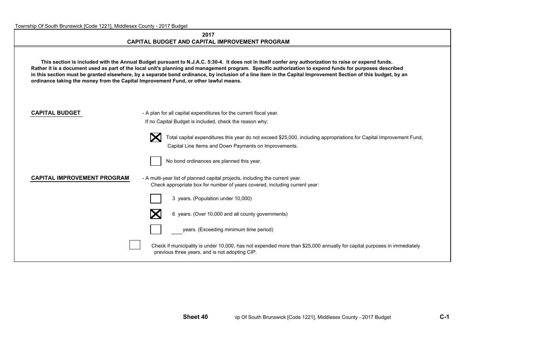#### **2017CAPITAL BUDGET AND CAPITAL IMPROVEMENT PROGRAM**

 **This section is included with the Annual Budget pursuant to N.J.A.C. 5:30-4. It does not in itself confer any authorization to raise or expend funds. Rather it is a document used as part of the local unit's planning and management program. Specific authorization to expend funds for purposes described in this section must be granted elsewhere, by a separate bond ordinance, by inclusion of a line item in the Capital Improvement Section of this budget, by an ordinance taking the money from the Capital Improvement Fund, or other lawful means.**

**CAPITAL BUDGET** - A plan for all capital expenditures for the current fiscal year. If no Capital Budget is included, check the reason why:



 Total capital expenditures this year do not exceed \$25,000, including appropriations for Capital Improvement Fund, Capital Line Items and Down Payments on Improvements.



No bond ordinances are planned this year.

#### **CAPITAL IMPROVEMENT PROGRAM** - A multi-year list of planned capital projects, including the current year.

Check appropriate box for number of years covered, including current year:





6 years. (Over 10,000 and all county governments)



years. (Exceeding minimum time period)

Check if municipality is under 10,000, has not expended more than \$25,000 annually for capital purposes in immediately previous three years, and is not adopting CIP.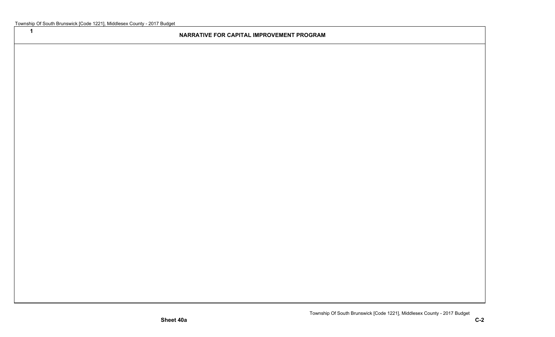**1**

#### **NARRATIVE FOR CAPITAL IMPROVEMENT PROGRAM**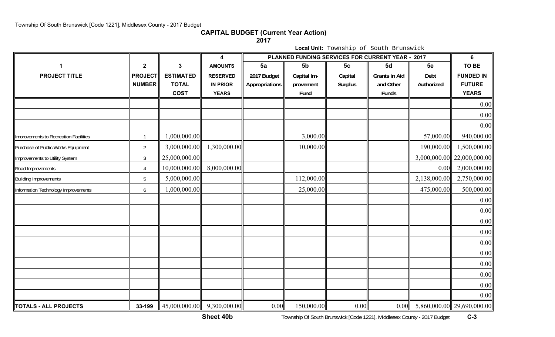**CAPITAL BUDGET (Current Year Action)**

**2017**

**Local Unit:** Township of South Brunswick

|                                       |                |                                                            | 4               | PLANNED FUNDING SERVICES FOR CURRENT YEAR - 2017 | 6              |                |                      |              |                            |
|---------------------------------------|----------------|------------------------------------------------------------|-----------------|--------------------------------------------------|----------------|----------------|----------------------|--------------|----------------------------|
| $\blacktriangleleft$                  | $\mathbf{2}$   | 3                                                          | <b>AMOUNTS</b>  | 5a                                               | 5 <sub>b</sub> | 5 <sub>c</sub> | 5d                   | 5e           | TO BE                      |
| <b>PROJECT TITLE</b>                  | <b>PROJECT</b> | <b>ESTIMATED</b>                                           | <b>RESERVED</b> | 2017 Budget                                      | Capital Im-    | Capital        | <b>Grants in Aid</b> | Debt         | <b>FUNDED IN</b>           |
|                                       | <b>NUMBER</b>  | <b>TOTAL</b>                                               | <b>IN PRIOR</b> | Appropriations                                   | provement      | <b>Surplus</b> | and Other            | Authorized   | <b>FUTURE</b>              |
|                                       |                | <b>COST</b>                                                | <b>YEARS</b>    |                                                  | Fund           |                | Funds                |              | <b>YEARS</b>               |
|                                       |                |                                                            |                 |                                                  |                |                |                      |              | 0.00                       |
|                                       |                |                                                            |                 |                                                  |                |                |                      |              | 0.00                       |
|                                       |                |                                                            |                 |                                                  |                |                |                      |              | 0.00                       |
| Imorovements to Recreation Facilities | $\overline{1}$ | 1,000,000.00                                               |                 |                                                  | 3,000.00       |                |                      | 57,000.00    | 940,000.00                 |
| Purchase of Public Works Equipment    | $\overline{2}$ | 3,000,000.00                                               | 1,300,000.00    |                                                  | 10,000.00      |                |                      | 190,000.00   | 1,500,000.00               |
| Improvements to Utility System        | $\mathfrak{Z}$ | 25,000,000.00                                              |                 |                                                  |                |                |                      | 3,000,000.00 | 22,000,000.00              |
| Road Improvements                     | $\overline{4}$ | 10,000,000.00                                              | 8,000,000.00    |                                                  |                |                |                      | 0.00         | 2,000,000.00               |
| <b>Building Improvements</b>          | 5              | 5,000,000.00                                               |                 |                                                  | 112,000.00     |                |                      | 2,138,000.00 | 2,750,000.00               |
| Information Technology Improvements   | 6              | 1,000,000.00                                               |                 |                                                  | 25,000.00      |                |                      | 475,000.00   | 500,000.00                 |
|                                       |                |                                                            |                 |                                                  |                |                |                      |              | 0.00                       |
|                                       |                |                                                            |                 |                                                  |                |                |                      |              | 0.00                       |
|                                       |                |                                                            |                 |                                                  |                |                |                      |              | 0.00                       |
|                                       |                |                                                            |                 |                                                  |                |                |                      |              | 0.00                       |
|                                       |                |                                                            |                 |                                                  |                |                |                      |              | 0.00                       |
|                                       |                |                                                            |                 |                                                  |                |                |                      |              | 0.00                       |
|                                       |                |                                                            |                 |                                                  |                |                |                      |              | 0.00                       |
|                                       |                |                                                            |                 |                                                  |                |                |                      |              | 0.00                       |
|                                       |                |                                                            |                 |                                                  |                |                |                      |              | 0.00                       |
|                                       |                |                                                            |                 |                                                  |                |                |                      |              | 0.00                       |
| <b>TOTALS - ALL PROJECTS</b>          | 33-199         | $\begin{vmatrix} 45,000,000.00 \end{vmatrix}$ 9,300,000.00 |                 | 0.00                                             | 150,000.00     | 0.00           | 0.00                 |              | 5,860,000.00 29,690,000.00 |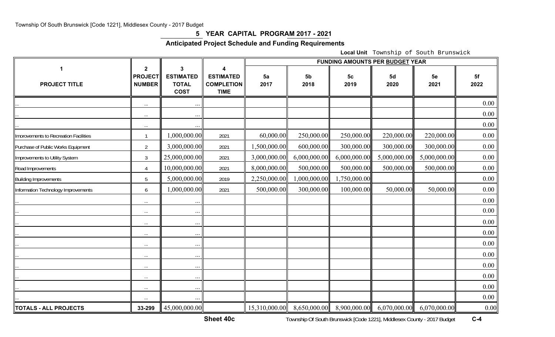### **5 YEAR CAPITAL PROGRAM 2017 - 2021**

## **Anticipated Project Schedule and Funding Requirements**

**Local Unit** Township of South Brunswick

|                                       |                                                            |                                                      |                                                           | <b>FUNDING AMOUNTS PER BUDGET YEAR</b> |                        |                        |              |              |            |  |
|---------------------------------------|------------------------------------------------------------|------------------------------------------------------|-----------------------------------------------------------|----------------------------------------|------------------------|------------------------|--------------|--------------|------------|--|
| 1<br><b>PROJECT TITLE</b>             | $\overline{\mathbf{2}}$<br><b>PROJECT</b><br><b>NUMBER</b> | 3<br><b>ESTIMATED</b><br><b>TOTAL</b><br><b>COST</b> | 4<br><b>ESTIMATED</b><br><b>COMPLETION</b><br><b>TIME</b> | 5a<br>2017                             | 5 <sub>b</sub><br>2018 | 5 <sub>c</sub><br>2019 | 5d<br>2020   | 5e<br>2021   | 5f<br>2022 |  |
|                                       | $\ldots$                                                   |                                                      |                                                           |                                        |                        |                        |              |              | 0.00       |  |
|                                       | $\cdots$                                                   | $\ddots$                                             |                                                           |                                        |                        |                        |              |              | 0.00       |  |
|                                       | $\cdots$                                                   | $\cdots$                                             |                                                           |                                        |                        |                        |              |              | 0.00       |  |
| Imorovements to Recreation Facilities | $\mathbf{1}$                                               | ,000,000.00                                          | 2021                                                      | 60,000.00                              | 250,000.00             | 250,000.00             | 220,000.00   | 220,000.00   | 0.00       |  |
| Purchase of Public Works Equipment    | $\overline{2}$                                             | 3,000,000.00                                         | 2021                                                      | 1,500,000.00                           | 600,000.00             | 300,000.00             | 300,000.00   | 300,000.00   | 0.00       |  |
| Improvements to Utility System        | $\mathfrak{Z}$                                             | 25,000,000.00                                        | 2021                                                      | 3,000,000.00                           | 6,000,000.00           | 6,000,000.00           | 5,000,000.00 | 5,000,000.00 | 0.00       |  |
| Road Improvements                     | $\overline{4}$                                             | 10,000,000.00                                        | 2021                                                      | 8,000,000.00                           | 500,000.00             | 500,000.00             | 500,000.00   | 500,000.00   | 0.00       |  |
| <b>Building Improvements</b>          | 5                                                          | 5,000,000.00                                         | 2019                                                      | 2,250,000.00                           | 1,000,000.00           | 1,750,000.00           |              |              | 0.00       |  |
| Information Technology Improvements   | $6\overline{6}$                                            | ,000,000.00                                          | 2021                                                      | 500,000.00                             | 300,000.00             | 100,000.00             | 50,000.00    | 50,000.00    | 0.00       |  |
|                                       | $\cdots$                                                   | $\ddots$                                             |                                                           |                                        |                        |                        |              |              | 0.00       |  |
|                                       | $\ldots$                                                   | $\ddots$                                             |                                                           |                                        |                        |                        |              |              | 0.00       |  |
|                                       | $\ldots$                                                   | $\ddots$                                             |                                                           |                                        |                        |                        |              |              | 0.00       |  |
|                                       | $\cdots$                                                   | $\cdots$                                             |                                                           |                                        |                        |                        |              |              | 0.00       |  |
|                                       | $\ldots$                                                   | $\ddots$                                             |                                                           |                                        |                        |                        |              |              | 0.00       |  |
|                                       | $\ldots$                                                   | $\cdots$                                             |                                                           |                                        |                        |                        |              |              | 0.00       |  |
|                                       | $\ldots$                                                   | $\cdots$                                             |                                                           |                                        |                        |                        |              |              | 0.00       |  |
|                                       | $\ldots$                                                   | $\ldots$                                             |                                                           |                                        |                        |                        |              |              | 0.00       |  |
|                                       | $\cdots$                                                   | $\ddots$                                             |                                                           |                                        |                        |                        |              |              | 0.00       |  |
|                                       | $\ldots$                                                   | $\cdots$                                             |                                                           |                                        |                        |                        |              |              | 0.00       |  |
| <b>TOTALS - ALL PROJECTS</b>          | 33-299                                                     | 45,000,000.00                                        |                                                           | 15,310,000.00                          | 8,650,000.00           | 8,900,000.00           | 6,070,000.00 | 6,070,000.00 | 0.00       |  |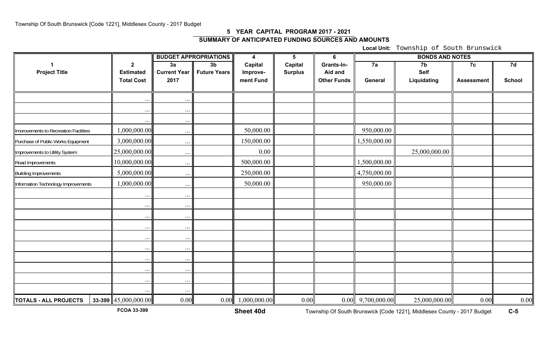## **5 YEAR CAPITAL PROGRAM 2017 - 2021 SUMMARY OF ANTICIPATED FUNDING SOURCES AND AMOUNTS**

**Local Unit:** Township of South Brunswick

|                                       |                          |                      | <b>BUDGET APPROPRIATIONS</b> | 4                   | 5              | 6                  |                     |               |                   |               |
|---------------------------------------|--------------------------|----------------------|------------------------------|---------------------|----------------|--------------------|---------------------|---------------|-------------------|---------------|
|                                       | $\mathbf{2}$             | 3a                   | $\overline{3b}$              | Capital             | Capital        | Grants-In-         | 7a                  | 7b            | 7c                | 7d            |
| <b>Project Title</b>                  | <b>Estimated</b>         | <b>Current Year</b>  | <b>Future Years</b>          | Improve-            | <b>Surplus</b> | Aid and            |                     | <b>Self</b>   |                   |               |
|                                       | <b>Total Cost</b>        | 2017                 |                              | ment Fund           |                | <b>Other Funds</b> | General             | Liquidating   | <b>Assessment</b> | <b>School</b> |
|                                       |                          |                      |                              |                     |                |                    |                     |               |                   |               |
|                                       | $\cdots$                 | $\ddotsc$            |                              |                     |                |                    |                     |               |                   |               |
|                                       |                          | $\ldots$<br>$\cdots$ |                              |                     |                |                    |                     |               |                   |               |
| Imorovements to Recreation Facilities | 1,000,000.00             | $\cdots$             |                              | 50,000.00           |                |                    | 950,000.00          |               |                   |               |
| Purchase of Public Works Equipment    | 3,000,000.00             | $\ldots$             |                              | 150,000.00          |                |                    | 1,550,000.00        |               |                   |               |
| Improvements to Utility System        | 25,000,000.00            | $\ldots$             |                              | 0.00                |                |                    |                     | 25,000,000.00 |                   |               |
| Road Improvements                     | 10,000,000.00            | $\ldots$             |                              | 500,000.00          |                |                    | 1,500,000.00        |               |                   |               |
| <b>Building Improvements</b>          | 5,000,000.00             | $\ddots$             |                              | 250,000.00          |                |                    | 4,750,000.00        |               |                   |               |
| Information Technology Improvements   | 000,000.00               | $\cdots$             |                              | 50,000.00           |                |                    | 950,000.00          |               |                   |               |
|                                       | $\cdot$ .                | $\ddotsc$            |                              |                     |                |                    |                     |               |                   |               |
|                                       | $\cdots$                 | $\ldots$             |                              |                     |                |                    |                     |               |                   |               |
|                                       | $\ddotsc$                | $\ddots$             |                              |                     |                |                    |                     |               |                   |               |
|                                       | $\ddots$                 | $\ddots$             |                              |                     |                |                    |                     |               |                   |               |
|                                       | $\cdot \cdot \cdot$      | $\cdots$             |                              |                     |                |                    |                     |               |                   |               |
|                                       | $\ddots$                 | $\ddots$             |                              |                     |                |                    |                     |               |                   |               |
|                                       | $\ddotsc$                | $\ddots$             |                              |                     |                |                    |                     |               |                   |               |
|                                       | $\ddots$                 | $\ddots$             |                              |                     |                |                    |                     |               |                   |               |
|                                       | $\cdots$                 | $\ddots$             |                              |                     |                |                    |                     |               |                   |               |
|                                       |                          | $\cdots$             |                              |                     |                |                    |                     |               |                   |               |
| TOTALS - ALL PROJECTS                 | 33-399 $ 45,000,000.00 $ | 0.00                 |                              | $0.00$ 1,000,000.00 | 0.00           |                    | $0.00$ 9,700,000.00 | 25,000,000.00 | 0.00              | 0.00          |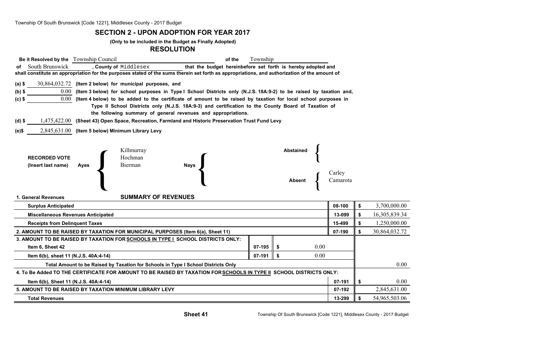#### **SECTION 2 - UPON ADOPTION FOR YEAR 2017**

#### **(Only to be included in the Budget as Finally Adopted)**

#### **RESOLUTION**

| Be it Resolved by the Township Council                                            |                                                                                                                                               | of the                                                                                                                 | Township |                  |          |    |               |  |  |  |  |  |
|-----------------------------------------------------------------------------------|-----------------------------------------------------------------------------------------------------------------------------------------------|------------------------------------------------------------------------------------------------------------------------|----------|------------------|----------|----|---------------|--|--|--|--|--|
| South Brunswick<br>оf                                                             | , County of Middlesex                                                                                                                         | that the budget hereinbefore set forth is hereby adopted and                                                           |          |                  |          |    |               |  |  |  |  |  |
|                                                                                   | shall constitute an appropriation for the purposes stated of the sums therein set forth as appropriations, and authorization of the amount of |                                                                                                                        |          |                  |          |    |               |  |  |  |  |  |
| $(a)$ \$                                                                          | $30,864,032.72$ (Item 2 below) for municipal purposes, and                                                                                    |                                                                                                                        |          |                  |          |    |               |  |  |  |  |  |
| $(b)$ \$                                                                          |                                                                                                                                               | 0.00 (Item 3 below) for school purposes in Type I School Districts only (N.J.S. 18A:9-2) to be raised by taxation and, |          |                  |          |    |               |  |  |  |  |  |
| $(c)$ \$                                                                          |                                                                                                                                               | $0.00$ (Item 4 below) to be added to the certificate of amount to be raised by taxation for local school purposes in   |          |                  |          |    |               |  |  |  |  |  |
|                                                                                   | Type II School Districts only (N.J.S. 18A:9-3) and certification to the County Board of Taxation of                                           |                                                                                                                        |          |                  |          |    |               |  |  |  |  |  |
|                                                                                   |                                                                                                                                               | the following summary of general revenues and appropriations.                                                          |          |                  |          |    |               |  |  |  |  |  |
| (d) \$                                                                            | 1,475,422.00 (Sheet 43) Open Space, Recreation, Farmland and Historic Preservation Trust Fund Levy                                            |                                                                                                                        |          |                  |          |    |               |  |  |  |  |  |
| (e)\$                                                                             | 2,845,631.00 (Item 5 below) Minimum Library Levy                                                                                              |                                                                                                                        |          |                  |          |    |               |  |  |  |  |  |
|                                                                                   |                                                                                                                                               |                                                                                                                        |          |                  |          |    |               |  |  |  |  |  |
|                                                                                   | Killmurray                                                                                                                                    |                                                                                                                        |          | <b>Abstained</b> |          |    |               |  |  |  |  |  |
| <b>RECORDED VOTE</b>                                                              | Hochman                                                                                                                                       |                                                                                                                        |          |                  |          |    |               |  |  |  |  |  |
| (Insert last name)                                                                | Bierman<br><b>Ayes</b>                                                                                                                        | <b>Nays</b>                                                                                                            |          |                  |          |    |               |  |  |  |  |  |
|                                                                                   |                                                                                                                                               |                                                                                                                        |          |                  | Carley   |    |               |  |  |  |  |  |
|                                                                                   |                                                                                                                                               |                                                                                                                        |          | Absent           | Camarota |    |               |  |  |  |  |  |
|                                                                                   |                                                                                                                                               |                                                                                                                        |          |                  |          |    |               |  |  |  |  |  |
| 1. General Revenues                                                               | <b>SUMMARY OF REVENUES</b>                                                                                                                    |                                                                                                                        |          |                  |          |    |               |  |  |  |  |  |
| <b>Surplus Anticipated</b>                                                        |                                                                                                                                               |                                                                                                                        |          |                  | 08-100   | \$ | 3,700,000.00  |  |  |  |  |  |
| <b>Miscellaneous Revenues Anticipated</b>                                         |                                                                                                                                               |                                                                                                                        |          |                  | 13-099   | \$ | 16,305,839.34 |  |  |  |  |  |
| <b>Receipts from Delinquent Taxes</b>                                             |                                                                                                                                               |                                                                                                                        |          |                  | 15-499   | \$ | 1,250,000.00  |  |  |  |  |  |
|                                                                                   | 2. AMOUNT TO BE RAISED BY TAXATION FOR MUNICIPAL PURPOSES (Item 6(a), Sheet 11)                                                               |                                                                                                                        |          |                  | 07-190   | \$ | 30,864,032.72 |  |  |  |  |  |
|                                                                                   | 3. AMOUNT TO BE RAISED BY TAXATION FOR SCHOOLS IN TYPE I SCHOOL DISTRICTS ONLY:                                                               |                                                                                                                        |          |                  |          |    |               |  |  |  |  |  |
| Item 6, Sheet 42                                                                  |                                                                                                                                               |                                                                                                                        | 07-195   | 0.00<br>\$       |          |    |               |  |  |  |  |  |
| Item 6(b), sheet 11 (N.J.S. 40A:4-14)                                             |                                                                                                                                               |                                                                                                                        | 07-191   | 0.00<br>\$       |          |    |               |  |  |  |  |  |
| Total Amount to be Raised by Taxation for Schools in Type I School Districts Only |                                                                                                                                               |                                                                                                                        |          |                  |          |    |               |  |  |  |  |  |
|                                                                                   | 4. To Be Added TO THE CERTIFICATE FOR AMOUNT TO BE RAISED BY TAXATION FOR SCHOOLS IN TYPE II SCHOOL DISTRICTS ONLY:                           |                                                                                                                        |          |                  |          |    |               |  |  |  |  |  |
| Item 6(b), Sheet 11 (N.J.S. 40A:4-14)                                             | 07-191                                                                                                                                        | \$                                                                                                                     | 0.00     |                  |          |    |               |  |  |  |  |  |
| 5. AMOUNT TO BE RAISED BY TAXATION MINIMUM LIBRARY LEVY<br>07-192                 |                                                                                                                                               |                                                                                                                        |          |                  |          |    |               |  |  |  |  |  |
| <b>Total Revenues</b>                                                             |                                                                                                                                               |                                                                                                                        |          |                  | 13-299   | \$ | 54,965,503.06 |  |  |  |  |  |
|                                                                                   |                                                                                                                                               |                                                                                                                        |          |                  |          |    |               |  |  |  |  |  |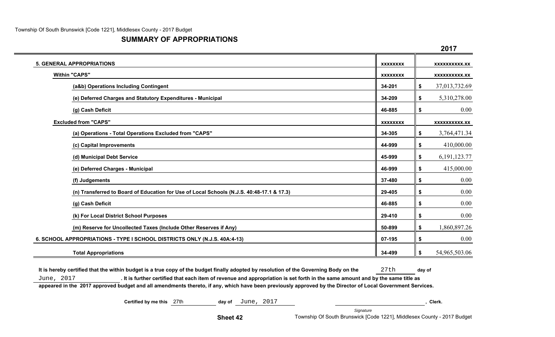### **SUMMARY OF APPROPRIATIONS**

|                                                                                           |                 | 40 I I                |
|-------------------------------------------------------------------------------------------|-----------------|-----------------------|
| <b>5. GENERAL APPROPRIATIONS</b>                                                          | <b>XXXXXXXX</b> | XXXXXXXXXX.XX         |
| <b>Within "CAPS"</b>                                                                      | <b>XXXXXXXX</b> | <b>XXXXXXXXXX.XX</b>  |
| (a&b) Operations Including Contingent                                                     | 34-201          | \$<br>37,013,732.69   |
| (e) Deferred Charges and Statutory Expenditures - Municipal                               | 34-209          | \$<br>5,310,278.00    |
| (g) Cash Deficit                                                                          | 46-885          | \$<br>0.00            |
| <b>Excluded from "CAPS"</b>                                                               | <b>XXXXXXXX</b> | <b>XXXXXXXXXX.XX</b>  |
| (a) Operations - Total Operations Excluded from "CAPS"                                    | 34-305          | \$<br>3,764,471.34    |
| (c) Capital Improvements                                                                  | 44-999          | \$<br>410,000.00      |
| (d) Municipal Debt Service                                                                | 45-999          | \$<br>6, 191, 123. 77 |
| (e) Deferred Charges - Municipal                                                          | 46-999          | \$<br>415,000.00      |
| (f) Judgements                                                                            | 37-480          | \$<br>0.00            |
| (n) Transferred to Board of Education for Use of Local Schools (N.J.S. 40:48-17.1 & 17.3) | 29-405          | \$<br>0.00            |
| (g) Cash Deficit                                                                          | 46-885          | \$<br>0.00            |
| (k) For Local District School Purposes                                                    | 29-410          | \$<br>0.00            |
| (m) Reserve for Uncollected Taxes (Include Other Reserves if Any)                         | 50-899          | \$<br>1,860,897.26    |
| 6. SCHOOL APPROPRIATIONS - TYPE I SCHOOL DISTRICTS ONLY (N.J.S. 40A:4-13)                 | 07-195          | \$<br>0.00            |
| <b>Total Appropriations</b>                                                               | 34-499          | \$<br>54,965,503.06   |

It is hereby certified that the within budget is a true copy of the budget finally adopted by resolution of the Governing Body on the 27th day of June, 2017 **. It is further certified that each item of revenue and appropriation is set forth in the same amount and by the same title as appeared in the 2017 approved budget and all amendments thereto, if any, which have been previously approved by the Director of Local Government Services.**

**Certified by me this 27th day of** June, 2017 **, Clerk. , Clerk. , Clerk.** 

**Sheet 42**

*Signature* Township Of South Brunswick [Code 1221], Middlesex County - 2017 Budget

**2017**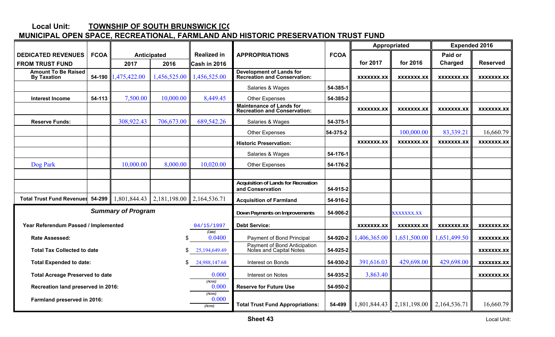#### **Local Unit: TOWNSHIP OF SOUTH BRUNSWICK [CO**

# **MUNICIPAL OPEN SPACE, RECREATIONAL, FARMLAND AND HISTORIC PRESERVATION TRUST FUND**

|                                                  |             |                           |                           |                             |                                                                        |             |                   | Appropriated      | <b>Expended 2016</b> |                   |  |
|--------------------------------------------------|-------------|---------------------------|---------------------------|-----------------------------|------------------------------------------------------------------------|-------------|-------------------|-------------------|----------------------|-------------------|--|
| <b>DEDICATED REVENUES</b>                        | <b>FCOA</b> |                           | Anticipated               | <b>Realized in</b>          | <b>APPROPRIATIONS</b>                                                  | <b>FCOA</b> |                   |                   | Paid or              |                   |  |
| <b>FROM TRUST FUND</b>                           |             | 2017                      | 2016                      | Cash in 2016                |                                                                        |             | for 2017          | for 2016          | Charged              | <b>Reserved</b>   |  |
| <b>Amount To Be Raised</b><br><b>By Taxation</b> | 54-190      | 1,475,422.00              | 1,456,525.00              | 1,456,525.00                | <b>Development of Lands for<br/>Recreation and Conservation:</b>       |             | XXXXXXX.XX        | XXXXXXX.XX        | XXXXXXX.XX           | XXXXXXX.XX        |  |
|                                                  |             |                           |                           |                             | Salaries & Wages                                                       | 54-385-1    |                   |                   |                      |                   |  |
| Interest Income                                  | 54-113      | 7,500.00                  | 10,000.00                 | 8,449.45                    | Other Expenses                                                         | 54-385-2    |                   |                   |                      |                   |  |
|                                                  |             |                           |                           |                             | <b>Maintenance of Lands for</b><br><b>Recreation and Conservation:</b> |             | <b>XXXXXXX.XX</b> | XXXXXXX.XX        | <b>XXXXXXX.XX</b>    | <b>XXXXXXX.XX</b> |  |
| <b>Reserve Funds:</b>                            |             | 308,922.43                | 706,673.00                | 689,542.26                  | Salaries & Wages                                                       | 54-375-1    |                   |                   |                      |                   |  |
|                                                  |             |                           |                           |                             | Other Expenses                                                         | 54-375-2    |                   | 100,000.00        | 83,339.21            | 16,660.79         |  |
|                                                  |             |                           |                           |                             | <b>Historic Preservation:</b>                                          |             | XXXXXXX.XX        | XXXXXXX.XX        | XXXXXXX.XX           | <b>XXXXXXX.XX</b> |  |
|                                                  |             |                           |                           |                             | Salaries & Wages                                                       | 54-176-1    |                   |                   |                      |                   |  |
| Dog Park                                         |             | 10,000.00                 | 8,000.00                  | 10,020.00                   | Other Expenses                                                         | 54-176-2    |                   |                   |                      |                   |  |
|                                                  |             |                           |                           |                             |                                                                        |             |                   |                   |                      |                   |  |
|                                                  |             |                           |                           |                             | <b>Acquisition of Lands for Recreation</b><br>and Conservation         | 54-915-2    |                   |                   |                      |                   |  |
| <b>Total Trust Fund Revenues</b>                 | 54-299      | 1,801,844.43              | 2,181,198.00 2,164,536.71 |                             | <b>Acquisition of Farmland</b>                                         | 54-916-2    |                   |                   |                      |                   |  |
|                                                  |             | <b>Summary of Program</b> |                           |                             | Down Payments on Improvements                                          | 54-906-2    |                   | <b>XXXXXXX.XX</b> |                      |                   |  |
| Year Referendum Passed / Implemented             |             |                           |                           | 04/15/1997                  | <b>Debt Service:</b>                                                   |             | XXXXXXX.XX        | XXXXXXX.XX        | XXXXXXX.XX           | XXXXXXX.XX        |  |
| <b>Rate Assessed:</b>                            |             |                           | \$                        | (Date)<br>0.0400            | Payment of Bond Principal                                              | 54-920-2    | 1,406,365.00      | 1,651,500.00      | 1,651,499.50         | XXXXXXX.XX        |  |
| <b>Total Tax Collected to date</b>               |             |                           | \$                        | 25,194,649.49               | Payment of Bond Anticipation<br>Notes and Capital Notes                | 54-925-2    |                   |                   |                      | <b>XXXXXXX.XX</b> |  |
| <b>Total Expended to date:</b>                   |             |                           | \$                        | 24,988,147.68               | Interest on Bonds                                                      | 54-930-2    | 391,616.03        | 429,698.00        | 429,698.00           | <b>XXXXXXX.XX</b> |  |
| <b>Total Acreage Preserved to date</b>           |             |                           |                           | 0.000                       | Interest on Notes                                                      | 54-935-2    | 3,863.40          |                   |                      | XXXXXXX.XX        |  |
| Recreation land preserved in 2016:               |             |                           |                           | (Acres)<br>0.000            | <b>Reserve for Future Use</b>                                          | 54-950-2    |                   |                   |                      |                   |  |
| Farmland preserved in 2016:                      |             |                           |                           | (Acres)<br>0.000<br>(Acres) | <b>Total Trust Fund Appropriations:</b>                                | 54-499      | 1,801,844.43      | 2,181,198.00      | 2,164,536.71         | 16,660.79         |  |